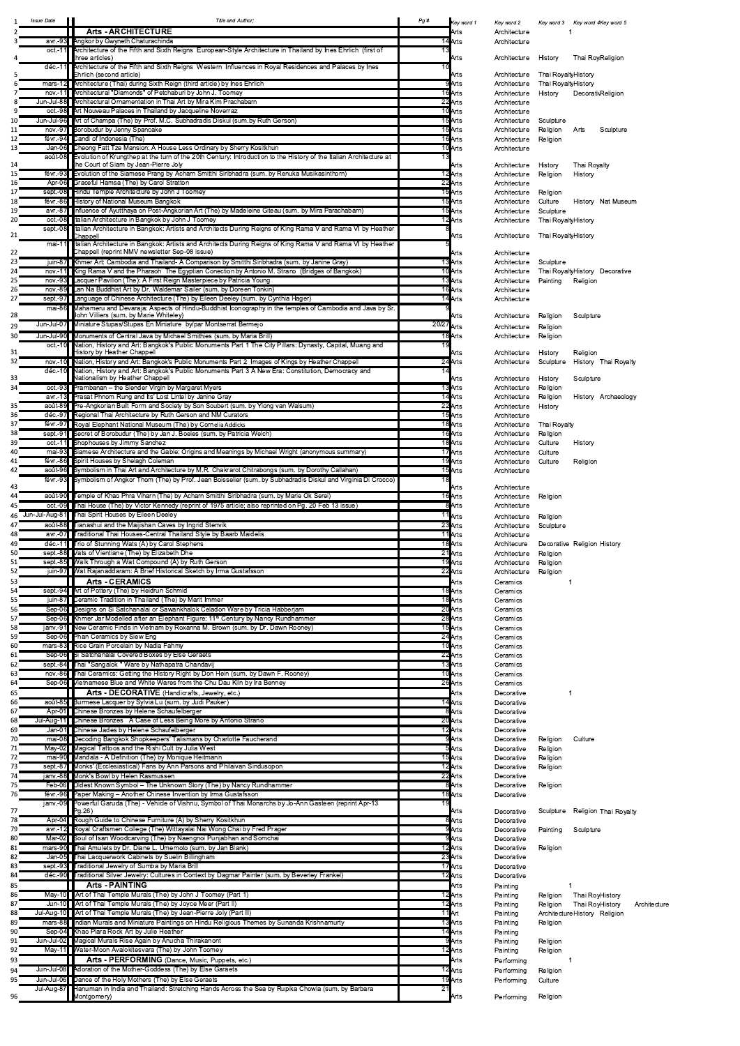| Key word 1 | Key word 2   | Key word 3                      |                   | Key word 4Key word 5 |
|------------|--------------|---------------------------------|-------------------|----------------------|
| Arts       | Architecture | 1                               |                   |                      |
| Arts       | Architecture |                                 |                   |                      |
|            |              |                                 |                   |                      |
| Arts       | Architecture | History                         | Thai Roy Religion |                      |
|            |              |                                 |                   |                      |
| Arts       | Architecture | Thai RoyaltyHistory             |                   |                      |
| Arts       | Architecture | Thai Royalty History            |                   |                      |
| Arts       | Architecture | History                         | Decorati Religion |                      |
| Arts       | Architecture |                                 |                   |                      |
| Arts       | Architecture |                                 |                   |                      |
| Arts       | Architecture | Sculpture                       |                   |                      |
| Arts       | Architecture | Religion                        | Arts              | Sculpture            |
| Arts       | Architecture | Religion                        |                   |                      |
| Arts       | Architecture |                                 |                   |                      |
|            |              |                                 |                   |                      |
| Arts       | Architecture | History                         | Thai Royalty      |                      |
| Arts       | Architecture | Religion                        | History           |                      |
| Arts       | Architecture |                                 |                   |                      |
| Arts       | Architecture | Religion                        |                   |                      |
| Arts       | Architecture | Culture                         | History           | Nat Museur           |
| Arts       | Architecture | Sculpture                       |                   |                      |
| Arts       | Architecture | Thai Royalty History            |                   |                      |
|            |              |                                 |                   |                      |
| Arts       | Architecture | Thai Royalty History            |                   |                      |
| Arts       | Architecture |                                 |                   |                      |
| Arts       | Architecture | Sculpture                       |                   |                      |
| Arts       | Architecture | Thai Royalty History Decorative |                   |                      |
| Arts       | Architecture |                                 |                   |                      |
|            |              | Painting                        | Religion          |                      |
| Arts       | Architecture |                                 |                   |                      |
| Arts       | Architecture |                                 |                   |                      |
| Arts       | Architecture | Religion                        | Sculpture         |                      |
|            |              |                                 |                   |                      |
| Arts       | Architecture | Religion                        |                   |                      |
| Arts       | Architecture | Religion                        |                   |                      |
| Arts       | Architecture | History                         | Religion          |                      |
| Arts       | Architecture | Sculpture                       |                   | History Thai Royalt  |
|            |              |                                 |                   |                      |
| Arts       | Architecture | History                         | Sculpture         |                      |
| Arts       | Architecture | Religion                        |                   |                      |
| Arts       | Architecture | Religion                        |                   | History Archaeolog   |
| Arts       | Architecture | History                         |                   |                      |
| Arts       | Architecture |                                 |                   |                      |
| Arts       | Architecture | Thai Royalty                    |                   |                      |
| Arts       | Architecture |                                 |                   |                      |
|            |              | Religion                        |                   |                      |
| Arts       | Architecture | Culture                         | History           |                      |
| Arts       | Architecture | Culture                         |                   |                      |
| Arts       | Architecture | Culture                         | Religion          |                      |
| Arts       | Architecture |                                 |                   |                      |
| Arts       | Architecture |                                 |                   |                      |
| Arts       | Architecture | Religion                        |                   |                      |
| Arts       | Architecture |                                 |                   |                      |
|            |              |                                 |                   |                      |
| Arts       | Architecture | Religion                        |                   |                      |
| Arts       | Architecture | Sculpture                       |                   |                      |
| Arts       | Architecture |                                 |                   |                      |
| Arts       | Architecure  | Decorative Religion History     |                   |                      |
| Arts       | Architecture | Religion                        |                   |                      |
| Arts       | Architecture | Religion                        |                   |                      |
| Arts       | Architecture | Religion                        |                   |                      |
| Arts       | Ceramics     | 1                               |                   |                      |
| Arts       | Ceramics     |                                 |                   |                      |
| Arts       | Ceramics     |                                 |                   |                      |
| Arts       | Ceramics     |                                 |                   |                      |
| Arts       | Ceramics     |                                 |                   |                      |
| Arts       | Ceramics     |                                 |                   |                      |
| Arts       | Ceramics     |                                 |                   |                      |
| Arts       | Ceramics     |                                 |                   |                      |
| Arts       | Ceramics     |                                 |                   |                      |
| Arts       | Ceramics     |                                 |                   |                      |
| Arts       | Ceramics     |                                 |                   |                      |
| Arts       | Ceramics     |                                 |                   |                      |
| Arts       | Decorative   | 1                               |                   |                      |
| Arts       | Decorative   |                                 |                   |                      |
| Arts       | Decorative   |                                 |                   |                      |
| Arts       | Decorative   |                                 |                   |                      |
|            |              |                                 |                   |                      |
| Arts       | Decorative   |                                 |                   |                      |
| Arts       | Decorative   | Religion                        | Culture           |                      |
| Arts       | Decorative   | Religion                        |                   |                      |
| Arts       | Decorative   | Religion                        |                   |                      |
| Arts       | Decorative   | Religion                        |                   |                      |
| Arts       | Decorative   |                                 |                   |                      |
| Arts       | Decorative   | Religion                        |                   |                      |

| <b>Issue Date</b>          | Title and Author;<br><b>Arts - ARCHITECTURE</b>                                                                                                                                                                                                      | Pg #         | Key word 1<br>Arts              | Key word 2<br>Architecture   |                                   | Key word 3 Key word 4Key word 5                    |
|----------------------------|------------------------------------------------------------------------------------------------------------------------------------------------------------------------------------------------------------------------------------------------------|--------------|---------------------------------|------------------------------|-----------------------------------|----------------------------------------------------|
| avr.-93<br>$oct.-1'$       | <b>Angkor by Gwyneth Chaturachinda</b><br>Architecture of the Fifth and Sixth Reigns European-Style Architecture in Thailand by Ines Ehrlich (first of<br>three articles)                                                                            |              | 14 Arts                         | Architecture                 |                                   |                                                    |
| déc.-11                    | Architecture of the Fifth and Sixth Reigns Western Influences in Royal Residences and Palaces by Ines<br>Ehrlich (second article)                                                                                                                    |              | Arts<br>Arts                    | Architecture<br>Architecture | History<br>Thai Royalty History   | Thai Roy Religion                                  |
| nov.-11                    | mars-12 Architecture (Thai) during Sixth Reign (third article) by Ines Ehrlich<br>Architectural "Diamonds" of Petchaburi by John J. Toomey                                                                                                           |              | Arts<br>16 <b>Arts</b>          | Architecture<br>Architecture | Thai Royalty History<br>History   | Decorati Religion                                  |
| 8<br>٩                     | Jun-Jul-88 Architectural Ornamentation in Thai Art by Mira Kim Prachabarn<br>oct.-98 Art Nouveau Palaces in Thailand by Jacqueline Noverraz                                                                                                          |              | 22 Arts<br>10 Arts              | Architecture<br>Architecture |                                   |                                                    |
| 10<br>11                   | Jun-Jul-96 Art of Champa (The) by Prof. M.C. Subhadradis Diskul (sum.by Ruth Gerson)<br>nov.-97 Borobudur by Jenny Spancake                                                                                                                          |              | 15 Arts<br>15 Arts              | Architecture<br>Architecture | Sculpture<br>Religion             | Sculpture<br>Arts                                  |
| 12<br>13                   | févr.-94 Candi of Indonesia (The)<br>Jan-06 Cheong Fatt Tze Mansion: A House Less Ordinary by Sherry Kositkhun                                                                                                                                       |              | 16 Arts<br>10 Arts              | Architecture<br>Architecture | Religion                          |                                                    |
| août-08<br>14              | Evolution of Krungthep at the turn of the 20th Century: Introduction to the History of the Italian Architecture at<br>the Court of Siam by Jean-Pierre Joly                                                                                          |              | Arts                            | Architecture                 | History                           | Thai Royalty                                       |
| 15<br>16                   | févr.-93 Evolution of the Siamese Prang by Acharn Smitthi Siribhadra (sum. by Renuka Musikasinthorn)<br>Apr-06 Graceful Hamsa (The) by Carol Stratton                                                                                                |              | 12 Arts<br>22 Arts              | Architecture<br>Architecture | Religion                          | History                                            |
| 17<br>18                   | sept.-08 Hindu Temple Architecture by John J Toomey<br>févr.-86 History of National Museum Bangkok                                                                                                                                                   |              | 15 Arts<br>15 Arts              | Architecture<br>Architecture | Religion<br>Culture               | History Nat Museum                                 |
| 19<br>20                   | avr.-87 Influence of Ayutthaya on Post-Angkorian Art (The) by Madeleine Giteau (sum. by Mira Parachabarn)<br>oct.-08 Italian Architecture in Bangkok by John J Toomey                                                                                |              | 15 Arts<br>12 Arts              | Architecture<br>Architecture | Sculpture<br>Thai Royalty History |                                                    |
| sept.-08<br>21             | Italian Architecture in Bangkok: Artists and Architects During Reigns of King Rama V and Rama VI by Heather<br>Chappell                                                                                                                              |              | Arts                            | Architecture                 | Thai RoyaltyHistory               |                                                    |
| mai-11<br>22               | Italian Architecture in Bangkok: Artists and Architects During Reigns of King Rama V and Rama VI by Heather<br>Chappell (reprint NMV newsletter Sep-08 issue)                                                                                        |              | Arts                            | Architecture                 |                                   |                                                    |
| 23<br>24<br>nov.-11        | juin-87 Khmer Art: Cambodia and Thailand- A Comparison by Smitthi Siribhadra (sum. by Janine Gray)<br>King Rama V and the Pharaoh The Egyptian Conection by Antonio M. Strano (Bridges of Bangkok)                                                   |              | 13Arts<br>10 Arts               | Architecture<br>Architecture | Sculpture                         | Thai Royalty History Decorative                    |
| 25<br>26                   | nov.-93 Lacquer Pavilion (The): A First Reign Masterpiece by Patricia Young<br>nov.-89 Lan Na Buddhist Art by Dr. Waldemar Sailer (sum. by Doreen Tonkin)                                                                                            |              | 13 Arts<br>16 Arts              | Architecture<br>Architecture | Painting                          | Religion                                           |
| 27<br>28                   | sept.-97 Language of Chinese Architecture (The) by Eileen Deeley (sum. by Cynthia Hager)<br>mai-86 Mahameru and Devaraja: Aspects of Hindu-Buddhist Iconography in the temples of Cambodia and Java by Sr.<br>John Villiers (sum. by Marie Whiteley) |              | 14 Arts<br>Arts                 | Architecture<br>Architecture | Religion                          | Sculpture                                          |
| Jun-Jul-07<br>29           | Miniature Stupas/Stupas En Miniature by/par Montserrat Bermejo                                                                                                                                                                                       |              | $20/27$ Arts                    | Architecture                 | Religion                          |                                                    |
| 30<br>31                   | Jun-Jul-90 Monuments of Central Java by Michael Smithies (sum. by Maria Brill)<br>oct.-10 Nation, History and Art: Bangkok's Public Monuments Part 1 The City Pillars: Dynasty, Capital, Muang and<br><b>History by Heather Chappell</b>             | 19           | 18 <b>Arts</b><br>Arts          | Architecture<br>Architecture | Religion<br>History               | Religion                                           |
| 32<br>déc.-10              | nov.-10 Nation, History and Art: Bangkok's Public Monuments Part 2 Images of Kings by Heather Chappell<br>Nation, History and Art: Bangkok's Public Monuments Part 3 A New Era: Constitution, Democracy and                                          |              | 24 Arts                         | Architecture                 | Sculpture                         | History Thai Royalty                               |
| 33<br>34                   | Nationalism by Heather Chappell<br>oct.-93 Prambanan - the Slender Virgin by Margaret Myers                                                                                                                                                          |              | Arts<br>13 Arts                 | Architecture<br>Architecture | History<br>Religion               | Sculpture                                          |
| 35                         | avr.-13 Prasat Phnom Rung and Its' Lost Lintel by Janine Gray<br>août-89 Pre-Angkorian Built Form and Society by Son Soubert (sum. by Yiong van Walsum)                                                                                              |              | 14 Arts<br>22 Arts              | Architecture<br>Architecture | Religion<br>History               | History Archaeology                                |
| 36<br>37                   | déc.-97 Regional Thai Architecture by Ruth Gerson and NM Curators<br>févr.-97 Royal Elephant National Museum (The) by Cornelia Addicks                                                                                                               |              | 15 Arts<br>18 Arts              | Architecture<br>Architecture | Thai Royalty                      |                                                    |
| 38<br>39<br>oct.-11        | sept.-91 Secret of Borobudur (The) by Jan J. Boeles (sum. by Patricia Welch)<br>Shophouses by Jimmy Sanchez                                                                                                                                          |              | 16 Arts<br>18 Arts              | Architecture<br>Architecture | Religion<br>Culture               | History                                            |
| 40<br>41                   | mai-93 Siamese Architecture and the Gable: Origins and Meanings by Michael Wright (anonymous summary)<br>févr.-86 Spirit Houses by Shelagh Coleman                                                                                                   |              | 17Arts<br>19 Arts               | Architecture<br>Architecture | Culture<br>Culture                | Religion                                           |
| 42                         | août-96 Symbolism in Thai Art and Architecture by M.R. Chakrarot Chitrabongs (sum. by Dorothy Callahan)<br>févr.-93 Symbolism of Angkor Thom (The) by Prof. Jean Boisselier (sum. by Subhadradis Diskul and Virginia Di Crocco)                      | 18           | 15 Arts                         | Architecture                 |                                   |                                                    |
| 43<br>44                   | août-90 Temple of Khao Phra Viharn (The) by Acharn Smitthi Siribhadra (sum. by Marie Ok Serei)                                                                                                                                                       |              | Arts<br>16 Arts                 | Architecture<br>Architecture | Religion                          |                                                    |
| 45<br>Jun-Jul-Aug-81<br>46 | oct.-09 Thai House (The) by Victor Kennedy (reprint of 1975 article; also reprinted on Pg. 20 Feb 13 issue)<br>Thai Spirit Houses by Eileen Deeley                                                                                                   |              | 8Arts<br>11 <sub>Arts</sub>     | Architecture<br>Architecture | Religion                          |                                                    |
| 47<br>48                   | août-88 Tianashui and the Maijishan Caves by Ingrid Stenvik<br>avr.-07 Traditional Thai Houses-Central Thailand Style by Baarb Maidelis                                                                                                              |              | 23 Arts<br>11 Arts              | Architecture<br>Architecture | Sculpture                         |                                                    |
| 49<br>50                   | déc.-11 Trio of Stunning Wats (A) by Carol Stephens<br>sept.-88 Vats of Vientiane (The) by Elizabeth Dhe                                                                                                                                             |              | 18 Arts<br>21 Arts              | Architecure<br>Architecture  | Religion                          | Decorative Religion History                        |
| 51<br>52                   | sept.-85 Walk Through a Wat Compound (A) by Ruth Gerson<br>juin-97 Wat Rajanaddaram: A Brief Historical Sketch by Irma Gustafsson                                                                                                                    |              | 19 Arts<br>22 Arts              | Architecture<br>Architecture | Religion<br>Religion              |                                                    |
| 53<br>54                   | <b>Arts - CERAMICS</b><br>sept.-94 Art of Pottery (The) by Heidrun Schmid                                                                                                                                                                            |              | Arts<br>18 Arts                 | Ceramics<br>Ceramics         |                                   |                                                    |
| 55<br>56                   | juin-87 Ceramic Tradition in Thailand (The) by Marit Immer<br>Sep-06 Designs on Si Satchanalai or Sawankhalok Celadon Ware by Tricia Habberjam                                                                                                       |              | 18 Arts<br>20 Arts              | Ceramics<br>Ceramics         |                                   |                                                    |
| 57<br>janv.-91<br>58       | Sep-06 Khmer Jar Modelled after an Elephant Figure: 11 <sup>th</sup> Century by Nancy Rundhammer<br>New Ceramic Finds in Vietnam by Roxanna M. Brown (sum. by Dr. Dawn Rooney)                                                                       |              | 28 Arts<br>15 Arts              | Ceramics<br>Ceramics         |                                   |                                                    |
| 59<br>60                   | Sep-06 Phan Ceramics by Siew Eng<br>mars-83 Rice Grain Porcelain by Nadia Fahmy                                                                                                                                                                      |              | 24 Arts<br>10 Arts              | Ceramics<br>Ceramics         |                                   |                                                    |
| 61<br>62                   | Sep-06 Si Satchanalai Covered Boxes by Else Geraets<br>sept.-84 Thai "Sangalok " Ware by Nathapatra Chandavij                                                                                                                                        |              | 22 Arts<br>13 Arts              | Ceramics<br>Ceramics         |                                   |                                                    |
| 63<br>64                   | nov.-86 Thai Ceramics: Getting the History Right by Don Hein (sum. by Dawn F. Rooney)<br>Sep-06 Vietnamese Blue and White Wares from the Chu Dau Kiln by Ira Benney                                                                                  |              | 10 Arts<br>26 Arts              | Ceramics<br>Ceramics         |                                   |                                                    |
| 65<br>66                   | Arts - DECORATIVE (Handicrafts, Jewelry, etc.)<br>août-85 Burmese Lacquer by Sylvia Lu (sum. by Judi Pauker)                                                                                                                                         |              | Arts<br>14 Arts                 | Decorative<br>Decorative     |                                   |                                                    |
| 67<br>68                   | Apr-01 Chinese Bronzes by Helene Schaufelberger<br>Jul-Aug-11 Chinese Bronzes A Case of Less Being More by Antonio Strano                                                                                                                            |              | 8Arts<br>20 Arts                | Decorative<br>Decorative     |                                   |                                                    |
| 69<br>70                   | Jan-01 Chinese Jades by Helene Schaufelberger<br>mai-08 Decoding Bangkok Shopkeepers' Talismans by Charlotte Faucherand                                                                                                                              |              | 12 Arts<br>9 Arts               | Decorative<br>Decorative     | Religion                          | Culture                                            |
| 71<br>72                   | May-02 Magical Tattoos and the Rishi Cult by Julia West<br>mai-90 Mandala - A Definition (The) by Monique Heitmann                                                                                                                                   |              | 5 Arts<br>15 Arts               | Decorative<br>Decorative     | Religion<br>Religion              |                                                    |
| 73<br>74                   | sept.-87 Monks' (Ecclesiastical) Fans by Ann Parsons and Philaivan Sindusopon<br>janv.-88 Monk's Bowl by Helen Rasmussen                                                                                                                             |              | 12 Arts<br>22 Arts              | Decorative<br>Decorative     | Religion                          |                                                    |
| 75<br>76                   | Feb-06 Oldest Known Symbol - The Unknown Story (The) by Nancy Rundhammer<br>févr.-96 Paper Making - Another Chinese Invention by Irma Gustafsson                                                                                                     |              | 8 Arts<br>18 Arts               | Decorative<br>Decorative     | Religion                          |                                                    |
| 77                         | janv.-09 Powerful Garuda (The) - Vehicle of Vishnu, Symbol of Thai Monarchs by Jo-Ann Gasteen (reprint Apr-13<br>Pg.26                                                                                                                               |              | Arts                            | Decorative                   | Sculpture                         | Religion Thai Royalty                              |
| 78<br>79                   | Apr-04 Rough Guide to Chinese Furniture (A) by Sherry Kositkhun<br>avr.-12 Royal Craftsmen College (The) Wittayalai Nai Wong Chai by Fred Prager                                                                                                     |              | 8 Arts<br>9Arts                 | Decorative<br>Decorative     | Painting                          | Sculpture                                          |
| 80<br>81                   | Mar-02 Soul of Isan Woodcarving (The) by Naengnoi Punjabhan and Somchai<br>mars-90 Thai Amulets by Dr. Diane L. Umemoto (sum. by Jan Blank)                                                                                                          |              | 9¶Arts<br>12 Arts               | Decorative<br>Decorative     | Religion                          |                                                    |
| 82<br>83                   | Jan-05 Thai Lacquerwork Cabinets by Suelin Billingham<br>sept.-93 Traditional Jewelry of Sumba by Maria Brill                                                                                                                                        |              | 23 Arts<br>17 Arts              | Decorative<br>Decorative     |                                   |                                                    |
| 84<br>85                   | déc.-90 Traditional Silver Jewelry: Cultures in Context by Dagmar Painter (sum. by Beverley Frankel)<br><b>Arts - PAINTING</b>                                                                                                                       |              | 12 Arts<br>Arts                 | Decorative<br>Painting       |                                   |                                                    |
| 86<br>87                   | May-10 Art of Thai Temple Murals (The) by John J Toomey (Part 1)<br>Jun-10 Art of Thai Temple Murals (The) by Joyce Meer (Part II)                                                                                                                   |              | 12 Arts<br>12 Arts              | Painting<br>Painting         | Religion<br>Religion              | Thai RoyHistory<br>Thai RoyHistory<br>Architecture |
| 88<br>89                   | Jul-Aug-10 Art of Thai Temple Murals (The) by Jean-Pierre Joly (Part III)<br>mars-88 Indian Murals and Miniature Paintings on Hindu Religious Themes by Sunanda Krishnamurty                                                                         |              | 11Art<br>13 Arts                | Painting<br>Painting         | Religion                          | Architecture History Religion                      |
| 90<br>91                   | Sep-04 Khao Plara Rock Art by Julie Heather<br>Jun-Jul-02 Magical Murals Rise Again by Anucha Thirakanont                                                                                                                                            |              | 14 Arts<br>9 Arts               | Painting<br>Painting         | Religion                          |                                                    |
| 92<br>$May-11$<br>93       | Water-Moon Avalokitesvara (The) by John Toomey<br>Arts - PERFORMING (Dance, Music, Puppets, etc.)                                                                                                                                                    |              | 12 <b>Arts</b><br>Arts          | Painting<br>Performing       | Religion                          |                                                    |
| 94<br>95                   | Jun-Jul-08 Adoration of the Mother-Goddess (The) by Else Garaets<br>Jun-Jul-06 Dance of the Holy Mothers (The) by Else Geraets                                                                                                                       |              | $\overline{12}$ Arts<br>19 Arts | Performing<br>Performing     | Religion<br>Culture               |                                                    |
| Jul-Aug-87<br>96           | Hanuman in India and Thailand: Stretching Hands Across the Sea by Rupika Chowla (sum. by Barbara<br>Montgomery)                                                                                                                                      | $2^{\prime}$ | Arts                            | Performing                   | Religion                          |                                                    |

| Arts | Decorative | Sculpture            | Religion Thai Royalty |             |
|------|------------|----------------------|-----------------------|-------------|
| Arts | Decorative |                      |                       |             |
| Arts | Decorative | Painting             | Sculpture             |             |
| Arts | Decorative |                      |                       |             |
| Arts | Decorative | Religion             |                       |             |
| Arts | Decorative |                      |                       |             |
| Arts | Decorative |                      |                       |             |
| Arts | Decorative |                      |                       |             |
| Arts | Painting   |                      | 1                     |             |
| Arts | Painting   | Religion             | Thai RoyHistory       |             |
| Arts | Painting   | Religion             | Thai RoyHistory       | Architectur |
| Art  | Painting   | Architecture History | Religion              |             |
| Arts | Painting   | Religion             |                       |             |
| Arts | Painting   |                      |                       |             |
| Arts | Painting   | Religion             |                       |             |
| Arts | Painting   | Religion             |                       |             |
| Arts | Performing |                      | 1                     |             |
| Arts | Performing | Religion             |                       |             |
| Arts | Performing | Culture              |                       |             |
| Arts | Performing | Religion             |                       |             |
|      |            |                      |                       |             |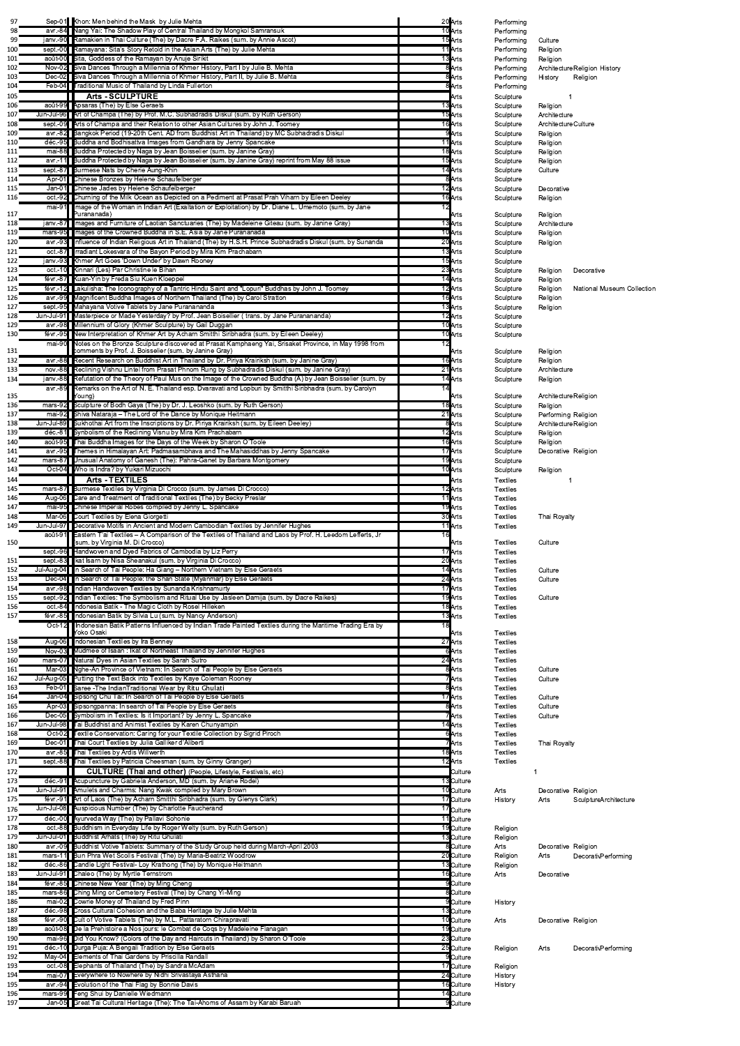| 10 Arts<br>avr.-84 Nang Yai: The Shadow Play of Central Thailand by Mongkol Samransuk<br>janv.-90 Ramakien in Thai Culture (The) by Dacre F.A. Raikes (sum. by Annie Ascot)<br>15 Arts<br>sept.-00 Ramayana: Sita's Story Retold in the Asian Arts (The) by Julie Mehta<br>11 Arts<br>août-00 Sita, Goddess of the Ramayan by Anuje Sirikit<br>13 Arts<br>Nov-02 Siva Dances Through a Millennia of Khmer History, Part I by Julie B. Mehta<br>8Arts<br>8 Arts<br>Siva Dances Through a Millennia of Khmer History, Part II, by Julie B. Mehta<br>$Dec-02$<br>Feb-04 Traditional Music of Thailand by Linda Fullerton<br>8Arts<br><b>Arts - SCULPTURE</b><br>août-99 Apsaras (The) by Else Geraets<br>13 Arts<br>Jun-Jul-96 Art of Champa (The) by Prof. M.C. Subhadradis Diskul (sum. by Ruth Gerson)<br>15 Arts<br>16 Arts<br>sept.-09 Arts of Champa and their Relation to other Asian Cultures by John J. Toomey<br>avr.-82 Bangkok Period (19-20th Cent. AD from Buddhist Art in Thailand) by MC Subhadradis Diskul<br>9Arts<br>déc.-95 Buddha and Bodhisattva Images from Gandhara by Jenny Spancake<br>11 <b>Arts</b><br>mai-88 Buddha Protected by Naga by Jean Boisselier (sum. by Janine Gray)<br>18 Arts<br>15 Arts<br>avr.-11 Buddha Protected by Naga by Jean Boisselier (sum. by Janine Gray) reprint from May 88 issue<br>14 Arts<br>sept.-87 Burmese Nats by Cherie Aung-Khin<br>Apr-01 Chinese Bronzes by Helene Schaufelberger<br>8Arts<br>12 Arts<br>Chinese Jades by Helene Schaufelberger<br>$Jan-01$<br>Churning of the Milk Ocean as Depicted on a Pediment at Prasat Prah Viharn by Eileen Deeley<br>16 Arts<br>$oct.-92$<br>Image of the Woman in Indian Art (Exaltation or Exploitation) by Dr. Diane L. Umemoto (sum. by Jane<br>12<br>$mai-91$<br>Purananada)<br>janv.-87 Ilmages and Furniture of Laotian Sanctuaries (The) by Madeleine Giteau (sum. by Janine Gray)<br>13 Arts<br>mars-95 Ilmages of the Crowned Buddha in S.E. Asia by Jane Purananada<br>10 Arts<br>Influence of Indian Religious Art in Thailand (The) by H.S.H. Prince Subhadradis Diskul (sum. by Sunanda<br>20 Arts<br>avr.-93<br>13 Arts<br>Irradiant Lokesvara of the Bayon Period by Mira Kim Prachabarn<br>$oct.-87$<br>anv.-93 Khmer Art Goes 'Down Under' by Dawn Rooney<br>15 Arts<br>oct.-10 Kinnari (Les) Par Christine le Bihan<br>23 Arts<br>févr.-87 Kuan-Yin by Freda Siu Kuen Kloeppel<br>14 Arts<br>12 Arts<br>févr.-12 Lakulisha: The Iconography of a Tantric Hindu Saint and "Lopuri" Buddhas by John J. Toomey<br>avr.-99 Magnificent Buddha Images of Northern Thailand (The) by Carol Stratton<br>16 Arts<br>sept.-95 Mahayana Votive Tablets by Jane Puranananda<br>13 Arts<br>Jun-Jul-91 Masterpiece or Made Yesterday? by Prof. Jean Boisellier ( trans. by Jane Puranananda)<br>12 Arts<br>10 Arts<br>Millennium of Glory (Khmer Sculpture) by Gail Duggan<br>avr.-98<br>New Interpretation of Khmer Art by Acharn Smitthi Siribhadra (sum. by Eileen Deeley)<br>10 Arts<br>févr.-95<br>Notes on the Bronze Sculpture discovered at Prasat Kamphaeng Yai, Srisaket Province, in May 1998 from<br>12<br>mai-90<br>comments by Prof. J. Boisselier (sum. by Janine Gray)<br>avr.-88 Recent Research on Buddhist Art in Thailand by Dr. Piriya Krairiksh (sum. by Janine Gray)<br>16 Arts<br>nov.-88 Reclining Vishnu Lintel from Prasat Phnom Rung by Subhadradis Diskul (sum. by Janine Gray)<br>21 Arts<br>janv.-88 Refutation of the Theory of Paul Mus on the Image of the Crowned Buddha (A) by Jean Boisselier (sum. by<br>14 Arts<br>avr.-89 Remarks on the Art of N. E. Thailand esp. Dvaravati and Lopburi by Smitthi Siribhadra (sum. by Carolyn<br>14<br>(Young<br>mars-92 Sculpture of Bodh Gaya (The) by Dr. J. Leoshko (sum. by Ruth Gerson)<br>18 Arts<br>mai-92 Shiva Nataraja - The Lord of the Dance by Monique Heitmann<br>21 Arts<br>8Arts<br>Jun-Jul-89 Sukhothai Art from the Inscriptions by Dr. Piriya Krairiksh (sum. by Eileen Deeley)<br>déc.-81 Synbolism of the Reclining Visnu by Mira Kim Prachabarn<br>12 Arts<br>16 Arts<br>août-95 Thai Buddha Images for the Days of the Week by Sharon O'Toole<br>17 Arts<br>avr.-95 Themes in Himalayan Art: Padmasambhava and The Mahasiddhas by Jenny Spancake<br>19 Arts<br>$mars-87$<br>Unusual Anatomy of Ganesh (The): Pahra-Ganet by Barbara Montgomery<br>Oct-04 Who is Indra? by Yukari Mizuochi<br>10 Arts<br><b>Arts - TEXTILES</b><br>12 Arts<br>mars-87 Burmese Textiles by Virginia Di Crocco (sum. by James Di Crocco)<br>11 Arts<br>Aug-06 Care and Treatment of Traditional Textiles (The) by Becky Preslar<br>19 Arts<br>mai-95 Chinese Imperial Robes compiled by Jenny L. Spancake<br>Mar-06 Court Textiles by Elena Giorgetti<br>30 Arts<br>Decorative Motifs in Ancient and Modern Cambodian Textiles by Jennifer Hughes<br>11 Arts<br>Jun-Jul-97<br>Eastern T'ai Textiles - A Comparison of the Textiles of Thailand and Laos by Prof. H. Leedom Lefferts, Jr<br>août-91<br>16<br>(sum. by Virginia M. Di Crocco)<br>Handwoven and Dyed Fabrics of Cambodia by Liz Perry<br>17Arts<br>sept.-96<br>20 Arts<br>sept.-83 Ikat Isarn by Nisa Sheanakul (sum. by Virginia Di Crocco)<br>Jul-Aug-04 In Search of Tai People: Ha Giang – Northern Vietnam by Else Geraets<br>14 Arts<br>In Search of Tai People: the Shan State (Myanmar) by Else Geraets<br>24 Arts<br>$Dec-04$<br>17 Arts<br>avr.-98 Indian Handwoven Textiles by Sunanda Krishnamurty<br>19 Arts<br>Indian Textiles: The Symbolism and Ritual Use by Jasleen Damija (sum. by Dacre Raikes)<br>sept.-92<br>Indonesia Batik - The Magic Cloth by Rosel Hilleken<br>18 Arts<br>oct.-84<br>Indonesian Batik by Silvia Lu (sum. by Nancy Anderson)<br>13 Arts<br>févr.-85<br>18<br>$Oct-12$<br>Indonesian Batik Patterns Influenced by Indian Trade Painted Textiles during the Maritime Trading Era by<br>Yoko Osaki<br>27 Arts<br>Aug-06 Indonesian Textiles by Ira Benney<br>Nov-03 Mudmee of Isaan: Ikat of Northeast Thailand by Jennifer Hughes<br>6Arts<br>mars-07 Natural Dyes in Asian Textiles by Sarah Sutro<br>24 Arts<br>Mar-03 Nghe-An Province of Vietnam: In Search of Tai People by Else Geraets<br>8 Arts<br>Jul-Aug-05 Putting the Text Back into Textiles by Kaye Coleman Rooney<br>7 <b>A</b> rts<br>8Arts<br>Feb-01 Saree - The Indian Traditional Wear by Ritu Ghulati<br>Jan-04 Sipsong Chu Tai: In Search of Tai People by Else Geraets<br>17 Arts<br>Apr-03 Sipsongpanna: In search of Tai People by Else Geraets<br>8Arts<br>Dec-05 Symbolism in Textiles: Is it Important? by Jenny L. Spancake<br>7 <b>I</b> Arts<br>Jun-Jul-98 Tai Buddhist and Animist Textiles by Karen Chunyampin<br>14 Arts<br>$Oct-02$<br>Textile Conservation: Caring for your Textile Collection by Sigrid Piroch<br>6Arts<br>Dec-01 Thai Court Textiles by Julia Galliker d'Aliberti<br>7 <b>A</b> rts<br>18 Arts<br>Thai Textiles by Ardis Willwerth<br>$avr.-85$<br>sept.-88 Thai Textiles by Patricia Cheesman (sum. by Ginny Granger)<br>12 Arts<br><b>CULTURE (Thai and other)</b> (People, Lifestyle, Festivals, etc)<br>déc.-91 Acupuncture by Gabriela Anderson, MD (sum. by Ariane Rodel)<br>13 Culture<br>Jun-Jul-91 Amulets and Charms: Nang Kwak compiled by Mary Brown<br>10 Culture<br>févr.-91 Art of Laos (The) by Acharn Smitthi Siribhadra (sum. by Glenys Clark)<br>17 Culture<br>17 Culture<br>déc.-00 Ayurveda Way (The) by Pallavi Sohonie<br>11 Culture<br>oct.-88 Buddhism in Everyday Life by Roger Welty (sum. by Ruth Gerson)<br>19 Culture<br>Jun-Jul-01 Buddhist Arhats (The) by Ritu Ghulati<br>13 Culture<br>avr.-09 Buddhist Votive Tablets: Summary of the Study Group held during March-April 2003<br>8 Culture<br>mars-11 Bun Phra Wet Scolls Festival (The) by Maria-Beatriz Woodrow<br>20 Culture<br>déc.-86 Candle Light Festival- Loy Krathong (The) by Monique Heitmann<br>13 Culture<br>Jun-Jul-91 Chaleo (The) by Myrtle Ternstrom<br>16 Culture<br>févr.-85 Chinese New Year (The) by Ming Cheng<br>9Culture<br>mars-86 Ching Ming or Cemetery Festival (The) by Chang Yi-Ming<br>8 Culture<br>mai-02 Cowrie Money of Thailand by Fred Pinn<br>9 Culture<br>déc.-98 Cross Cultural Cohesion and the Baba Heritage by Julie Mehta<br>13 Culture<br>févr.-90 Cult of Votive Tablets (The) by M.L. Pattaratorn Chirapravati<br>10 Culture<br>août-08 De la Prehistoire a Nos jours: le Combat de Cogs by Madeleine Flanagan<br>19 Culture<br>mai-96 Did You Know? (Colors of the Day and Haircuts in Thailand) by Sharon O'Toole<br>23 Culture<br>25 Culture<br>déc.-10 Durga Puja: A Bengali Tradition by Else Geraets<br>9Culture<br>May-04 Elements of Thai Gardens by Priscilla Randall<br>oct.-08 Elephants of Thailand (The) by Sandra McAdam<br>17 Culture<br>mai-07 Everywhere to Nowhere by Nidhi Srivastaya Asthana<br>24 Culture<br>195<br>avr.-94 Evolution of the Thai Flag by Bonnie Davis<br>16 Culture<br>196<br>mars-99 Feng Shui by Danielle Wiedmann<br>14 Culture | 98<br>99<br>100<br>101                                                                                                                                                                                                                                   |  |  |
|--------------------------------------------------------------------------------------------------------------------------------------------------------------------------------------------------------------------------------------------------------------------------------------------------------------------------------------------------------------------------------------------------------------------------------------------------------------------------------------------------------------------------------------------------------------------------------------------------------------------------------------------------------------------------------------------------------------------------------------------------------------------------------------------------------------------------------------------------------------------------------------------------------------------------------------------------------------------------------------------------------------------------------------------------------------------------------------------------------------------------------------------------------------------------------------------------------------------------------------------------------------------------------------------------------------------------------------------------------------------------------------------------------------------------------------------------------------------------------------------------------------------------------------------------------------------------------------------------------------------------------------------------------------------------------------------------------------------------------------------------------------------------------------------------------------------------------------------------------------------------------------------------------------------------------------------------------------------------------------------------------------------------------------------------------------------------------------------------------------------------------------------------------------------------------------------------------------------------------------------------------------------------------------------------------------------------------------------------------------------------------------------------------------------------------------------------------------------------------------------------------------------------------------------------------------------------------------------------------------------------------------------------------------------------------------------------------------------------------------------------------------------------------------------------------------------------------------------------------------------------------------------------------------------------------------------------------------------------------------------------------------------------------------------------------------------------------------------------------------------------------------------------------------------------------------------------------------------------------------------------------------------------------------------------------------------------------------------------------------------------------------------------------------------------------------------------------------------------------------------------------------------------------------------------------------------------------------------------------------------------------------------------------------------------------------------------------------------------------------------------------------------------------------------------------------------------------------------------------------------------------------------------------------------------------------------------------------------------------------------------------------------------------------------------------------------------------------------------------------------------------------------------------------------------------------------------------------------------------------------------------------------------------------------------------------------------------------------------------------------------------------------------------------------------------------------------------------------------------------------------------------------------------------------------------------------------------------------------------------------------------------------------------------------------------------------------------------------------------------------------------------------------------------------------------------------------------------------------------------------------------------------------------------------------------------------------------------------------------------------------------------------------------------------------------------------------------------------------------------------------------------------------------------------------------------------------------------------------------------------------------------------------------------------------------------------------------------------------------------------------------------------------------------------------------------------------------------------------------------------------------------------------------------------------------------------------------------------------------------------------------------------------------------------------------------------------------------------------------------------------------------------------------------------------------------------------------------------------------------------------------------------------------------------------------------------------------------------------------------------------------------------------------------------------------------------------------------------------------------------------------------------------------------------------------------------------------------------------------------------------------------------------------------------------------------------------------------------------------------------------------------------------------------------------------------------------------------------------------------------------------------------------------------------------------------------------------------------------------------------------------------------------------------------------------------------------------------------------------------------------------------------------------------------------------------------------------------------------------------------------------------------------------------------------------------------------------------------------------------------------------------------------------------------------------------------------------------------------------------------------------------------------------------------------------------------------------------------------------------------------------------------------------------------------------------------------------------------------------------------------------------------------------------------------------------------------------------------------------------------------------------------------------------------------------------------------------------------------------------------------------------------------------------------------------------------------------------------------------------------------------------------------------------------------------------------------------------------------------------------------------------------------------------------------------------------------------------------------------------------------------------------------------------------------------------------------------------------------------------------------------------------------------------------------------------------------------------------------------------------------------------------------------------------------------------------------------------------------------------------------------------------------------------------------------------------------------------------------------------------------------------------------------------------------------------------------------------------------------------------------------------------------------------------------------------------------------------------------------------------------------------------------------------------------------------------------------------------------------------------------------------------------------------------------------------------------------------------------------------------------------------------|----------------------------------------------------------------------------------------------------------------------------------------------------------------------------------------------------------------------------------------------------------|--|--|
|                                                                                                                                                                                                                                                                                                                                                                                                                                                                                                                                                                                                                                                                                                                                                                                                                                                                                                                                                                                                                                                                                                                                                                                                                                                                                                                                                                                                                                                                                                                                                                                                                                                                                                                                                                                                                                                                                                                                                                                                                                                                                                                                                                                                                                                                                                                                                                                                                                                                                                                                                                                                                                                                                                                                                                                                                                                                                                                                                                                                                                                                                                                                                                                                                                                                                                                                                                                                                                                                                                                                                                                                                                                                                                                                                                                                                                                                                                                                                                                                                                                                                                                                                                                                                                                                                                                                                                                                                                                                                                                                                                                                                                                                                                                                                                                                                                                                                                                                                                                                                                                                                                                                                                                                                                                                                                                                                                                                                                                                                                                                                                                                                                                                                                                                                                                                                                                                                                                                                                                                                                                                                                                                                                                                                                                                                                                                                                                                                                                                                                                                                                                                                                                                                                                                                                                                                                                                                                                                                                                                                                                                                                                                                                                                                                                                                                                                                                                                                                                                                                                                                                                                                                                                                                                                                                                                                                                                                                                                                                                                                                                                                                                                                                                                                                                                                                                                                                                                                                                                                                                                                                                                                                                                                                                                                                                                                                                                                                                                                                                                                    |                                                                                                                                                                                                                                                          |  |  |
|                                                                                                                                                                                                                                                                                                                                                                                                                                                                                                                                                                                                                                                                                                                                                                                                                                                                                                                                                                                                                                                                                                                                                                                                                                                                                                                                                                                                                                                                                                                                                                                                                                                                                                                                                                                                                                                                                                                                                                                                                                                                                                                                                                                                                                                                                                                                                                                                                                                                                                                                                                                                                                                                                                                                                                                                                                                                                                                                                                                                                                                                                                                                                                                                                                                                                                                                                                                                                                                                                                                                                                                                                                                                                                                                                                                                                                                                                                                                                                                                                                                                                                                                                                                                                                                                                                                                                                                                                                                                                                                                                                                                                                                                                                                                                                                                                                                                                                                                                                                                                                                                                                                                                                                                                                                                                                                                                                                                                                                                                                                                                                                                                                                                                                                                                                                                                                                                                                                                                                                                                                                                                                                                                                                                                                                                                                                                                                                                                                                                                                                                                                                                                                                                                                                                                                                                                                                                                                                                                                                                                                                                                                                                                                                                                                                                                                                                                                                                                                                                                                                                                                                                                                                                                                                                                                                                                                                                                                                                                                                                                                                                                                                                                                                                                                                                                                                                                                                                                                                                                                                                                                                                                                                                                                                                                                                                                                                                                                                                                                                                                    |                                                                                                                                                                                                                                                          |  |  |
|                                                                                                                                                                                                                                                                                                                                                                                                                                                                                                                                                                                                                                                                                                                                                                                                                                                                                                                                                                                                                                                                                                                                                                                                                                                                                                                                                                                                                                                                                                                                                                                                                                                                                                                                                                                                                                                                                                                                                                                                                                                                                                                                                                                                                                                                                                                                                                                                                                                                                                                                                                                                                                                                                                                                                                                                                                                                                                                                                                                                                                                                                                                                                                                                                                                                                                                                                                                                                                                                                                                                                                                                                                                                                                                                                                                                                                                                                                                                                                                                                                                                                                                                                                                                                                                                                                                                                                                                                                                                                                                                                                                                                                                                                                                                                                                                                                                                                                                                                                                                                                                                                                                                                                                                                                                                                                                                                                                                                                                                                                                                                                                                                                                                                                                                                                                                                                                                                                                                                                                                                                                                                                                                                                                                                                                                                                                                                                                                                                                                                                                                                                                                                                                                                                                                                                                                                                                                                                                                                                                                                                                                                                                                                                                                                                                                                                                                                                                                                                                                                                                                                                                                                                                                                                                                                                                                                                                                                                                                                                                                                                                                                                                                                                                                                                                                                                                                                                                                                                                                                                                                                                                                                                                                                                                                                                                                                                                                                                                                                                                                                    |                                                                                                                                                                                                                                                          |  |  |
|                                                                                                                                                                                                                                                                                                                                                                                                                                                                                                                                                                                                                                                                                                                                                                                                                                                                                                                                                                                                                                                                                                                                                                                                                                                                                                                                                                                                                                                                                                                                                                                                                                                                                                                                                                                                                                                                                                                                                                                                                                                                                                                                                                                                                                                                                                                                                                                                                                                                                                                                                                                                                                                                                                                                                                                                                                                                                                                                                                                                                                                                                                                                                                                                                                                                                                                                                                                                                                                                                                                                                                                                                                                                                                                                                                                                                                                                                                                                                                                                                                                                                                                                                                                                                                                                                                                                                                                                                                                                                                                                                                                                                                                                                                                                                                                                                                                                                                                                                                                                                                                                                                                                                                                                                                                                                                                                                                                                                                                                                                                                                                                                                                                                                                                                                                                                                                                                                                                                                                                                                                                                                                                                                                                                                                                                                                                                                                                                                                                                                                                                                                                                                                                                                                                                                                                                                                                                                                                                                                                                                                                                                                                                                                                                                                                                                                                                                                                                                                                                                                                                                                                                                                                                                                                                                                                                                                                                                                                                                                                                                                                                                                                                                                                                                                                                                                                                                                                                                                                                                                                                                                                                                                                                                                                                                                                                                                                                                                                                                                                                                    | 102                                                                                                                                                                                                                                                      |  |  |
|                                                                                                                                                                                                                                                                                                                                                                                                                                                                                                                                                                                                                                                                                                                                                                                                                                                                                                                                                                                                                                                                                                                                                                                                                                                                                                                                                                                                                                                                                                                                                                                                                                                                                                                                                                                                                                                                                                                                                                                                                                                                                                                                                                                                                                                                                                                                                                                                                                                                                                                                                                                                                                                                                                                                                                                                                                                                                                                                                                                                                                                                                                                                                                                                                                                                                                                                                                                                                                                                                                                                                                                                                                                                                                                                                                                                                                                                                                                                                                                                                                                                                                                                                                                                                                                                                                                                                                                                                                                                                                                                                                                                                                                                                                                                                                                                                                                                                                                                                                                                                                                                                                                                                                                                                                                                                                                                                                                                                                                                                                                                                                                                                                                                                                                                                                                                                                                                                                                                                                                                                                                                                                                                                                                                                                                                                                                                                                                                                                                                                                                                                                                                                                                                                                                                                                                                                                                                                                                                                                                                                                                                                                                                                                                                                                                                                                                                                                                                                                                                                                                                                                                                                                                                                                                                                                                                                                                                                                                                                                                                                                                                                                                                                                                                                                                                                                                                                                                                                                                                                                                                                                                                                                                                                                                                                                                                                                                                                                                                                                                                                    | 103<br>104                                                                                                                                                                                                                                               |  |  |
|                                                                                                                                                                                                                                                                                                                                                                                                                                                                                                                                                                                                                                                                                                                                                                                                                                                                                                                                                                                                                                                                                                                                                                                                                                                                                                                                                                                                                                                                                                                                                                                                                                                                                                                                                                                                                                                                                                                                                                                                                                                                                                                                                                                                                                                                                                                                                                                                                                                                                                                                                                                                                                                                                                                                                                                                                                                                                                                                                                                                                                                                                                                                                                                                                                                                                                                                                                                                                                                                                                                                                                                                                                                                                                                                                                                                                                                                                                                                                                                                                                                                                                                                                                                                                                                                                                                                                                                                                                                                                                                                                                                                                                                                                                                                                                                                                                                                                                                                                                                                                                                                                                                                                                                                                                                                                                                                                                                                                                                                                                                                                                                                                                                                                                                                                                                                                                                                                                                                                                                                                                                                                                                                                                                                                                                                                                                                                                                                                                                                                                                                                                                                                                                                                                                                                                                                                                                                                                                                                                                                                                                                                                                                                                                                                                                                                                                                                                                                                                                                                                                                                                                                                                                                                                                                                                                                                                                                                                                                                                                                                                                                                                                                                                                                                                                                                                                                                                                                                                                                                                                                                                                                                                                                                                                                                                                                                                                                                                                                                                                                                    | 105                                                                                                                                                                                                                                                      |  |  |
|                                                                                                                                                                                                                                                                                                                                                                                                                                                                                                                                                                                                                                                                                                                                                                                                                                                                                                                                                                                                                                                                                                                                                                                                                                                                                                                                                                                                                                                                                                                                                                                                                                                                                                                                                                                                                                                                                                                                                                                                                                                                                                                                                                                                                                                                                                                                                                                                                                                                                                                                                                                                                                                                                                                                                                                                                                                                                                                                                                                                                                                                                                                                                                                                                                                                                                                                                                                                                                                                                                                                                                                                                                                                                                                                                                                                                                                                                                                                                                                                                                                                                                                                                                                                                                                                                                                                                                                                                                                                                                                                                                                                                                                                                                                                                                                                                                                                                                                                                                                                                                                                                                                                                                                                                                                                                                                                                                                                                                                                                                                                                                                                                                                                                                                                                                                                                                                                                                                                                                                                                                                                                                                                                                                                                                                                                                                                                                                                                                                                                                                                                                                                                                                                                                                                                                                                                                                                                                                                                                                                                                                                                                                                                                                                                                                                                                                                                                                                                                                                                                                                                                                                                                                                                                                                                                                                                                                                                                                                                                                                                                                                                                                                                                                                                                                                                                                                                                                                                                                                                                                                                                                                                                                                                                                                                                                                                                                                                                                                                                                                                    | 106                                                                                                                                                                                                                                                      |  |  |
|                                                                                                                                                                                                                                                                                                                                                                                                                                                                                                                                                                                                                                                                                                                                                                                                                                                                                                                                                                                                                                                                                                                                                                                                                                                                                                                                                                                                                                                                                                                                                                                                                                                                                                                                                                                                                                                                                                                                                                                                                                                                                                                                                                                                                                                                                                                                                                                                                                                                                                                                                                                                                                                                                                                                                                                                                                                                                                                                                                                                                                                                                                                                                                                                                                                                                                                                                                                                                                                                                                                                                                                                                                                                                                                                                                                                                                                                                                                                                                                                                                                                                                                                                                                                                                                                                                                                                                                                                                                                                                                                                                                                                                                                                                                                                                                                                                                                                                                                                                                                                                                                                                                                                                                                                                                                                                                                                                                                                                                                                                                                                                                                                                                                                                                                                                                                                                                                                                                                                                                                                                                                                                                                                                                                                                                                                                                                                                                                                                                                                                                                                                                                                                                                                                                                                                                                                                                                                                                                                                                                                                                                                                                                                                                                                                                                                                                                                                                                                                                                                                                                                                                                                                                                                                                                                                                                                                                                                                                                                                                                                                                                                                                                                                                                                                                                                                                                                                                                                                                                                                                                                                                                                                                                                                                                                                                                                                                                                                                                                                                                                    | 107                                                                                                                                                                                                                                                      |  |  |
|                                                                                                                                                                                                                                                                                                                                                                                                                                                                                                                                                                                                                                                                                                                                                                                                                                                                                                                                                                                                                                                                                                                                                                                                                                                                                                                                                                                                                                                                                                                                                                                                                                                                                                                                                                                                                                                                                                                                                                                                                                                                                                                                                                                                                                                                                                                                                                                                                                                                                                                                                                                                                                                                                                                                                                                                                                                                                                                                                                                                                                                                                                                                                                                                                                                                                                                                                                                                                                                                                                                                                                                                                                                                                                                                                                                                                                                                                                                                                                                                                                                                                                                                                                                                                                                                                                                                                                                                                                                                                                                                                                                                                                                                                                                                                                                                                                                                                                                                                                                                                                                                                                                                                                                                                                                                                                                                                                                                                                                                                                                                                                                                                                                                                                                                                                                                                                                                                                                                                                                                                                                                                                                                                                                                                                                                                                                                                                                                                                                                                                                                                                                                                                                                                                                                                                                                                                                                                                                                                                                                                                                                                                                                                                                                                                                                                                                                                                                                                                                                                                                                                                                                                                                                                                                                                                                                                                                                                                                                                                                                                                                                                                                                                                                                                                                                                                                                                                                                                                                                                                                                                                                                                                                                                                                                                                                                                                                                                                                                                                                                                    | 108                                                                                                                                                                                                                                                      |  |  |
|                                                                                                                                                                                                                                                                                                                                                                                                                                                                                                                                                                                                                                                                                                                                                                                                                                                                                                                                                                                                                                                                                                                                                                                                                                                                                                                                                                                                                                                                                                                                                                                                                                                                                                                                                                                                                                                                                                                                                                                                                                                                                                                                                                                                                                                                                                                                                                                                                                                                                                                                                                                                                                                                                                                                                                                                                                                                                                                                                                                                                                                                                                                                                                                                                                                                                                                                                                                                                                                                                                                                                                                                                                                                                                                                                                                                                                                                                                                                                                                                                                                                                                                                                                                                                                                                                                                                                                                                                                                                                                                                                                                                                                                                                                                                                                                                                                                                                                                                                                                                                                                                                                                                                                                                                                                                                                                                                                                                                                                                                                                                                                                                                                                                                                                                                                                                                                                                                                                                                                                                                                                                                                                                                                                                                                                                                                                                                                                                                                                                                                                                                                                                                                                                                                                                                                                                                                                                                                                                                                                                                                                                                                                                                                                                                                                                                                                                                                                                                                                                                                                                                                                                                                                                                                                                                                                                                                                                                                                                                                                                                                                                                                                                                                                                                                                                                                                                                                                                                                                                                                                                                                                                                                                                                                                                                                                                                                                                                                                                                                                                                    | 109                                                                                                                                                                                                                                                      |  |  |
|                                                                                                                                                                                                                                                                                                                                                                                                                                                                                                                                                                                                                                                                                                                                                                                                                                                                                                                                                                                                                                                                                                                                                                                                                                                                                                                                                                                                                                                                                                                                                                                                                                                                                                                                                                                                                                                                                                                                                                                                                                                                                                                                                                                                                                                                                                                                                                                                                                                                                                                                                                                                                                                                                                                                                                                                                                                                                                                                                                                                                                                                                                                                                                                                                                                                                                                                                                                                                                                                                                                                                                                                                                                                                                                                                                                                                                                                                                                                                                                                                                                                                                                                                                                                                                                                                                                                                                                                                                                                                                                                                                                                                                                                                                                                                                                                                                                                                                                                                                                                                                                                                                                                                                                                                                                                                                                                                                                                                                                                                                                                                                                                                                                                                                                                                                                                                                                                                                                                                                                                                                                                                                                                                                                                                                                                                                                                                                                                                                                                                                                                                                                                                                                                                                                                                                                                                                                                                                                                                                                                                                                                                                                                                                                                                                                                                                                                                                                                                                                                                                                                                                                                                                                                                                                                                                                                                                                                                                                                                                                                                                                                                                                                                                                                                                                                                                                                                                                                                                                                                                                                                                                                                                                                                                                                                                                                                                                                                                                                                                                                                    | 110<br>111                                                                                                                                                                                                                                               |  |  |
|                                                                                                                                                                                                                                                                                                                                                                                                                                                                                                                                                                                                                                                                                                                                                                                                                                                                                                                                                                                                                                                                                                                                                                                                                                                                                                                                                                                                                                                                                                                                                                                                                                                                                                                                                                                                                                                                                                                                                                                                                                                                                                                                                                                                                                                                                                                                                                                                                                                                                                                                                                                                                                                                                                                                                                                                                                                                                                                                                                                                                                                                                                                                                                                                                                                                                                                                                                                                                                                                                                                                                                                                                                                                                                                                                                                                                                                                                                                                                                                                                                                                                                                                                                                                                                                                                                                                                                                                                                                                                                                                                                                                                                                                                                                                                                                                                                                                                                                                                                                                                                                                                                                                                                                                                                                                                                                                                                                                                                                                                                                                                                                                                                                                                                                                                                                                                                                                                                                                                                                                                                                                                                                                                                                                                                                                                                                                                                                                                                                                                                                                                                                                                                                                                                                                                                                                                                                                                                                                                                                                                                                                                                                                                                                                                                                                                                                                                                                                                                                                                                                                                                                                                                                                                                                                                                                                                                                                                                                                                                                                                                                                                                                                                                                                                                                                                                                                                                                                                                                                                                                                                                                                                                                                                                                                                                                                                                                                                                                                                                                                                    | 112                                                                                                                                                                                                                                                      |  |  |
|                                                                                                                                                                                                                                                                                                                                                                                                                                                                                                                                                                                                                                                                                                                                                                                                                                                                                                                                                                                                                                                                                                                                                                                                                                                                                                                                                                                                                                                                                                                                                                                                                                                                                                                                                                                                                                                                                                                                                                                                                                                                                                                                                                                                                                                                                                                                                                                                                                                                                                                                                                                                                                                                                                                                                                                                                                                                                                                                                                                                                                                                                                                                                                                                                                                                                                                                                                                                                                                                                                                                                                                                                                                                                                                                                                                                                                                                                                                                                                                                                                                                                                                                                                                                                                                                                                                                                                                                                                                                                                                                                                                                                                                                                                                                                                                                                                                                                                                                                                                                                                                                                                                                                                                                                                                                                                                                                                                                                                                                                                                                                                                                                                                                                                                                                                                                                                                                                                                                                                                                                                                                                                                                                                                                                                                                                                                                                                                                                                                                                                                                                                                                                                                                                                                                                                                                                                                                                                                                                                                                                                                                                                                                                                                                                                                                                                                                                                                                                                                                                                                                                                                                                                                                                                                                                                                                                                                                                                                                                                                                                                                                                                                                                                                                                                                                                                                                                                                                                                                                                                                                                                                                                                                                                                                                                                                                                                                                                                                                                                                                                    | 113                                                                                                                                                                                                                                                      |  |  |
|                                                                                                                                                                                                                                                                                                                                                                                                                                                                                                                                                                                                                                                                                                                                                                                                                                                                                                                                                                                                                                                                                                                                                                                                                                                                                                                                                                                                                                                                                                                                                                                                                                                                                                                                                                                                                                                                                                                                                                                                                                                                                                                                                                                                                                                                                                                                                                                                                                                                                                                                                                                                                                                                                                                                                                                                                                                                                                                                                                                                                                                                                                                                                                                                                                                                                                                                                                                                                                                                                                                                                                                                                                                                                                                                                                                                                                                                                                                                                                                                                                                                                                                                                                                                                                                                                                                                                                                                                                                                                                                                                                                                                                                                                                                                                                                                                                                                                                                                                                                                                                                                                                                                                                                                                                                                                                                                                                                                                                                                                                                                                                                                                                                                                                                                                                                                                                                                                                                                                                                                                                                                                                                                                                                                                                                                                                                                                                                                                                                                                                                                                                                                                                                                                                                                                                                                                                                                                                                                                                                                                                                                                                                                                                                                                                                                                                                                                                                                                                                                                                                                                                                                                                                                                                                                                                                                                                                                                                                                                                                                                                                                                                                                                                                                                                                                                                                                                                                                                                                                                                                                                                                                                                                                                                                                                                                                                                                                                                                                                                                                                    | 114                                                                                                                                                                                                                                                      |  |  |
|                                                                                                                                                                                                                                                                                                                                                                                                                                                                                                                                                                                                                                                                                                                                                                                                                                                                                                                                                                                                                                                                                                                                                                                                                                                                                                                                                                                                                                                                                                                                                                                                                                                                                                                                                                                                                                                                                                                                                                                                                                                                                                                                                                                                                                                                                                                                                                                                                                                                                                                                                                                                                                                                                                                                                                                                                                                                                                                                                                                                                                                                                                                                                                                                                                                                                                                                                                                                                                                                                                                                                                                                                                                                                                                                                                                                                                                                                                                                                                                                                                                                                                                                                                                                                                                                                                                                                                                                                                                                                                                                                                                                                                                                                                                                                                                                                                                                                                                                                                                                                                                                                                                                                                                                                                                                                                                                                                                                                                                                                                                                                                                                                                                                                                                                                                                                                                                                                                                                                                                                                                                                                                                                                                                                                                                                                                                                                                                                                                                                                                                                                                                                                                                                                                                                                                                                                                                                                                                                                                                                                                                                                                                                                                                                                                                                                                                                                                                                                                                                                                                                                                                                                                                                                                                                                                                                                                                                                                                                                                                                                                                                                                                                                                                                                                                                                                                                                                                                                                                                                                                                                                                                                                                                                                                                                                                                                                                                                                                                                                                                                    | 115                                                                                                                                                                                                                                                      |  |  |
|                                                                                                                                                                                                                                                                                                                                                                                                                                                                                                                                                                                                                                                                                                                                                                                                                                                                                                                                                                                                                                                                                                                                                                                                                                                                                                                                                                                                                                                                                                                                                                                                                                                                                                                                                                                                                                                                                                                                                                                                                                                                                                                                                                                                                                                                                                                                                                                                                                                                                                                                                                                                                                                                                                                                                                                                                                                                                                                                                                                                                                                                                                                                                                                                                                                                                                                                                                                                                                                                                                                                                                                                                                                                                                                                                                                                                                                                                                                                                                                                                                                                                                                                                                                                                                                                                                                                                                                                                                                                                                                                                                                                                                                                                                                                                                                                                                                                                                                                                                                                                                                                                                                                                                                                                                                                                                                                                                                                                                                                                                                                                                                                                                                                                                                                                                                                                                                                                                                                                                                                                                                                                                                                                                                                                                                                                                                                                                                                                                                                                                                                                                                                                                                                                                                                                                                                                                                                                                                                                                                                                                                                                                                                                                                                                                                                                                                                                                                                                                                                                                                                                                                                                                                                                                                                                                                                                                                                                                                                                                                                                                                                                                                                                                                                                                                                                                                                                                                                                                                                                                                                                                                                                                                                                                                                                                                                                                                                                                                                                                                                                    | 116                                                                                                                                                                                                                                                      |  |  |
|                                                                                                                                                                                                                                                                                                                                                                                                                                                                                                                                                                                                                                                                                                                                                                                                                                                                                                                                                                                                                                                                                                                                                                                                                                                                                                                                                                                                                                                                                                                                                                                                                                                                                                                                                                                                                                                                                                                                                                                                                                                                                                                                                                                                                                                                                                                                                                                                                                                                                                                                                                                                                                                                                                                                                                                                                                                                                                                                                                                                                                                                                                                                                                                                                                                                                                                                                                                                                                                                                                                                                                                                                                                                                                                                                                                                                                                                                                                                                                                                                                                                                                                                                                                                                                                                                                                                                                                                                                                                                                                                                                                                                                                                                                                                                                                                                                                                                                                                                                                                                                                                                                                                                                                                                                                                                                                                                                                                                                                                                                                                                                                                                                                                                                                                                                                                                                                                                                                                                                                                                                                                                                                                                                                                                                                                                                                                                                                                                                                                                                                                                                                                                                                                                                                                                                                                                                                                                                                                                                                                                                                                                                                                                                                                                                                                                                                                                                                                                                                                                                                                                                                                                                                                                                                                                                                                                                                                                                                                                                                                                                                                                                                                                                                                                                                                                                                                                                                                                                                                                                                                                                                                                                                                                                                                                                                                                                                                                                                                                                                                                    | 117                                                                                                                                                                                                                                                      |  |  |
|                                                                                                                                                                                                                                                                                                                                                                                                                                                                                                                                                                                                                                                                                                                                                                                                                                                                                                                                                                                                                                                                                                                                                                                                                                                                                                                                                                                                                                                                                                                                                                                                                                                                                                                                                                                                                                                                                                                                                                                                                                                                                                                                                                                                                                                                                                                                                                                                                                                                                                                                                                                                                                                                                                                                                                                                                                                                                                                                                                                                                                                                                                                                                                                                                                                                                                                                                                                                                                                                                                                                                                                                                                                                                                                                                                                                                                                                                                                                                                                                                                                                                                                                                                                                                                                                                                                                                                                                                                                                                                                                                                                                                                                                                                                                                                                                                                                                                                                                                                                                                                                                                                                                                                                                                                                                                                                                                                                                                                                                                                                                                                                                                                                                                                                                                                                                                                                                                                                                                                                                                                                                                                                                                                                                                                                                                                                                                                                                                                                                                                                                                                                                                                                                                                                                                                                                                                                                                                                                                                                                                                                                                                                                                                                                                                                                                                                                                                                                                                                                                                                                                                                                                                                                                                                                                                                                                                                                                                                                                                                                                                                                                                                                                                                                                                                                                                                                                                                                                                                                                                                                                                                                                                                                                                                                                                                                                                                                                                                                                                                                                    | 118                                                                                                                                                                                                                                                      |  |  |
|                                                                                                                                                                                                                                                                                                                                                                                                                                                                                                                                                                                                                                                                                                                                                                                                                                                                                                                                                                                                                                                                                                                                                                                                                                                                                                                                                                                                                                                                                                                                                                                                                                                                                                                                                                                                                                                                                                                                                                                                                                                                                                                                                                                                                                                                                                                                                                                                                                                                                                                                                                                                                                                                                                                                                                                                                                                                                                                                                                                                                                                                                                                                                                                                                                                                                                                                                                                                                                                                                                                                                                                                                                                                                                                                                                                                                                                                                                                                                                                                                                                                                                                                                                                                                                                                                                                                                                                                                                                                                                                                                                                                                                                                                                                                                                                                                                                                                                                                                                                                                                                                                                                                                                                                                                                                                                                                                                                                                                                                                                                                                                                                                                                                                                                                                                                                                                                                                                                                                                                                                                                                                                                                                                                                                                                                                                                                                                                                                                                                                                                                                                                                                                                                                                                                                                                                                                                                                                                                                                                                                                                                                                                                                                                                                                                                                                                                                                                                                                                                                                                                                                                                                                                                                                                                                                                                                                                                                                                                                                                                                                                                                                                                                                                                                                                                                                                                                                                                                                                                                                                                                                                                                                                                                                                                                                                                                                                                                                                                                                                                                    | 119                                                                                                                                                                                                                                                      |  |  |
|                                                                                                                                                                                                                                                                                                                                                                                                                                                                                                                                                                                                                                                                                                                                                                                                                                                                                                                                                                                                                                                                                                                                                                                                                                                                                                                                                                                                                                                                                                                                                                                                                                                                                                                                                                                                                                                                                                                                                                                                                                                                                                                                                                                                                                                                                                                                                                                                                                                                                                                                                                                                                                                                                                                                                                                                                                                                                                                                                                                                                                                                                                                                                                                                                                                                                                                                                                                                                                                                                                                                                                                                                                                                                                                                                                                                                                                                                                                                                                                                                                                                                                                                                                                                                                                                                                                                                                                                                                                                                                                                                                                                                                                                                                                                                                                                                                                                                                                                                                                                                                                                                                                                                                                                                                                                                                                                                                                                                                                                                                                                                                                                                                                                                                                                                                                                                                                                                                                                                                                                                                                                                                                                                                                                                                                                                                                                                                                                                                                                                                                                                                                                                                                                                                                                                                                                                                                                                                                                                                                                                                                                                                                                                                                                                                                                                                                                                                                                                                                                                                                                                                                                                                                                                                                                                                                                                                                                                                                                                                                                                                                                                                                                                                                                                                                                                                                                                                                                                                                                                                                                                                                                                                                                                                                                                                                                                                                                                                                                                                                                                    | 120                                                                                                                                                                                                                                                      |  |  |
|                                                                                                                                                                                                                                                                                                                                                                                                                                                                                                                                                                                                                                                                                                                                                                                                                                                                                                                                                                                                                                                                                                                                                                                                                                                                                                                                                                                                                                                                                                                                                                                                                                                                                                                                                                                                                                                                                                                                                                                                                                                                                                                                                                                                                                                                                                                                                                                                                                                                                                                                                                                                                                                                                                                                                                                                                                                                                                                                                                                                                                                                                                                                                                                                                                                                                                                                                                                                                                                                                                                                                                                                                                                                                                                                                                                                                                                                                                                                                                                                                                                                                                                                                                                                                                                                                                                                                                                                                                                                                                                                                                                                                                                                                                                                                                                                                                                                                                                                                                                                                                                                                                                                                                                                                                                                                                                                                                                                                                                                                                                                                                                                                                                                                                                                                                                                                                                                                                                                                                                                                                                                                                                                                                                                                                                                                                                                                                                                                                                                                                                                                                                                                                                                                                                                                                                                                                                                                                                                                                                                                                                                                                                                                                                                                                                                                                                                                                                                                                                                                                                                                                                                                                                                                                                                                                                                                                                                                                                                                                                                                                                                                                                                                                                                                                                                                                                                                                                                                                                                                                                                                                                                                                                                                                                                                                                                                                                                                                                                                                                                                    | 121                                                                                                                                                                                                                                                      |  |  |
|                                                                                                                                                                                                                                                                                                                                                                                                                                                                                                                                                                                                                                                                                                                                                                                                                                                                                                                                                                                                                                                                                                                                                                                                                                                                                                                                                                                                                                                                                                                                                                                                                                                                                                                                                                                                                                                                                                                                                                                                                                                                                                                                                                                                                                                                                                                                                                                                                                                                                                                                                                                                                                                                                                                                                                                                                                                                                                                                                                                                                                                                                                                                                                                                                                                                                                                                                                                                                                                                                                                                                                                                                                                                                                                                                                                                                                                                                                                                                                                                                                                                                                                                                                                                                                                                                                                                                                                                                                                                                                                                                                                                                                                                                                                                                                                                                                                                                                                                                                                                                                                                                                                                                                                                                                                                                                                                                                                                                                                                                                                                                                                                                                                                                                                                                                                                                                                                                                                                                                                                                                                                                                                                                                                                                                                                                                                                                                                                                                                                                                                                                                                                                                                                                                                                                                                                                                                                                                                                                                                                                                                                                                                                                                                                                                                                                                                                                                                                                                                                                                                                                                                                                                                                                                                                                                                                                                                                                                                                                                                                                                                                                                                                                                                                                                                                                                                                                                                                                                                                                                                                                                                                                                                                                                                                                                                                                                                                                                                                                                                                                    | 122<br>123                                                                                                                                                                                                                                               |  |  |
|                                                                                                                                                                                                                                                                                                                                                                                                                                                                                                                                                                                                                                                                                                                                                                                                                                                                                                                                                                                                                                                                                                                                                                                                                                                                                                                                                                                                                                                                                                                                                                                                                                                                                                                                                                                                                                                                                                                                                                                                                                                                                                                                                                                                                                                                                                                                                                                                                                                                                                                                                                                                                                                                                                                                                                                                                                                                                                                                                                                                                                                                                                                                                                                                                                                                                                                                                                                                                                                                                                                                                                                                                                                                                                                                                                                                                                                                                                                                                                                                                                                                                                                                                                                                                                                                                                                                                                                                                                                                                                                                                                                                                                                                                                                                                                                                                                                                                                                                                                                                                                                                                                                                                                                                                                                                                                                                                                                                                                                                                                                                                                                                                                                                                                                                                                                                                                                                                                                                                                                                                                                                                                                                                                                                                                                                                                                                                                                                                                                                                                                                                                                                                                                                                                                                                                                                                                                                                                                                                                                                                                                                                                                                                                                                                                                                                                                                                                                                                                                                                                                                                                                                                                                                                                                                                                                                                                                                                                                                                                                                                                                                                                                                                                                                                                                                                                                                                                                                                                                                                                                                                                                                                                                                                                                                                                                                                                                                                                                                                                                                                    | 124                                                                                                                                                                                                                                                      |  |  |
|                                                                                                                                                                                                                                                                                                                                                                                                                                                                                                                                                                                                                                                                                                                                                                                                                                                                                                                                                                                                                                                                                                                                                                                                                                                                                                                                                                                                                                                                                                                                                                                                                                                                                                                                                                                                                                                                                                                                                                                                                                                                                                                                                                                                                                                                                                                                                                                                                                                                                                                                                                                                                                                                                                                                                                                                                                                                                                                                                                                                                                                                                                                                                                                                                                                                                                                                                                                                                                                                                                                                                                                                                                                                                                                                                                                                                                                                                                                                                                                                                                                                                                                                                                                                                                                                                                                                                                                                                                                                                                                                                                                                                                                                                                                                                                                                                                                                                                                                                                                                                                                                                                                                                                                                                                                                                                                                                                                                                                                                                                                                                                                                                                                                                                                                                                                                                                                                                                                                                                                                                                                                                                                                                                                                                                                                                                                                                                                                                                                                                                                                                                                                                                                                                                                                                                                                                                                                                                                                                                                                                                                                                                                                                                                                                                                                                                                                                                                                                                                                                                                                                                                                                                                                                                                                                                                                                                                                                                                                                                                                                                                                                                                                                                                                                                                                                                                                                                                                                                                                                                                                                                                                                                                                                                                                                                                                                                                                                                                                                                                                                    | 125                                                                                                                                                                                                                                                      |  |  |
|                                                                                                                                                                                                                                                                                                                                                                                                                                                                                                                                                                                                                                                                                                                                                                                                                                                                                                                                                                                                                                                                                                                                                                                                                                                                                                                                                                                                                                                                                                                                                                                                                                                                                                                                                                                                                                                                                                                                                                                                                                                                                                                                                                                                                                                                                                                                                                                                                                                                                                                                                                                                                                                                                                                                                                                                                                                                                                                                                                                                                                                                                                                                                                                                                                                                                                                                                                                                                                                                                                                                                                                                                                                                                                                                                                                                                                                                                                                                                                                                                                                                                                                                                                                                                                                                                                                                                                                                                                                                                                                                                                                                                                                                                                                                                                                                                                                                                                                                                                                                                                                                                                                                                                                                                                                                                                                                                                                                                                                                                                                                                                                                                                                                                                                                                                                                                                                                                                                                                                                                                                                                                                                                                                                                                                                                                                                                                                                                                                                                                                                                                                                                                                                                                                                                                                                                                                                                                                                                                                                                                                                                                                                                                                                                                                                                                                                                                                                                                                                                                                                                                                                                                                                                                                                                                                                                                                                                                                                                                                                                                                                                                                                                                                                                                                                                                                                                                                                                                                                                                                                                                                                                                                                                                                                                                                                                                                                                                                                                                                                                                    | 126                                                                                                                                                                                                                                                      |  |  |
|                                                                                                                                                                                                                                                                                                                                                                                                                                                                                                                                                                                                                                                                                                                                                                                                                                                                                                                                                                                                                                                                                                                                                                                                                                                                                                                                                                                                                                                                                                                                                                                                                                                                                                                                                                                                                                                                                                                                                                                                                                                                                                                                                                                                                                                                                                                                                                                                                                                                                                                                                                                                                                                                                                                                                                                                                                                                                                                                                                                                                                                                                                                                                                                                                                                                                                                                                                                                                                                                                                                                                                                                                                                                                                                                                                                                                                                                                                                                                                                                                                                                                                                                                                                                                                                                                                                                                                                                                                                                                                                                                                                                                                                                                                                                                                                                                                                                                                                                                                                                                                                                                                                                                                                                                                                                                                                                                                                                                                                                                                                                                                                                                                                                                                                                                                                                                                                                                                                                                                                                                                                                                                                                                                                                                                                                                                                                                                                                                                                                                                                                                                                                                                                                                                                                                                                                                                                                                                                                                                                                                                                                                                                                                                                                                                                                                                                                                                                                                                                                                                                                                                                                                                                                                                                                                                                                                                                                                                                                                                                                                                                                                                                                                                                                                                                                                                                                                                                                                                                                                                                                                                                                                                                                                                                                                                                                                                                                                                                                                                                                                    | 127                                                                                                                                                                                                                                                      |  |  |
|                                                                                                                                                                                                                                                                                                                                                                                                                                                                                                                                                                                                                                                                                                                                                                                                                                                                                                                                                                                                                                                                                                                                                                                                                                                                                                                                                                                                                                                                                                                                                                                                                                                                                                                                                                                                                                                                                                                                                                                                                                                                                                                                                                                                                                                                                                                                                                                                                                                                                                                                                                                                                                                                                                                                                                                                                                                                                                                                                                                                                                                                                                                                                                                                                                                                                                                                                                                                                                                                                                                                                                                                                                                                                                                                                                                                                                                                                                                                                                                                                                                                                                                                                                                                                                                                                                                                                                                                                                                                                                                                                                                                                                                                                                                                                                                                                                                                                                                                                                                                                                                                                                                                                                                                                                                                                                                                                                                                                                                                                                                                                                                                                                                                                                                                                                                                                                                                                                                                                                                                                                                                                                                                                                                                                                                                                                                                                                                                                                                                                                                                                                                                                                                                                                                                                                                                                                                                                                                                                                                                                                                                                                                                                                                                                                                                                                                                                                                                                                                                                                                                                                                                                                                                                                                                                                                                                                                                                                                                                                                                                                                                                                                                                                                                                                                                                                                                                                                                                                                                                                                                                                                                                                                                                                                                                                                                                                                                                                                                                                                                                    | 128                                                                                                                                                                                                                                                      |  |  |
|                                                                                                                                                                                                                                                                                                                                                                                                                                                                                                                                                                                                                                                                                                                                                                                                                                                                                                                                                                                                                                                                                                                                                                                                                                                                                                                                                                                                                                                                                                                                                                                                                                                                                                                                                                                                                                                                                                                                                                                                                                                                                                                                                                                                                                                                                                                                                                                                                                                                                                                                                                                                                                                                                                                                                                                                                                                                                                                                                                                                                                                                                                                                                                                                                                                                                                                                                                                                                                                                                                                                                                                                                                                                                                                                                                                                                                                                                                                                                                                                                                                                                                                                                                                                                                                                                                                                                                                                                                                                                                                                                                                                                                                                                                                                                                                                                                                                                                                                                                                                                                                                                                                                                                                                                                                                                                                                                                                                                                                                                                                                                                                                                                                                                                                                                                                                                                                                                                                                                                                                                                                                                                                                                                                                                                                                                                                                                                                                                                                                                                                                                                                                                                                                                                                                                                                                                                                                                                                                                                                                                                                                                                                                                                                                                                                                                                                                                                                                                                                                                                                                                                                                                                                                                                                                                                                                                                                                                                                                                                                                                                                                                                                                                                                                                                                                                                                                                                                                                                                                                                                                                                                                                                                                                                                                                                                                                                                                                                                                                                                                                    | 129<br>130                                                                                                                                                                                                                                               |  |  |
|                                                                                                                                                                                                                                                                                                                                                                                                                                                                                                                                                                                                                                                                                                                                                                                                                                                                                                                                                                                                                                                                                                                                                                                                                                                                                                                                                                                                                                                                                                                                                                                                                                                                                                                                                                                                                                                                                                                                                                                                                                                                                                                                                                                                                                                                                                                                                                                                                                                                                                                                                                                                                                                                                                                                                                                                                                                                                                                                                                                                                                                                                                                                                                                                                                                                                                                                                                                                                                                                                                                                                                                                                                                                                                                                                                                                                                                                                                                                                                                                                                                                                                                                                                                                                                                                                                                                                                                                                                                                                                                                                                                                                                                                                                                                                                                                                                                                                                                                                                                                                                                                                                                                                                                                                                                                                                                                                                                                                                                                                                                                                                                                                                                                                                                                                                                                                                                                                                                                                                                                                                                                                                                                                                                                                                                                                                                                                                                                                                                                                                                                                                                                                                                                                                                                                                                                                                                                                                                                                                                                                                                                                                                                                                                                                                                                                                                                                                                                                                                                                                                                                                                                                                                                                                                                                                                                                                                                                                                                                                                                                                                                                                                                                                                                                                                                                                                                                                                                                                                                                                                                                                                                                                                                                                                                                                                                                                                                                                                                                                                                                    |                                                                                                                                                                                                                                                          |  |  |
|                                                                                                                                                                                                                                                                                                                                                                                                                                                                                                                                                                                                                                                                                                                                                                                                                                                                                                                                                                                                                                                                                                                                                                                                                                                                                                                                                                                                                                                                                                                                                                                                                                                                                                                                                                                                                                                                                                                                                                                                                                                                                                                                                                                                                                                                                                                                                                                                                                                                                                                                                                                                                                                                                                                                                                                                                                                                                                                                                                                                                                                                                                                                                                                                                                                                                                                                                                                                                                                                                                                                                                                                                                                                                                                                                                                                                                                                                                                                                                                                                                                                                                                                                                                                                                                                                                                                                                                                                                                                                                                                                                                                                                                                                                                                                                                                                                                                                                                                                                                                                                                                                                                                                                                                                                                                                                                                                                                                                                                                                                                                                                                                                                                                                                                                                                                                                                                                                                                                                                                                                                                                                                                                                                                                                                                                                                                                                                                                                                                                                                                                                                                                                                                                                                                                                                                                                                                                                                                                                                                                                                                                                                                                                                                                                                                                                                                                                                                                                                                                                                                                                                                                                                                                                                                                                                                                                                                                                                                                                                                                                                                                                                                                                                                                                                                                                                                                                                                                                                                                                                                                                                                                                                                                                                                                                                                                                                                                                                                                                                                                                    | 131                                                                                                                                                                                                                                                      |  |  |
|                                                                                                                                                                                                                                                                                                                                                                                                                                                                                                                                                                                                                                                                                                                                                                                                                                                                                                                                                                                                                                                                                                                                                                                                                                                                                                                                                                                                                                                                                                                                                                                                                                                                                                                                                                                                                                                                                                                                                                                                                                                                                                                                                                                                                                                                                                                                                                                                                                                                                                                                                                                                                                                                                                                                                                                                                                                                                                                                                                                                                                                                                                                                                                                                                                                                                                                                                                                                                                                                                                                                                                                                                                                                                                                                                                                                                                                                                                                                                                                                                                                                                                                                                                                                                                                                                                                                                                                                                                                                                                                                                                                                                                                                                                                                                                                                                                                                                                                                                                                                                                                                                                                                                                                                                                                                                                                                                                                                                                                                                                                                                                                                                                                                                                                                                                                                                                                                                                                                                                                                                                                                                                                                                                                                                                                                                                                                                                                                                                                                                                                                                                                                                                                                                                                                                                                                                                                                                                                                                                                                                                                                                                                                                                                                                                                                                                                                                                                                                                                                                                                                                                                                                                                                                                                                                                                                                                                                                                                                                                                                                                                                                                                                                                                                                                                                                                                                                                                                                                                                                                                                                                                                                                                                                                                                                                                                                                                                                                                                                                                                                    | 132                                                                                                                                                                                                                                                      |  |  |
|                                                                                                                                                                                                                                                                                                                                                                                                                                                                                                                                                                                                                                                                                                                                                                                                                                                                                                                                                                                                                                                                                                                                                                                                                                                                                                                                                                                                                                                                                                                                                                                                                                                                                                                                                                                                                                                                                                                                                                                                                                                                                                                                                                                                                                                                                                                                                                                                                                                                                                                                                                                                                                                                                                                                                                                                                                                                                                                                                                                                                                                                                                                                                                                                                                                                                                                                                                                                                                                                                                                                                                                                                                                                                                                                                                                                                                                                                                                                                                                                                                                                                                                                                                                                                                                                                                                                                                                                                                                                                                                                                                                                                                                                                                                                                                                                                                                                                                                                                                                                                                                                                                                                                                                                                                                                                                                                                                                                                                                                                                                                                                                                                                                                                                                                                                                                                                                                                                                                                                                                                                                                                                                                                                                                                                                                                                                                                                                                                                                                                                                                                                                                                                                                                                                                                                                                                                                                                                                                                                                                                                                                                                                                                                                                                                                                                                                                                                                                                                                                                                                                                                                                                                                                                                                                                                                                                                                                                                                                                                                                                                                                                                                                                                                                                                                                                                                                                                                                                                                                                                                                                                                                                                                                                                                                                                                                                                                                                                                                                                                                                    | 133<br>134                                                                                                                                                                                                                                               |  |  |
|                                                                                                                                                                                                                                                                                                                                                                                                                                                                                                                                                                                                                                                                                                                                                                                                                                                                                                                                                                                                                                                                                                                                                                                                                                                                                                                                                                                                                                                                                                                                                                                                                                                                                                                                                                                                                                                                                                                                                                                                                                                                                                                                                                                                                                                                                                                                                                                                                                                                                                                                                                                                                                                                                                                                                                                                                                                                                                                                                                                                                                                                                                                                                                                                                                                                                                                                                                                                                                                                                                                                                                                                                                                                                                                                                                                                                                                                                                                                                                                                                                                                                                                                                                                                                                                                                                                                                                                                                                                                                                                                                                                                                                                                                                                                                                                                                                                                                                                                                                                                                                                                                                                                                                                                                                                                                                                                                                                                                                                                                                                                                                                                                                                                                                                                                                                                                                                                                                                                                                                                                                                                                                                                                                                                                                                                                                                                                                                                                                                                                                                                                                                                                                                                                                                                                                                                                                                                                                                                                                                                                                                                                                                                                                                                                                                                                                                                                                                                                                                                                                                                                                                                                                                                                                                                                                                                                                                                                                                                                                                                                                                                                                                                                                                                                                                                                                                                                                                                                                                                                                                                                                                                                                                                                                                                                                                                                                                                                                                                                                                                                    |                                                                                                                                                                                                                                                          |  |  |
|                                                                                                                                                                                                                                                                                                                                                                                                                                                                                                                                                                                                                                                                                                                                                                                                                                                                                                                                                                                                                                                                                                                                                                                                                                                                                                                                                                                                                                                                                                                                                                                                                                                                                                                                                                                                                                                                                                                                                                                                                                                                                                                                                                                                                                                                                                                                                                                                                                                                                                                                                                                                                                                                                                                                                                                                                                                                                                                                                                                                                                                                                                                                                                                                                                                                                                                                                                                                                                                                                                                                                                                                                                                                                                                                                                                                                                                                                                                                                                                                                                                                                                                                                                                                                                                                                                                                                                                                                                                                                                                                                                                                                                                                                                                                                                                                                                                                                                                                                                                                                                                                                                                                                                                                                                                                                                                                                                                                                                                                                                                                                                                                                                                                                                                                                                                                                                                                                                                                                                                                                                                                                                                                                                                                                                                                                                                                                                                                                                                                                                                                                                                                                                                                                                                                                                                                                                                                                                                                                                                                                                                                                                                                                                                                                                                                                                                                                                                                                                                                                                                                                                                                                                                                                                                                                                                                                                                                                                                                                                                                                                                                                                                                                                                                                                                                                                                                                                                                                                                                                                                                                                                                                                                                                                                                                                                                                                                                                                                                                                                                                    | 135                                                                                                                                                                                                                                                      |  |  |
|                                                                                                                                                                                                                                                                                                                                                                                                                                                                                                                                                                                                                                                                                                                                                                                                                                                                                                                                                                                                                                                                                                                                                                                                                                                                                                                                                                                                                                                                                                                                                                                                                                                                                                                                                                                                                                                                                                                                                                                                                                                                                                                                                                                                                                                                                                                                                                                                                                                                                                                                                                                                                                                                                                                                                                                                                                                                                                                                                                                                                                                                                                                                                                                                                                                                                                                                                                                                                                                                                                                                                                                                                                                                                                                                                                                                                                                                                                                                                                                                                                                                                                                                                                                                                                                                                                                                                                                                                                                                                                                                                                                                                                                                                                                                                                                                                                                                                                                                                                                                                                                                                                                                                                                                                                                                                                                                                                                                                                                                                                                                                                                                                                                                                                                                                                                                                                                                                                                                                                                                                                                                                                                                                                                                                                                                                                                                                                                                                                                                                                                                                                                                                                                                                                                                                                                                                                                                                                                                                                                                                                                                                                                                                                                                                                                                                                                                                                                                                                                                                                                                                                                                                                                                                                                                                                                                                                                                                                                                                                                                                                                                                                                                                                                                                                                                                                                                                                                                                                                                                                                                                                                                                                                                                                                                                                                                                                                                                                                                                                                                                    | 136                                                                                                                                                                                                                                                      |  |  |
|                                                                                                                                                                                                                                                                                                                                                                                                                                                                                                                                                                                                                                                                                                                                                                                                                                                                                                                                                                                                                                                                                                                                                                                                                                                                                                                                                                                                                                                                                                                                                                                                                                                                                                                                                                                                                                                                                                                                                                                                                                                                                                                                                                                                                                                                                                                                                                                                                                                                                                                                                                                                                                                                                                                                                                                                                                                                                                                                                                                                                                                                                                                                                                                                                                                                                                                                                                                                                                                                                                                                                                                                                                                                                                                                                                                                                                                                                                                                                                                                                                                                                                                                                                                                                                                                                                                                                                                                                                                                                                                                                                                                                                                                                                                                                                                                                                                                                                                                                                                                                                                                                                                                                                                                                                                                                                                                                                                                                                                                                                                                                                                                                                                                                                                                                                                                                                                                                                                                                                                                                                                                                                                                                                                                                                                                                                                                                                                                                                                                                                                                                                                                                                                                                                                                                                                                                                                                                                                                                                                                                                                                                                                                                                                                                                                                                                                                                                                                                                                                                                                                                                                                                                                                                                                                                                                                                                                                                                                                                                                                                                                                                                                                                                                                                                                                                                                                                                                                                                                                                                                                                                                                                                                                                                                                                                                                                                                                                                                                                                                                                    | 137                                                                                                                                                                                                                                                      |  |  |
|                                                                                                                                                                                                                                                                                                                                                                                                                                                                                                                                                                                                                                                                                                                                                                                                                                                                                                                                                                                                                                                                                                                                                                                                                                                                                                                                                                                                                                                                                                                                                                                                                                                                                                                                                                                                                                                                                                                                                                                                                                                                                                                                                                                                                                                                                                                                                                                                                                                                                                                                                                                                                                                                                                                                                                                                                                                                                                                                                                                                                                                                                                                                                                                                                                                                                                                                                                                                                                                                                                                                                                                                                                                                                                                                                                                                                                                                                                                                                                                                                                                                                                                                                                                                                                                                                                                                                                                                                                                                                                                                                                                                                                                                                                                                                                                                                                                                                                                                                                                                                                                                                                                                                                                                                                                                                                                                                                                                                                                                                                                                                                                                                                                                                                                                                                                                                                                                                                                                                                                                                                                                                                                                                                                                                                                                                                                                                                                                                                                                                                                                                                                                                                                                                                                                                                                                                                                                                                                                                                                                                                                                                                                                                                                                                                                                                                                                                                                                                                                                                                                                                                                                                                                                                                                                                                                                                                                                                                                                                                                                                                                                                                                                                                                                                                                                                                                                                                                                                                                                                                                                                                                                                                                                                                                                                                                                                                                                                                                                                                                                                    | 138<br>139                                                                                                                                                                                                                                               |  |  |
|                                                                                                                                                                                                                                                                                                                                                                                                                                                                                                                                                                                                                                                                                                                                                                                                                                                                                                                                                                                                                                                                                                                                                                                                                                                                                                                                                                                                                                                                                                                                                                                                                                                                                                                                                                                                                                                                                                                                                                                                                                                                                                                                                                                                                                                                                                                                                                                                                                                                                                                                                                                                                                                                                                                                                                                                                                                                                                                                                                                                                                                                                                                                                                                                                                                                                                                                                                                                                                                                                                                                                                                                                                                                                                                                                                                                                                                                                                                                                                                                                                                                                                                                                                                                                                                                                                                                                                                                                                                                                                                                                                                                                                                                                                                                                                                                                                                                                                                                                                                                                                                                                                                                                                                                                                                                                                                                                                                                                                                                                                                                                                                                                                                                                                                                                                                                                                                                                                                                                                                                                                                                                                                                                                                                                                                                                                                                                                                                                                                                                                                                                                                                                                                                                                                                                                                                                                                                                                                                                                                                                                                                                                                                                                                                                                                                                                                                                                                                                                                                                                                                                                                                                                                                                                                                                                                                                                                                                                                                                                                                                                                                                                                                                                                                                                                                                                                                                                                                                                                                                                                                                                                                                                                                                                                                                                                                                                                                                                                                                                                                                    | 140                                                                                                                                                                                                                                                      |  |  |
|                                                                                                                                                                                                                                                                                                                                                                                                                                                                                                                                                                                                                                                                                                                                                                                                                                                                                                                                                                                                                                                                                                                                                                                                                                                                                                                                                                                                                                                                                                                                                                                                                                                                                                                                                                                                                                                                                                                                                                                                                                                                                                                                                                                                                                                                                                                                                                                                                                                                                                                                                                                                                                                                                                                                                                                                                                                                                                                                                                                                                                                                                                                                                                                                                                                                                                                                                                                                                                                                                                                                                                                                                                                                                                                                                                                                                                                                                                                                                                                                                                                                                                                                                                                                                                                                                                                                                                                                                                                                                                                                                                                                                                                                                                                                                                                                                                                                                                                                                                                                                                                                                                                                                                                                                                                                                                                                                                                                                                                                                                                                                                                                                                                                                                                                                                                                                                                                                                                                                                                                                                                                                                                                                                                                                                                                                                                                                                                                                                                                                                                                                                                                                                                                                                                                                                                                                                                                                                                                                                                                                                                                                                                                                                                                                                                                                                                                                                                                                                                                                                                                                                                                                                                                                                                                                                                                                                                                                                                                                                                                                                                                                                                                                                                                                                                                                                                                                                                                                                                                                                                                                                                                                                                                                                                                                                                                                                                                                                                                                                                                                    | 141                                                                                                                                                                                                                                                      |  |  |
|                                                                                                                                                                                                                                                                                                                                                                                                                                                                                                                                                                                                                                                                                                                                                                                                                                                                                                                                                                                                                                                                                                                                                                                                                                                                                                                                                                                                                                                                                                                                                                                                                                                                                                                                                                                                                                                                                                                                                                                                                                                                                                                                                                                                                                                                                                                                                                                                                                                                                                                                                                                                                                                                                                                                                                                                                                                                                                                                                                                                                                                                                                                                                                                                                                                                                                                                                                                                                                                                                                                                                                                                                                                                                                                                                                                                                                                                                                                                                                                                                                                                                                                                                                                                                                                                                                                                                                                                                                                                                                                                                                                                                                                                                                                                                                                                                                                                                                                                                                                                                                                                                                                                                                                                                                                                                                                                                                                                                                                                                                                                                                                                                                                                                                                                                                                                                                                                                                                                                                                                                                                                                                                                                                                                                                                                                                                                                                                                                                                                                                                                                                                                                                                                                                                                                                                                                                                                                                                                                                                                                                                                                                                                                                                                                                                                                                                                                                                                                                                                                                                                                                                                                                                                                                                                                                                                                                                                                                                                                                                                                                                                                                                                                                                                                                                                                                                                                                                                                                                                                                                                                                                                                                                                                                                                                                                                                                                                                                                                                                                                                    | 142                                                                                                                                                                                                                                                      |  |  |
|                                                                                                                                                                                                                                                                                                                                                                                                                                                                                                                                                                                                                                                                                                                                                                                                                                                                                                                                                                                                                                                                                                                                                                                                                                                                                                                                                                                                                                                                                                                                                                                                                                                                                                                                                                                                                                                                                                                                                                                                                                                                                                                                                                                                                                                                                                                                                                                                                                                                                                                                                                                                                                                                                                                                                                                                                                                                                                                                                                                                                                                                                                                                                                                                                                                                                                                                                                                                                                                                                                                                                                                                                                                                                                                                                                                                                                                                                                                                                                                                                                                                                                                                                                                                                                                                                                                                                                                                                                                                                                                                                                                                                                                                                                                                                                                                                                                                                                                                                                                                                                                                                                                                                                                                                                                                                                                                                                                                                                                                                                                                                                                                                                                                                                                                                                                                                                                                                                                                                                                                                                                                                                                                                                                                                                                                                                                                                                                                                                                                                                                                                                                                                                                                                                                                                                                                                                                                                                                                                                                                                                                                                                                                                                                                                                                                                                                                                                                                                                                                                                                                                                                                                                                                                                                                                                                                                                                                                                                                                                                                                                                                                                                                                                                                                                                                                                                                                                                                                                                                                                                                                                                                                                                                                                                                                                                                                                                                                                                                                                                                                    | 143                                                                                                                                                                                                                                                      |  |  |
|                                                                                                                                                                                                                                                                                                                                                                                                                                                                                                                                                                                                                                                                                                                                                                                                                                                                                                                                                                                                                                                                                                                                                                                                                                                                                                                                                                                                                                                                                                                                                                                                                                                                                                                                                                                                                                                                                                                                                                                                                                                                                                                                                                                                                                                                                                                                                                                                                                                                                                                                                                                                                                                                                                                                                                                                                                                                                                                                                                                                                                                                                                                                                                                                                                                                                                                                                                                                                                                                                                                                                                                                                                                                                                                                                                                                                                                                                                                                                                                                                                                                                                                                                                                                                                                                                                                                                                                                                                                                                                                                                                                                                                                                                                                                                                                                                                                                                                                                                                                                                                                                                                                                                                                                                                                                                                                                                                                                                                                                                                                                                                                                                                                                                                                                                                                                                                                                                                                                                                                                                                                                                                                                                                                                                                                                                                                                                                                                                                                                                                                                                                                                                                                                                                                                                                                                                                                                                                                                                                                                                                                                                                                                                                                                                                                                                                                                                                                                                                                                                                                                                                                                                                                                                                                                                                                                                                                                                                                                                                                                                                                                                                                                                                                                                                                                                                                                                                                                                                                                                                                                                                                                                                                                                                                                                                                                                                                                                                                                                                                                                    | 144                                                                                                                                                                                                                                                      |  |  |
|                                                                                                                                                                                                                                                                                                                                                                                                                                                                                                                                                                                                                                                                                                                                                                                                                                                                                                                                                                                                                                                                                                                                                                                                                                                                                                                                                                                                                                                                                                                                                                                                                                                                                                                                                                                                                                                                                                                                                                                                                                                                                                                                                                                                                                                                                                                                                                                                                                                                                                                                                                                                                                                                                                                                                                                                                                                                                                                                                                                                                                                                                                                                                                                                                                                                                                                                                                                                                                                                                                                                                                                                                                                                                                                                                                                                                                                                                                                                                                                                                                                                                                                                                                                                                                                                                                                                                                                                                                                                                                                                                                                                                                                                                                                                                                                                                                                                                                                                                                                                                                                                                                                                                                                                                                                                                                                                                                                                                                                                                                                                                                                                                                                                                                                                                                                                                                                                                                                                                                                                                                                                                                                                                                                                                                                                                                                                                                                                                                                                                                                                                                                                                                                                                                                                                                                                                                                                                                                                                                                                                                                                                                                                                                                                                                                                                                                                                                                                                                                                                                                                                                                                                                                                                                                                                                                                                                                                                                                                                                                                                                                                                                                                                                                                                                                                                                                                                                                                                                                                                                                                                                                                                                                                                                                                                                                                                                                                                                                                                                                                                    | 145<br>146                                                                                                                                                                                                                                               |  |  |
|                                                                                                                                                                                                                                                                                                                                                                                                                                                                                                                                                                                                                                                                                                                                                                                                                                                                                                                                                                                                                                                                                                                                                                                                                                                                                                                                                                                                                                                                                                                                                                                                                                                                                                                                                                                                                                                                                                                                                                                                                                                                                                                                                                                                                                                                                                                                                                                                                                                                                                                                                                                                                                                                                                                                                                                                                                                                                                                                                                                                                                                                                                                                                                                                                                                                                                                                                                                                                                                                                                                                                                                                                                                                                                                                                                                                                                                                                                                                                                                                                                                                                                                                                                                                                                                                                                                                                                                                                                                                                                                                                                                                                                                                                                                                                                                                                                                                                                                                                                                                                                                                                                                                                                                                                                                                                                                                                                                                                                                                                                                                                                                                                                                                                                                                                                                                                                                                                                                                                                                                                                                                                                                                                                                                                                                                                                                                                                                                                                                                                                                                                                                                                                                                                                                                                                                                                                                                                                                                                                                                                                                                                                                                                                                                                                                                                                                                                                                                                                                                                                                                                                                                                                                                                                                                                                                                                                                                                                                                                                                                                                                                                                                                                                                                                                                                                                                                                                                                                                                                                                                                                                                                                                                                                                                                                                                                                                                                                                                                                                                                                    | 147                                                                                                                                                                                                                                                      |  |  |
|                                                                                                                                                                                                                                                                                                                                                                                                                                                                                                                                                                                                                                                                                                                                                                                                                                                                                                                                                                                                                                                                                                                                                                                                                                                                                                                                                                                                                                                                                                                                                                                                                                                                                                                                                                                                                                                                                                                                                                                                                                                                                                                                                                                                                                                                                                                                                                                                                                                                                                                                                                                                                                                                                                                                                                                                                                                                                                                                                                                                                                                                                                                                                                                                                                                                                                                                                                                                                                                                                                                                                                                                                                                                                                                                                                                                                                                                                                                                                                                                                                                                                                                                                                                                                                                                                                                                                                                                                                                                                                                                                                                                                                                                                                                                                                                                                                                                                                                                                                                                                                                                                                                                                                                                                                                                                                                                                                                                                                                                                                                                                                                                                                                                                                                                                                                                                                                                                                                                                                                                                                                                                                                                                                                                                                                                                                                                                                                                                                                                                                                                                                                                                                                                                                                                                                                                                                                                                                                                                                                                                                                                                                                                                                                                                                                                                                                                                                                                                                                                                                                                                                                                                                                                                                                                                                                                                                                                                                                                                                                                                                                                                                                                                                                                                                                                                                                                                                                                                                                                                                                                                                                                                                                                                                                                                                                                                                                                                                                                                                                                                    | 148                                                                                                                                                                                                                                                      |  |  |
|                                                                                                                                                                                                                                                                                                                                                                                                                                                                                                                                                                                                                                                                                                                                                                                                                                                                                                                                                                                                                                                                                                                                                                                                                                                                                                                                                                                                                                                                                                                                                                                                                                                                                                                                                                                                                                                                                                                                                                                                                                                                                                                                                                                                                                                                                                                                                                                                                                                                                                                                                                                                                                                                                                                                                                                                                                                                                                                                                                                                                                                                                                                                                                                                                                                                                                                                                                                                                                                                                                                                                                                                                                                                                                                                                                                                                                                                                                                                                                                                                                                                                                                                                                                                                                                                                                                                                                                                                                                                                                                                                                                                                                                                                                                                                                                                                                                                                                                                                                                                                                                                                                                                                                                                                                                                                                                                                                                                                                                                                                                                                                                                                                                                                                                                                                                                                                                                                                                                                                                                                                                                                                                                                                                                                                                                                                                                                                                                                                                                                                                                                                                                                                                                                                                                                                                                                                                                                                                                                                                                                                                                                                                                                                                                                                                                                                                                                                                                                                                                                                                                                                                                                                                                                                                                                                                                                                                                                                                                                                                                                                                                                                                                                                                                                                                                                                                                                                                                                                                                                                                                                                                                                                                                                                                                                                                                                                                                                                                                                                                                                    | 149                                                                                                                                                                                                                                                      |  |  |
|                                                                                                                                                                                                                                                                                                                                                                                                                                                                                                                                                                                                                                                                                                                                                                                                                                                                                                                                                                                                                                                                                                                                                                                                                                                                                                                                                                                                                                                                                                                                                                                                                                                                                                                                                                                                                                                                                                                                                                                                                                                                                                                                                                                                                                                                                                                                                                                                                                                                                                                                                                                                                                                                                                                                                                                                                                                                                                                                                                                                                                                                                                                                                                                                                                                                                                                                                                                                                                                                                                                                                                                                                                                                                                                                                                                                                                                                                                                                                                                                                                                                                                                                                                                                                                                                                                                                                                                                                                                                                                                                                                                                                                                                                                                                                                                                                                                                                                                                                                                                                                                                                                                                                                                                                                                                                                                                                                                                                                                                                                                                                                                                                                                                                                                                                                                                                                                                                                                                                                                                                                                                                                                                                                                                                                                                                                                                                                                                                                                                                                                                                                                                                                                                                                                                                                                                                                                                                                                                                                                                                                                                                                                                                                                                                                                                                                                                                                                                                                                                                                                                                                                                                                                                                                                                                                                                                                                                                                                                                                                                                                                                                                                                                                                                                                                                                                                                                                                                                                                                                                                                                                                                                                                                                                                                                                                                                                                                                                                                                                                                                    |                                                                                                                                                                                                                                                          |  |  |
|                                                                                                                                                                                                                                                                                                                                                                                                                                                                                                                                                                                                                                                                                                                                                                                                                                                                                                                                                                                                                                                                                                                                                                                                                                                                                                                                                                                                                                                                                                                                                                                                                                                                                                                                                                                                                                                                                                                                                                                                                                                                                                                                                                                                                                                                                                                                                                                                                                                                                                                                                                                                                                                                                                                                                                                                                                                                                                                                                                                                                                                                                                                                                                                                                                                                                                                                                                                                                                                                                                                                                                                                                                                                                                                                                                                                                                                                                                                                                                                                                                                                                                                                                                                                                                                                                                                                                                                                                                                                                                                                                                                                                                                                                                                                                                                                                                                                                                                                                                                                                                                                                                                                                                                                                                                                                                                                                                                                                                                                                                                                                                                                                                                                                                                                                                                                                                                                                                                                                                                                                                                                                                                                                                                                                                                                                                                                                                                                                                                                                                                                                                                                                                                                                                                                                                                                                                                                                                                                                                                                                                                                                                                                                                                                                                                                                                                                                                                                                                                                                                                                                                                                                                                                                                                                                                                                                                                                                                                                                                                                                                                                                                                                                                                                                                                                                                                                                                                                                                                                                                                                                                                                                                                                                                                                                                                                                                                                                                                                                                                                                    |                                                                                                                                                                                                                                                          |  |  |
|                                                                                                                                                                                                                                                                                                                                                                                                                                                                                                                                                                                                                                                                                                                                                                                                                                                                                                                                                                                                                                                                                                                                                                                                                                                                                                                                                                                                                                                                                                                                                                                                                                                                                                                                                                                                                                                                                                                                                                                                                                                                                                                                                                                                                                                                                                                                                                                                                                                                                                                                                                                                                                                                                                                                                                                                                                                                                                                                                                                                                                                                                                                                                                                                                                                                                                                                                                                                                                                                                                                                                                                                                                                                                                                                                                                                                                                                                                                                                                                                                                                                                                                                                                                                                                                                                                                                                                                                                                                                                                                                                                                                                                                                                                                                                                                                                                                                                                                                                                                                                                                                                                                                                                                                                                                                                                                                                                                                                                                                                                                                                                                                                                                                                                                                                                                                                                                                                                                                                                                                                                                                                                                                                                                                                                                                                                                                                                                                                                                                                                                                                                                                                                                                                                                                                                                                                                                                                                                                                                                                                                                                                                                                                                                                                                                                                                                                                                                                                                                                                                                                                                                                                                                                                                                                                                                                                                                                                                                                                                                                                                                                                                                                                                                                                                                                                                                                                                                                                                                                                                                                                                                                                                                                                                                                                                                                                                                                                                                                                                                                                    | 150                                                                                                                                                                                                                                                      |  |  |
|                                                                                                                                                                                                                                                                                                                                                                                                                                                                                                                                                                                                                                                                                                                                                                                                                                                                                                                                                                                                                                                                                                                                                                                                                                                                                                                                                                                                                                                                                                                                                                                                                                                                                                                                                                                                                                                                                                                                                                                                                                                                                                                                                                                                                                                                                                                                                                                                                                                                                                                                                                                                                                                                                                                                                                                                                                                                                                                                                                                                                                                                                                                                                                                                                                                                                                                                                                                                                                                                                                                                                                                                                                                                                                                                                                                                                                                                                                                                                                                                                                                                                                                                                                                                                                                                                                                                                                                                                                                                                                                                                                                                                                                                                                                                                                                                                                                                                                                                                                                                                                                                                                                                                                                                                                                                                                                                                                                                                                                                                                                                                                                                                                                                                                                                                                                                                                                                                                                                                                                                                                                                                                                                                                                                                                                                                                                                                                                                                                                                                                                                                                                                                                                                                                                                                                                                                                                                                                                                                                                                                                                                                                                                                                                                                                                                                                                                                                                                                                                                                                                                                                                                                                                                                                                                                                                                                                                                                                                                                                                                                                                                                                                                                                                                                                                                                                                                                                                                                                                                                                                                                                                                                                                                                                                                                                                                                                                                                                                                                                                                                    |                                                                                                                                                                                                                                                          |  |  |
|                                                                                                                                                                                                                                                                                                                                                                                                                                                                                                                                                                                                                                                                                                                                                                                                                                                                                                                                                                                                                                                                                                                                                                                                                                                                                                                                                                                                                                                                                                                                                                                                                                                                                                                                                                                                                                                                                                                                                                                                                                                                                                                                                                                                                                                                                                                                                                                                                                                                                                                                                                                                                                                                                                                                                                                                                                                                                                                                                                                                                                                                                                                                                                                                                                                                                                                                                                                                                                                                                                                                                                                                                                                                                                                                                                                                                                                                                                                                                                                                                                                                                                                                                                                                                                                                                                                                                                                                                                                                                                                                                                                                                                                                                                                                                                                                                                                                                                                                                                                                                                                                                                                                                                                                                                                                                                                                                                                                                                                                                                                                                                                                                                                                                                                                                                                                                                                                                                                                                                                                                                                                                                                                                                                                                                                                                                                                                                                                                                                                                                                                                                                                                                                                                                                                                                                                                                                                                                                                                                                                                                                                                                                                                                                                                                                                                                                                                                                                                                                                                                                                                                                                                                                                                                                                                                                                                                                                                                                                                                                                                                                                                                                                                                                                                                                                                                                                                                                                                                                                                                                                                                                                                                                                                                                                                                                                                                                                                                                                                                                                                    |                                                                                                                                                                                                                                                          |  |  |
|                                                                                                                                                                                                                                                                                                                                                                                                                                                                                                                                                                                                                                                                                                                                                                                                                                                                                                                                                                                                                                                                                                                                                                                                                                                                                                                                                                                                                                                                                                                                                                                                                                                                                                                                                                                                                                                                                                                                                                                                                                                                                                                                                                                                                                                                                                                                                                                                                                                                                                                                                                                                                                                                                                                                                                                                                                                                                                                                                                                                                                                                                                                                                                                                                                                                                                                                                                                                                                                                                                                                                                                                                                                                                                                                                                                                                                                                                                                                                                                                                                                                                                                                                                                                                                                                                                                                                                                                                                                                                                                                                                                                                                                                                                                                                                                                                                                                                                                                                                                                                                                                                                                                                                                                                                                                                                                                                                                                                                                                                                                                                                                                                                                                                                                                                                                                                                                                                                                                                                                                                                                                                                                                                                                                                                                                                                                                                                                                                                                                                                                                                                                                                                                                                                                                                                                                                                                                                                                                                                                                                                                                                                                                                                                                                                                                                                                                                                                                                                                                                                                                                                                                                                                                                                                                                                                                                                                                                                                                                                                                                                                                                                                                                                                                                                                                                                                                                                                                                                                                                                                                                                                                                                                                                                                                                                                                                                                                                                                                                                                                                    |                                                                                                                                                                                                                                                          |  |  |
|                                                                                                                                                                                                                                                                                                                                                                                                                                                                                                                                                                                                                                                                                                                                                                                                                                                                                                                                                                                                                                                                                                                                                                                                                                                                                                                                                                                                                                                                                                                                                                                                                                                                                                                                                                                                                                                                                                                                                                                                                                                                                                                                                                                                                                                                                                                                                                                                                                                                                                                                                                                                                                                                                                                                                                                                                                                                                                                                                                                                                                                                                                                                                                                                                                                                                                                                                                                                                                                                                                                                                                                                                                                                                                                                                                                                                                                                                                                                                                                                                                                                                                                                                                                                                                                                                                                                                                                                                                                                                                                                                                                                                                                                                                                                                                                                                                                                                                                                                                                                                                                                                                                                                                                                                                                                                                                                                                                                                                                                                                                                                                                                                                                                                                                                                                                                                                                                                                                                                                                                                                                                                                                                                                                                                                                                                                                                                                                                                                                                                                                                                                                                                                                                                                                                                                                                                                                                                                                                                                                                                                                                                                                                                                                                                                                                                                                                                                                                                                                                                                                                                                                                                                                                                                                                                                                                                                                                                                                                                                                                                                                                                                                                                                                                                                                                                                                                                                                                                                                                                                                                                                                                                                                                                                                                                                                                                                                                                                                                                                                                                    |                                                                                                                                                                                                                                                          |  |  |
|                                                                                                                                                                                                                                                                                                                                                                                                                                                                                                                                                                                                                                                                                                                                                                                                                                                                                                                                                                                                                                                                                                                                                                                                                                                                                                                                                                                                                                                                                                                                                                                                                                                                                                                                                                                                                                                                                                                                                                                                                                                                                                                                                                                                                                                                                                                                                                                                                                                                                                                                                                                                                                                                                                                                                                                                                                                                                                                                                                                                                                                                                                                                                                                                                                                                                                                                                                                                                                                                                                                                                                                                                                                                                                                                                                                                                                                                                                                                                                                                                                                                                                                                                                                                                                                                                                                                                                                                                                                                                                                                                                                                                                                                                                                                                                                                                                                                                                                                                                                                                                                                                                                                                                                                                                                                                                                                                                                                                                                                                                                                                                                                                                                                                                                                                                                                                                                                                                                                                                                                                                                                                                                                                                                                                                                                                                                                                                                                                                                                                                                                                                                                                                                                                                                                                                                                                                                                                                                                                                                                                                                                                                                                                                                                                                                                                                                                                                                                                                                                                                                                                                                                                                                                                                                                                                                                                                                                                                                                                                                                                                                                                                                                                                                                                                                                                                                                                                                                                                                                                                                                                                                                                                                                                                                                                                                                                                                                                                                                                                                                                    |                                                                                                                                                                                                                                                          |  |  |
|                                                                                                                                                                                                                                                                                                                                                                                                                                                                                                                                                                                                                                                                                                                                                                                                                                                                                                                                                                                                                                                                                                                                                                                                                                                                                                                                                                                                                                                                                                                                                                                                                                                                                                                                                                                                                                                                                                                                                                                                                                                                                                                                                                                                                                                                                                                                                                                                                                                                                                                                                                                                                                                                                                                                                                                                                                                                                                                                                                                                                                                                                                                                                                                                                                                                                                                                                                                                                                                                                                                                                                                                                                                                                                                                                                                                                                                                                                                                                                                                                                                                                                                                                                                                                                                                                                                                                                                                                                                                                                                                                                                                                                                                                                                                                                                                                                                                                                                                                                                                                                                                                                                                                                                                                                                                                                                                                                                                                                                                                                                                                                                                                                                                                                                                                                                                                                                                                                                                                                                                                                                                                                                                                                                                                                                                                                                                                                                                                                                                                                                                                                                                                                                                                                                                                                                                                                                                                                                                                                                                                                                                                                                                                                                                                                                                                                                                                                                                                                                                                                                                                                                                                                                                                                                                                                                                                                                                                                                                                                                                                                                                                                                                                                                                                                                                                                                                                                                                                                                                                                                                                                                                                                                                                                                                                                                                                                                                                                                                                                                                                    |                                                                                                                                                                                                                                                          |  |  |
|                                                                                                                                                                                                                                                                                                                                                                                                                                                                                                                                                                                                                                                                                                                                                                                                                                                                                                                                                                                                                                                                                                                                                                                                                                                                                                                                                                                                                                                                                                                                                                                                                                                                                                                                                                                                                                                                                                                                                                                                                                                                                                                                                                                                                                                                                                                                                                                                                                                                                                                                                                                                                                                                                                                                                                                                                                                                                                                                                                                                                                                                                                                                                                                                                                                                                                                                                                                                                                                                                                                                                                                                                                                                                                                                                                                                                                                                                                                                                                                                                                                                                                                                                                                                                                                                                                                                                                                                                                                                                                                                                                                                                                                                                                                                                                                                                                                                                                                                                                                                                                                                                                                                                                                                                                                                                                                                                                                                                                                                                                                                                                                                                                                                                                                                                                                                                                                                                                                                                                                                                                                                                                                                                                                                                                                                                                                                                                                                                                                                                                                                                                                                                                                                                                                                                                                                                                                                                                                                                                                                                                                                                                                                                                                                                                                                                                                                                                                                                                                                                                                                                                                                                                                                                                                                                                                                                                                                                                                                                                                                                                                                                                                                                                                                                                                                                                                                                                                                                                                                                                                                                                                                                                                                                                                                                                                                                                                                                                                                                                                                                    |                                                                                                                                                                                                                                                          |  |  |
|                                                                                                                                                                                                                                                                                                                                                                                                                                                                                                                                                                                                                                                                                                                                                                                                                                                                                                                                                                                                                                                                                                                                                                                                                                                                                                                                                                                                                                                                                                                                                                                                                                                                                                                                                                                                                                                                                                                                                                                                                                                                                                                                                                                                                                                                                                                                                                                                                                                                                                                                                                                                                                                                                                                                                                                                                                                                                                                                                                                                                                                                                                                                                                                                                                                                                                                                                                                                                                                                                                                                                                                                                                                                                                                                                                                                                                                                                                                                                                                                                                                                                                                                                                                                                                                                                                                                                                                                                                                                                                                                                                                                                                                                                                                                                                                                                                                                                                                                                                                                                                                                                                                                                                                                                                                                                                                                                                                                                                                                                                                                                                                                                                                                                                                                                                                                                                                                                                                                                                                                                                                                                                                                                                                                                                                                                                                                                                                                                                                                                                                                                                                                                                                                                                                                                                                                                                                                                                                                                                                                                                                                                                                                                                                                                                                                                                                                                                                                                                                                                                                                                                                                                                                                                                                                                                                                                                                                                                                                                                                                                                                                                                                                                                                                                                                                                                                                                                                                                                                                                                                                                                                                                                                                                                                                                                                                                                                                                                                                                                                                                    |                                                                                                                                                                                                                                                          |  |  |
|                                                                                                                                                                                                                                                                                                                                                                                                                                                                                                                                                                                                                                                                                                                                                                                                                                                                                                                                                                                                                                                                                                                                                                                                                                                                                                                                                                                                                                                                                                                                                                                                                                                                                                                                                                                                                                                                                                                                                                                                                                                                                                                                                                                                                                                                                                                                                                                                                                                                                                                                                                                                                                                                                                                                                                                                                                                                                                                                                                                                                                                                                                                                                                                                                                                                                                                                                                                                                                                                                                                                                                                                                                                                                                                                                                                                                                                                                                                                                                                                                                                                                                                                                                                                                                                                                                                                                                                                                                                                                                                                                                                                                                                                                                                                                                                                                                                                                                                                                                                                                                                                                                                                                                                                                                                                                                                                                                                                                                                                                                                                                                                                                                                                                                                                                                                                                                                                                                                                                                                                                                                                                                                                                                                                                                                                                                                                                                                                                                                                                                                                                                                                                                                                                                                                                                                                                                                                                                                                                                                                                                                                                                                                                                                                                                                                                                                                                                                                                                                                                                                                                                                                                                                                                                                                                                                                                                                                                                                                                                                                                                                                                                                                                                                                                                                                                                                                                                                                                                                                                                                                                                                                                                                                                                                                                                                                                                                                                                                                                                                                                    |                                                                                                                                                                                                                                                          |  |  |
|                                                                                                                                                                                                                                                                                                                                                                                                                                                                                                                                                                                                                                                                                                                                                                                                                                                                                                                                                                                                                                                                                                                                                                                                                                                                                                                                                                                                                                                                                                                                                                                                                                                                                                                                                                                                                                                                                                                                                                                                                                                                                                                                                                                                                                                                                                                                                                                                                                                                                                                                                                                                                                                                                                                                                                                                                                                                                                                                                                                                                                                                                                                                                                                                                                                                                                                                                                                                                                                                                                                                                                                                                                                                                                                                                                                                                                                                                                                                                                                                                                                                                                                                                                                                                                                                                                                                                                                                                                                                                                                                                                                                                                                                                                                                                                                                                                                                                                                                                                                                                                                                                                                                                                                                                                                                                                                                                                                                                                                                                                                                                                                                                                                                                                                                                                                                                                                                                                                                                                                                                                                                                                                                                                                                                                                                                                                                                                                                                                                                                                                                                                                                                                                                                                                                                                                                                                                                                                                                                                                                                                                                                                                                                                                                                                                                                                                                                                                                                                                                                                                                                                                                                                                                                                                                                                                                                                                                                                                                                                                                                                                                                                                                                                                                                                                                                                                                                                                                                                                                                                                                                                                                                                                                                                                                                                                                                                                                                                                                                                                                                    |                                                                                                                                                                                                                                                          |  |  |
|                                                                                                                                                                                                                                                                                                                                                                                                                                                                                                                                                                                                                                                                                                                                                                                                                                                                                                                                                                                                                                                                                                                                                                                                                                                                                                                                                                                                                                                                                                                                                                                                                                                                                                                                                                                                                                                                                                                                                                                                                                                                                                                                                                                                                                                                                                                                                                                                                                                                                                                                                                                                                                                                                                                                                                                                                                                                                                                                                                                                                                                                                                                                                                                                                                                                                                                                                                                                                                                                                                                                                                                                                                                                                                                                                                                                                                                                                                                                                                                                                                                                                                                                                                                                                                                                                                                                                                                                                                                                                                                                                                                                                                                                                                                                                                                                                                                                                                                                                                                                                                                                                                                                                                                                                                                                                                                                                                                                                                                                                                                                                                                                                                                                                                                                                                                                                                                                                                                                                                                                                                                                                                                                                                                                                                                                                                                                                                                                                                                                                                                                                                                                                                                                                                                                                                                                                                                                                                                                                                                                                                                                                                                                                                                                                                                                                                                                                                                                                                                                                                                                                                                                                                                                                                                                                                                                                                                                                                                                                                                                                                                                                                                                                                                                                                                                                                                                                                                                                                                                                                                                                                                                                                                                                                                                                                                                                                                                                                                                                                                                                    |                                                                                                                                                                                                                                                          |  |  |
|                                                                                                                                                                                                                                                                                                                                                                                                                                                                                                                                                                                                                                                                                                                                                                                                                                                                                                                                                                                                                                                                                                                                                                                                                                                                                                                                                                                                                                                                                                                                                                                                                                                                                                                                                                                                                                                                                                                                                                                                                                                                                                                                                                                                                                                                                                                                                                                                                                                                                                                                                                                                                                                                                                                                                                                                                                                                                                                                                                                                                                                                                                                                                                                                                                                                                                                                                                                                                                                                                                                                                                                                                                                                                                                                                                                                                                                                                                                                                                                                                                                                                                                                                                                                                                                                                                                                                                                                                                                                                                                                                                                                                                                                                                                                                                                                                                                                                                                                                                                                                                                                                                                                                                                                                                                                                                                                                                                                                                                                                                                                                                                                                                                                                                                                                                                                                                                                                                                                                                                                                                                                                                                                                                                                                                                                                                                                                                                                                                                                                                                                                                                                                                                                                                                                                                                                                                                                                                                                                                                                                                                                                                                                                                                                                                                                                                                                                                                                                                                                                                                                                                                                                                                                                                                                                                                                                                                                                                                                                                                                                                                                                                                                                                                                                                                                                                                                                                                                                                                                                                                                                                                                                                                                                                                                                                                                                                                                                                                                                                                                                    |                                                                                                                                                                                                                                                          |  |  |
|                                                                                                                                                                                                                                                                                                                                                                                                                                                                                                                                                                                                                                                                                                                                                                                                                                                                                                                                                                                                                                                                                                                                                                                                                                                                                                                                                                                                                                                                                                                                                                                                                                                                                                                                                                                                                                                                                                                                                                                                                                                                                                                                                                                                                                                                                                                                                                                                                                                                                                                                                                                                                                                                                                                                                                                                                                                                                                                                                                                                                                                                                                                                                                                                                                                                                                                                                                                                                                                                                                                                                                                                                                                                                                                                                                                                                                                                                                                                                                                                                                                                                                                                                                                                                                                                                                                                                                                                                                                                                                                                                                                                                                                                                                                                                                                                                                                                                                                                                                                                                                                                                                                                                                                                                                                                                                                                                                                                                                                                                                                                                                                                                                                                                                                                                                                                                                                                                                                                                                                                                                                                                                                                                                                                                                                                                                                                                                                                                                                                                                                                                                                                                                                                                                                                                                                                                                                                                                                                                                                                                                                                                                                                                                                                                                                                                                                                                                                                                                                                                                                                                                                                                                                                                                                                                                                                                                                                                                                                                                                                                                                                                                                                                                                                                                                                                                                                                                                                                                                                                                                                                                                                                                                                                                                                                                                                                                                                                                                                                                                                                    |                                                                                                                                                                                                                                                          |  |  |
|                                                                                                                                                                                                                                                                                                                                                                                                                                                                                                                                                                                                                                                                                                                                                                                                                                                                                                                                                                                                                                                                                                                                                                                                                                                                                                                                                                                                                                                                                                                                                                                                                                                                                                                                                                                                                                                                                                                                                                                                                                                                                                                                                                                                                                                                                                                                                                                                                                                                                                                                                                                                                                                                                                                                                                                                                                                                                                                                                                                                                                                                                                                                                                                                                                                                                                                                                                                                                                                                                                                                                                                                                                                                                                                                                                                                                                                                                                                                                                                                                                                                                                                                                                                                                                                                                                                                                                                                                                                                                                                                                                                                                                                                                                                                                                                                                                                                                                                                                                                                                                                                                                                                                                                                                                                                                                                                                                                                                                                                                                                                                                                                                                                                                                                                                                                                                                                                                                                                                                                                                                                                                                                                                                                                                                                                                                                                                                                                                                                                                                                                                                                                                                                                                                                                                                                                                                                                                                                                                                                                                                                                                                                                                                                                                                                                                                                                                                                                                                                                                                                                                                                                                                                                                                                                                                                                                                                                                                                                                                                                                                                                                                                                                                                                                                                                                                                                                                                                                                                                                                                                                                                                                                                                                                                                                                                                                                                                                                                                                                                                                    |                                                                                                                                                                                                                                                          |  |  |
|                                                                                                                                                                                                                                                                                                                                                                                                                                                                                                                                                                                                                                                                                                                                                                                                                                                                                                                                                                                                                                                                                                                                                                                                                                                                                                                                                                                                                                                                                                                                                                                                                                                                                                                                                                                                                                                                                                                                                                                                                                                                                                                                                                                                                                                                                                                                                                                                                                                                                                                                                                                                                                                                                                                                                                                                                                                                                                                                                                                                                                                                                                                                                                                                                                                                                                                                                                                                                                                                                                                                                                                                                                                                                                                                                                                                                                                                                                                                                                                                                                                                                                                                                                                                                                                                                                                                                                                                                                                                                                                                                                                                                                                                                                                                                                                                                                                                                                                                                                                                                                                                                                                                                                                                                                                                                                                                                                                                                                                                                                                                                                                                                                                                                                                                                                                                                                                                                                                                                                                                                                                                                                                                                                                                                                                                                                                                                                                                                                                                                                                                                                                                                                                                                                                                                                                                                                                                                                                                                                                                                                                                                                                                                                                                                                                                                                                                                                                                                                                                                                                                                                                                                                                                                                                                                                                                                                                                                                                                                                                                                                                                                                                                                                                                                                                                                                                                                                                                                                                                                                                                                                                                                                                                                                                                                                                                                                                                                                                                                                                                                    |                                                                                                                                                                                                                                                          |  |  |
|                                                                                                                                                                                                                                                                                                                                                                                                                                                                                                                                                                                                                                                                                                                                                                                                                                                                                                                                                                                                                                                                                                                                                                                                                                                                                                                                                                                                                                                                                                                                                                                                                                                                                                                                                                                                                                                                                                                                                                                                                                                                                                                                                                                                                                                                                                                                                                                                                                                                                                                                                                                                                                                                                                                                                                                                                                                                                                                                                                                                                                                                                                                                                                                                                                                                                                                                                                                                                                                                                                                                                                                                                                                                                                                                                                                                                                                                                                                                                                                                                                                                                                                                                                                                                                                                                                                                                                                                                                                                                                                                                                                                                                                                                                                                                                                                                                                                                                                                                                                                                                                                                                                                                                                                                                                                                                                                                                                                                                                                                                                                                                                                                                                                                                                                                                                                                                                                                                                                                                                                                                                                                                                                                                                                                                                                                                                                                                                                                                                                                                                                                                                                                                                                                                                                                                                                                                                                                                                                                                                                                                                                                                                                                                                                                                                                                                                                                                                                                                                                                                                                                                                                                                                                                                                                                                                                                                                                                                                                                                                                                                                                                                                                                                                                                                                                                                                                                                                                                                                                                                                                                                                                                                                                                                                                                                                                                                                                                                                                                                                                                    |                                                                                                                                                                                                                                                          |  |  |
|                                                                                                                                                                                                                                                                                                                                                                                                                                                                                                                                                                                                                                                                                                                                                                                                                                                                                                                                                                                                                                                                                                                                                                                                                                                                                                                                                                                                                                                                                                                                                                                                                                                                                                                                                                                                                                                                                                                                                                                                                                                                                                                                                                                                                                                                                                                                                                                                                                                                                                                                                                                                                                                                                                                                                                                                                                                                                                                                                                                                                                                                                                                                                                                                                                                                                                                                                                                                                                                                                                                                                                                                                                                                                                                                                                                                                                                                                                                                                                                                                                                                                                                                                                                                                                                                                                                                                                                                                                                                                                                                                                                                                                                                                                                                                                                                                                                                                                                                                                                                                                                                                                                                                                                                                                                                                                                                                                                                                                                                                                                                                                                                                                                                                                                                                                                                                                                                                                                                                                                                                                                                                                                                                                                                                                                                                                                                                                                                                                                                                                                                                                                                                                                                                                                                                                                                                                                                                                                                                                                                                                                                                                                                                                                                                                                                                                                                                                                                                                                                                                                                                                                                                                                                                                                                                                                                                                                                                                                                                                                                                                                                                                                                                                                                                                                                                                                                                                                                                                                                                                                                                                                                                                                                                                                                                                                                                                                                                                                                                                                                                    |                                                                                                                                                                                                                                                          |  |  |
|                                                                                                                                                                                                                                                                                                                                                                                                                                                                                                                                                                                                                                                                                                                                                                                                                                                                                                                                                                                                                                                                                                                                                                                                                                                                                                                                                                                                                                                                                                                                                                                                                                                                                                                                                                                                                                                                                                                                                                                                                                                                                                                                                                                                                                                                                                                                                                                                                                                                                                                                                                                                                                                                                                                                                                                                                                                                                                                                                                                                                                                                                                                                                                                                                                                                                                                                                                                                                                                                                                                                                                                                                                                                                                                                                                                                                                                                                                                                                                                                                                                                                                                                                                                                                                                                                                                                                                                                                                                                                                                                                                                                                                                                                                                                                                                                                                                                                                                                                                                                                                                                                                                                                                                                                                                                                                                                                                                                                                                                                                                                                                                                                                                                                                                                                                                                                                                                                                                                                                                                                                                                                                                                                                                                                                                                                                                                                                                                                                                                                                                                                                                                                                                                                                                                                                                                                                                                                                                                                                                                                                                                                                                                                                                                                                                                                                                                                                                                                                                                                                                                                                                                                                                                                                                                                                                                                                                                                                                                                                                                                                                                                                                                                                                                                                                                                                                                                                                                                                                                                                                                                                                                                                                                                                                                                                                                                                                                                                                                                                                                                    |                                                                                                                                                                                                                                                          |  |  |
|                                                                                                                                                                                                                                                                                                                                                                                                                                                                                                                                                                                                                                                                                                                                                                                                                                                                                                                                                                                                                                                                                                                                                                                                                                                                                                                                                                                                                                                                                                                                                                                                                                                                                                                                                                                                                                                                                                                                                                                                                                                                                                                                                                                                                                                                                                                                                                                                                                                                                                                                                                                                                                                                                                                                                                                                                                                                                                                                                                                                                                                                                                                                                                                                                                                                                                                                                                                                                                                                                                                                                                                                                                                                                                                                                                                                                                                                                                                                                                                                                                                                                                                                                                                                                                                                                                                                                                                                                                                                                                                                                                                                                                                                                                                                                                                                                                                                                                                                                                                                                                                                                                                                                                                                                                                                                                                                                                                                                                                                                                                                                                                                                                                                                                                                                                                                                                                                                                                                                                                                                                                                                                                                                                                                                                                                                                                                                                                                                                                                                                                                                                                                                                                                                                                                                                                                                                                                                                                                                                                                                                                                                                                                                                                                                                                                                                                                                                                                                                                                                                                                                                                                                                                                                                                                                                                                                                                                                                                                                                                                                                                                                                                                                                                                                                                                                                                                                                                                                                                                                                                                                                                                                                                                                                                                                                                                                                                                                                                                                                                                                    |                                                                                                                                                                                                                                                          |  |  |
|                                                                                                                                                                                                                                                                                                                                                                                                                                                                                                                                                                                                                                                                                                                                                                                                                                                                                                                                                                                                                                                                                                                                                                                                                                                                                                                                                                                                                                                                                                                                                                                                                                                                                                                                                                                                                                                                                                                                                                                                                                                                                                                                                                                                                                                                                                                                                                                                                                                                                                                                                                                                                                                                                                                                                                                                                                                                                                                                                                                                                                                                                                                                                                                                                                                                                                                                                                                                                                                                                                                                                                                                                                                                                                                                                                                                                                                                                                                                                                                                                                                                                                                                                                                                                                                                                                                                                                                                                                                                                                                                                                                                                                                                                                                                                                                                                                                                                                                                                                                                                                                                                                                                                                                                                                                                                                                                                                                                                                                                                                                                                                                                                                                                                                                                                                                                                                                                                                                                                                                                                                                                                                                                                                                                                                                                                                                                                                                                                                                                                                                                                                                                                                                                                                                                                                                                                                                                                                                                                                                                                                                                                                                                                                                                                                                                                                                                                                                                                                                                                                                                                                                                                                                                                                                                                                                                                                                                                                                                                                                                                                                                                                                                                                                                                                                                                                                                                                                                                                                                                                                                                                                                                                                                                                                                                                                                                                                                                                                                                                                                                    |                                                                                                                                                                                                                                                          |  |  |
|                                                                                                                                                                                                                                                                                                                                                                                                                                                                                                                                                                                                                                                                                                                                                                                                                                                                                                                                                                                                                                                                                                                                                                                                                                                                                                                                                                                                                                                                                                                                                                                                                                                                                                                                                                                                                                                                                                                                                                                                                                                                                                                                                                                                                                                                                                                                                                                                                                                                                                                                                                                                                                                                                                                                                                                                                                                                                                                                                                                                                                                                                                                                                                                                                                                                                                                                                                                                                                                                                                                                                                                                                                                                                                                                                                                                                                                                                                                                                                                                                                                                                                                                                                                                                                                                                                                                                                                                                                                                                                                                                                                                                                                                                                                                                                                                                                                                                                                                                                                                                                                                                                                                                                                                                                                                                                                                                                                                                                                                                                                                                                                                                                                                                                                                                                                                                                                                                                                                                                                                                                                                                                                                                                                                                                                                                                                                                                                                                                                                                                                                                                                                                                                                                                                                                                                                                                                                                                                                                                                                                                                                                                                                                                                                                                                                                                                                                                                                                                                                                                                                                                                                                                                                                                                                                                                                                                                                                                                                                                                                                                                                                                                                                                                                                                                                                                                                                                                                                                                                                                                                                                                                                                                                                                                                                                                                                                                                                                                                                                                                                    |                                                                                                                                                                                                                                                          |  |  |
|                                                                                                                                                                                                                                                                                                                                                                                                                                                                                                                                                                                                                                                                                                                                                                                                                                                                                                                                                                                                                                                                                                                                                                                                                                                                                                                                                                                                                                                                                                                                                                                                                                                                                                                                                                                                                                                                                                                                                                                                                                                                                                                                                                                                                                                                                                                                                                                                                                                                                                                                                                                                                                                                                                                                                                                                                                                                                                                                                                                                                                                                                                                                                                                                                                                                                                                                                                                                                                                                                                                                                                                                                                                                                                                                                                                                                                                                                                                                                                                                                                                                                                                                                                                                                                                                                                                                                                                                                                                                                                                                                                                                                                                                                                                                                                                                                                                                                                                                                                                                                                                                                                                                                                                                                                                                                                                                                                                                                                                                                                                                                                                                                                                                                                                                                                                                                                                                                                                                                                                                                                                                                                                                                                                                                                                                                                                                                                                                                                                                                                                                                                                                                                                                                                                                                                                                                                                                                                                                                                                                                                                                                                                                                                                                                                                                                                                                                                                                                                                                                                                                                                                                                                                                                                                                                                                                                                                                                                                                                                                                                                                                                                                                                                                                                                                                                                                                                                                                                                                                                                                                                                                                                                                                                                                                                                                                                                                                                                                                                                                                                    |                                                                                                                                                                                                                                                          |  |  |
|                                                                                                                                                                                                                                                                                                                                                                                                                                                                                                                                                                                                                                                                                                                                                                                                                                                                                                                                                                                                                                                                                                                                                                                                                                                                                                                                                                                                                                                                                                                                                                                                                                                                                                                                                                                                                                                                                                                                                                                                                                                                                                                                                                                                                                                                                                                                                                                                                                                                                                                                                                                                                                                                                                                                                                                                                                                                                                                                                                                                                                                                                                                                                                                                                                                                                                                                                                                                                                                                                                                                                                                                                                                                                                                                                                                                                                                                                                                                                                                                                                                                                                                                                                                                                                                                                                                                                                                                                                                                                                                                                                                                                                                                                                                                                                                                                                                                                                                                                                                                                                                                                                                                                                                                                                                                                                                                                                                                                                                                                                                                                                                                                                                                                                                                                                                                                                                                                                                                                                                                                                                                                                                                                                                                                                                                                                                                                                                                                                                                                                                                                                                                                                                                                                                                                                                                                                                                                                                                                                                                                                                                                                                                                                                                                                                                                                                                                                                                                                                                                                                                                                                                                                                                                                                                                                                                                                                                                                                                                                                                                                                                                                                                                                                                                                                                                                                                                                                                                                                                                                                                                                                                                                                                                                                                                                                                                                                                                                                                                                                                                    |                                                                                                                                                                                                                                                          |  |  |
|                                                                                                                                                                                                                                                                                                                                                                                                                                                                                                                                                                                                                                                                                                                                                                                                                                                                                                                                                                                                                                                                                                                                                                                                                                                                                                                                                                                                                                                                                                                                                                                                                                                                                                                                                                                                                                                                                                                                                                                                                                                                                                                                                                                                                                                                                                                                                                                                                                                                                                                                                                                                                                                                                                                                                                                                                                                                                                                                                                                                                                                                                                                                                                                                                                                                                                                                                                                                                                                                                                                                                                                                                                                                                                                                                                                                                                                                                                                                                                                                                                                                                                                                                                                                                                                                                                                                                                                                                                                                                                                                                                                                                                                                                                                                                                                                                                                                                                                                                                                                                                                                                                                                                                                                                                                                                                                                                                                                                                                                                                                                                                                                                                                                                                                                                                                                                                                                                                                                                                                                                                                                                                                                                                                                                                                                                                                                                                                                                                                                                                                                                                                                                                                                                                                                                                                                                                                                                                                                                                                                                                                                                                                                                                                                                                                                                                                                                                                                                                                                                                                                                                                                                                                                                                                                                                                                                                                                                                                                                                                                                                                                                                                                                                                                                                                                                                                                                                                                                                                                                                                                                                                                                                                                                                                                                                                                                                                                                                                                                                                                                    |                                                                                                                                                                                                                                                          |  |  |
|                                                                                                                                                                                                                                                                                                                                                                                                                                                                                                                                                                                                                                                                                                                                                                                                                                                                                                                                                                                                                                                                                                                                                                                                                                                                                                                                                                                                                                                                                                                                                                                                                                                                                                                                                                                                                                                                                                                                                                                                                                                                                                                                                                                                                                                                                                                                                                                                                                                                                                                                                                                                                                                                                                                                                                                                                                                                                                                                                                                                                                                                                                                                                                                                                                                                                                                                                                                                                                                                                                                                                                                                                                                                                                                                                                                                                                                                                                                                                                                                                                                                                                                                                                                                                                                                                                                                                                                                                                                                                                                                                                                                                                                                                                                                                                                                                                                                                                                                                                                                                                                                                                                                                                                                                                                                                                                                                                                                                                                                                                                                                                                                                                                                                                                                                                                                                                                                                                                                                                                                                                                                                                                                                                                                                                                                                                                                                                                                                                                                                                                                                                                                                                                                                                                                                                                                                                                                                                                                                                                                                                                                                                                                                                                                                                                                                                                                                                                                                                                                                                                                                                                                                                                                                                                                                                                                                                                                                                                                                                                                                                                                                                                                                                                                                                                                                                                                                                                                                                                                                                                                                                                                                                                                                                                                                                                                                                                                                                                                                                                                                    |                                                                                                                                                                                                                                                          |  |  |
|                                                                                                                                                                                                                                                                                                                                                                                                                                                                                                                                                                                                                                                                                                                                                                                                                                                                                                                                                                                                                                                                                                                                                                                                                                                                                                                                                                                                                                                                                                                                                                                                                                                                                                                                                                                                                                                                                                                                                                                                                                                                                                                                                                                                                                                                                                                                                                                                                                                                                                                                                                                                                                                                                                                                                                                                                                                                                                                                                                                                                                                                                                                                                                                                                                                                                                                                                                                                                                                                                                                                                                                                                                                                                                                                                                                                                                                                                                                                                                                                                                                                                                                                                                                                                                                                                                                                                                                                                                                                                                                                                                                                                                                                                                                                                                                                                                                                                                                                                                                                                                                                                                                                                                                                                                                                                                                                                                                                                                                                                                                                                                                                                                                                                                                                                                                                                                                                                                                                                                                                                                                                                                                                                                                                                                                                                                                                                                                                                                                                                                                                                                                                                                                                                                                                                                                                                                                                                                                                                                                                                                                                                                                                                                                                                                                                                                                                                                                                                                                                                                                                                                                                                                                                                                                                                                                                                                                                                                                                                                                                                                                                                                                                                                                                                                                                                                                                                                                                                                                                                                                                                                                                                                                                                                                                                                                                                                                                                                                                                                                                                    |                                                                                                                                                                                                                                                          |  |  |
|                                                                                                                                                                                                                                                                                                                                                                                                                                                                                                                                                                                                                                                                                                                                                                                                                                                                                                                                                                                                                                                                                                                                                                                                                                                                                                                                                                                                                                                                                                                                                                                                                                                                                                                                                                                                                                                                                                                                                                                                                                                                                                                                                                                                                                                                                                                                                                                                                                                                                                                                                                                                                                                                                                                                                                                                                                                                                                                                                                                                                                                                                                                                                                                                                                                                                                                                                                                                                                                                                                                                                                                                                                                                                                                                                                                                                                                                                                                                                                                                                                                                                                                                                                                                                                                                                                                                                                                                                                                                                                                                                                                                                                                                                                                                                                                                                                                                                                                                                                                                                                                                                                                                                                                                                                                                                                                                                                                                                                                                                                                                                                                                                                                                                                                                                                                                                                                                                                                                                                                                                                                                                                                                                                                                                                                                                                                                                                                                                                                                                                                                                                                                                                                                                                                                                                                                                                                                                                                                                                                                                                                                                                                                                                                                                                                                                                                                                                                                                                                                                                                                                                                                                                                                                                                                                                                                                                                                                                                                                                                                                                                                                                                                                                                                                                                                                                                                                                                                                                                                                                                                                                                                                                                                                                                                                                                                                                                                                                                                                                                                                    |                                                                                                                                                                                                                                                          |  |  |
|                                                                                                                                                                                                                                                                                                                                                                                                                                                                                                                                                                                                                                                                                                                                                                                                                                                                                                                                                                                                                                                                                                                                                                                                                                                                                                                                                                                                                                                                                                                                                                                                                                                                                                                                                                                                                                                                                                                                                                                                                                                                                                                                                                                                                                                                                                                                                                                                                                                                                                                                                                                                                                                                                                                                                                                                                                                                                                                                                                                                                                                                                                                                                                                                                                                                                                                                                                                                                                                                                                                                                                                                                                                                                                                                                                                                                                                                                                                                                                                                                                                                                                                                                                                                                                                                                                                                                                                                                                                                                                                                                                                                                                                                                                                                                                                                                                                                                                                                                                                                                                                                                                                                                                                                                                                                                                                                                                                                                                                                                                                                                                                                                                                                                                                                                                                                                                                                                                                                                                                                                                                                                                                                                                                                                                                                                                                                                                                                                                                                                                                                                                                                                                                                                                                                                                                                                                                                                                                                                                                                                                                                                                                                                                                                                                                                                                                                                                                                                                                                                                                                                                                                                                                                                                                                                                                                                                                                                                                                                                                                                                                                                                                                                                                                                                                                                                                                                                                                                                                                                                                                                                                                                                                                                                                                                                                                                                                                                                                                                                                                                    |                                                                                                                                                                                                                                                          |  |  |
|                                                                                                                                                                                                                                                                                                                                                                                                                                                                                                                                                                                                                                                                                                                                                                                                                                                                                                                                                                                                                                                                                                                                                                                                                                                                                                                                                                                                                                                                                                                                                                                                                                                                                                                                                                                                                                                                                                                                                                                                                                                                                                                                                                                                                                                                                                                                                                                                                                                                                                                                                                                                                                                                                                                                                                                                                                                                                                                                                                                                                                                                                                                                                                                                                                                                                                                                                                                                                                                                                                                                                                                                                                                                                                                                                                                                                                                                                                                                                                                                                                                                                                                                                                                                                                                                                                                                                                                                                                                                                                                                                                                                                                                                                                                                                                                                                                                                                                                                                                                                                                                                                                                                                                                                                                                                                                                                                                                                                                                                                                                                                                                                                                                                                                                                                                                                                                                                                                                                                                                                                                                                                                                                                                                                                                                                                                                                                                                                                                                                                                                                                                                                                                                                                                                                                                                                                                                                                                                                                                                                                                                                                                                                                                                                                                                                                                                                                                                                                                                                                                                                                                                                                                                                                                                                                                                                                                                                                                                                                                                                                                                                                                                                                                                                                                                                                                                                                                                                                                                                                                                                                                                                                                                                                                                                                                                                                                                                                                                                                                                                                    |                                                                                                                                                                                                                                                          |  |  |
|                                                                                                                                                                                                                                                                                                                                                                                                                                                                                                                                                                                                                                                                                                                                                                                                                                                                                                                                                                                                                                                                                                                                                                                                                                                                                                                                                                                                                                                                                                                                                                                                                                                                                                                                                                                                                                                                                                                                                                                                                                                                                                                                                                                                                                                                                                                                                                                                                                                                                                                                                                                                                                                                                                                                                                                                                                                                                                                                                                                                                                                                                                                                                                                                                                                                                                                                                                                                                                                                                                                                                                                                                                                                                                                                                                                                                                                                                                                                                                                                                                                                                                                                                                                                                                                                                                                                                                                                                                                                                                                                                                                                                                                                                                                                                                                                                                                                                                                                                                                                                                                                                                                                                                                                                                                                                                                                                                                                                                                                                                                                                                                                                                                                                                                                                                                                                                                                                                                                                                                                                                                                                                                                                                                                                                                                                                                                                                                                                                                                                                                                                                                                                                                                                                                                                                                                                                                                                                                                                                                                                                                                                                                                                                                                                                                                                                                                                                                                                                                                                                                                                                                                                                                                                                                                                                                                                                                                                                                                                                                                                                                                                                                                                                                                                                                                                                                                                                                                                                                                                                                                                                                                                                                                                                                                                                                                                                                                                                                                                                                                                    |                                                                                                                                                                                                                                                          |  |  |
|                                                                                                                                                                                                                                                                                                                                                                                                                                                                                                                                                                                                                                                                                                                                                                                                                                                                                                                                                                                                                                                                                                                                                                                                                                                                                                                                                                                                                                                                                                                                                                                                                                                                                                                                                                                                                                                                                                                                                                                                                                                                                                                                                                                                                                                                                                                                                                                                                                                                                                                                                                                                                                                                                                                                                                                                                                                                                                                                                                                                                                                                                                                                                                                                                                                                                                                                                                                                                                                                                                                                                                                                                                                                                                                                                                                                                                                                                                                                                                                                                                                                                                                                                                                                                                                                                                                                                                                                                                                                                                                                                                                                                                                                                                                                                                                                                                                                                                                                                                                                                                                                                                                                                                                                                                                                                                                                                                                                                                                                                                                                                                                                                                                                                                                                                                                                                                                                                                                                                                                                                                                                                                                                                                                                                                                                                                                                                                                                                                                                                                                                                                                                                                                                                                                                                                                                                                                                                                                                                                                                                                                                                                                                                                                                                                                                                                                                                                                                                                                                                                                                                                                                                                                                                                                                                                                                                                                                                                                                                                                                                                                                                                                                                                                                                                                                                                                                                                                                                                                                                                                                                                                                                                                                                                                                                                                                                                                                                                                                                                                                                    |                                                                                                                                                                                                                                                          |  |  |
|                                                                                                                                                                                                                                                                                                                                                                                                                                                                                                                                                                                                                                                                                                                                                                                                                                                                                                                                                                                                                                                                                                                                                                                                                                                                                                                                                                                                                                                                                                                                                                                                                                                                                                                                                                                                                                                                                                                                                                                                                                                                                                                                                                                                                                                                                                                                                                                                                                                                                                                                                                                                                                                                                                                                                                                                                                                                                                                                                                                                                                                                                                                                                                                                                                                                                                                                                                                                                                                                                                                                                                                                                                                                                                                                                                                                                                                                                                                                                                                                                                                                                                                                                                                                                                                                                                                                                                                                                                                                                                                                                                                                                                                                                                                                                                                                                                                                                                                                                                                                                                                                                                                                                                                                                                                                                                                                                                                                                                                                                                                                                                                                                                                                                                                                                                                                                                                                                                                                                                                                                                                                                                                                                                                                                                                                                                                                                                                                                                                                                                                                                                                                                                                                                                                                                                                                                                                                                                                                                                                                                                                                                                                                                                                                                                                                                                                                                                                                                                                                                                                                                                                                                                                                                                                                                                                                                                                                                                                                                                                                                                                                                                                                                                                                                                                                                                                                                                                                                                                                                                                                                                                                                                                                                                                                                                                                                                                                                                                                                                                                                    |                                                                                                                                                                                                                                                          |  |  |
|                                                                                                                                                                                                                                                                                                                                                                                                                                                                                                                                                                                                                                                                                                                                                                                                                                                                                                                                                                                                                                                                                                                                                                                                                                                                                                                                                                                                                                                                                                                                                                                                                                                                                                                                                                                                                                                                                                                                                                                                                                                                                                                                                                                                                                                                                                                                                                                                                                                                                                                                                                                                                                                                                                                                                                                                                                                                                                                                                                                                                                                                                                                                                                                                                                                                                                                                                                                                                                                                                                                                                                                                                                                                                                                                                                                                                                                                                                                                                                                                                                                                                                                                                                                                                                                                                                                                                                                                                                                                                                                                                                                                                                                                                                                                                                                                                                                                                                                                                                                                                                                                                                                                                                                                                                                                                                                                                                                                                                                                                                                                                                                                                                                                                                                                                                                                                                                                                                                                                                                                                                                                                                                                                                                                                                                                                                                                                                                                                                                                                                                                                                                                                                                                                                                                                                                                                                                                                                                                                                                                                                                                                                                                                                                                                                                                                                                                                                                                                                                                                                                                                                                                                                                                                                                                                                                                                                                                                                                                                                                                                                                                                                                                                                                                                                                                                                                                                                                                                                                                                                                                                                                                                                                                                                                                                                                                                                                                                                                                                                                                                    | 151<br>152<br>153<br>154<br>155<br>156<br>157<br>158<br>159<br>160<br>161<br>162<br>163<br>164<br>165<br>166<br>167<br>168<br>169<br>170<br>171<br>172<br>173<br>174<br>175<br>176<br>177<br>178<br>179<br>180<br>181<br>182<br>183<br>184<br>185<br>186 |  |  |
|                                                                                                                                                                                                                                                                                                                                                                                                                                                                                                                                                                                                                                                                                                                                                                                                                                                                                                                                                                                                                                                                                                                                                                                                                                                                                                                                                                                                                                                                                                                                                                                                                                                                                                                                                                                                                                                                                                                                                                                                                                                                                                                                                                                                                                                                                                                                                                                                                                                                                                                                                                                                                                                                                                                                                                                                                                                                                                                                                                                                                                                                                                                                                                                                                                                                                                                                                                                                                                                                                                                                                                                                                                                                                                                                                                                                                                                                                                                                                                                                                                                                                                                                                                                                                                                                                                                                                                                                                                                                                                                                                                                                                                                                                                                                                                                                                                                                                                                                                                                                                                                                                                                                                                                                                                                                                                                                                                                                                                                                                                                                                                                                                                                                                                                                                                                                                                                                                                                                                                                                                                                                                                                                                                                                                                                                                                                                                                                                                                                                                                                                                                                                                                                                                                                                                                                                                                                                                                                                                                                                                                                                                                                                                                                                                                                                                                                                                                                                                                                                                                                                                                                                                                                                                                                                                                                                                                                                                                                                                                                                                                                                                                                                                                                                                                                                                                                                                                                                                                                                                                                                                                                                                                                                                                                                                                                                                                                                                                                                                                                                                    | 187<br>188                                                                                                                                                                                                                                               |  |  |
|                                                                                                                                                                                                                                                                                                                                                                                                                                                                                                                                                                                                                                                                                                                                                                                                                                                                                                                                                                                                                                                                                                                                                                                                                                                                                                                                                                                                                                                                                                                                                                                                                                                                                                                                                                                                                                                                                                                                                                                                                                                                                                                                                                                                                                                                                                                                                                                                                                                                                                                                                                                                                                                                                                                                                                                                                                                                                                                                                                                                                                                                                                                                                                                                                                                                                                                                                                                                                                                                                                                                                                                                                                                                                                                                                                                                                                                                                                                                                                                                                                                                                                                                                                                                                                                                                                                                                                                                                                                                                                                                                                                                                                                                                                                                                                                                                                                                                                                                                                                                                                                                                                                                                                                                                                                                                                                                                                                                                                                                                                                                                                                                                                                                                                                                                                                                                                                                                                                                                                                                                                                                                                                                                                                                                                                                                                                                                                                                                                                                                                                                                                                                                                                                                                                                                                                                                                                                                                                                                                                                                                                                                                                                                                                                                                                                                                                                                                                                                                                                                                                                                                                                                                                                                                                                                                                                                                                                                                                                                                                                                                                                                                                                                                                                                                                                                                                                                                                                                                                                                                                                                                                                                                                                                                                                                                                                                                                                                                                                                                                                                    | 189                                                                                                                                                                                                                                                      |  |  |
|                                                                                                                                                                                                                                                                                                                                                                                                                                                                                                                                                                                                                                                                                                                                                                                                                                                                                                                                                                                                                                                                                                                                                                                                                                                                                                                                                                                                                                                                                                                                                                                                                                                                                                                                                                                                                                                                                                                                                                                                                                                                                                                                                                                                                                                                                                                                                                                                                                                                                                                                                                                                                                                                                                                                                                                                                                                                                                                                                                                                                                                                                                                                                                                                                                                                                                                                                                                                                                                                                                                                                                                                                                                                                                                                                                                                                                                                                                                                                                                                                                                                                                                                                                                                                                                                                                                                                                                                                                                                                                                                                                                                                                                                                                                                                                                                                                                                                                                                                                                                                                                                                                                                                                                                                                                                                                                                                                                                                                                                                                                                                                                                                                                                                                                                                                                                                                                                                                                                                                                                                                                                                                                                                                                                                                                                                                                                                                                                                                                                                                                                                                                                                                                                                                                                                                                                                                                                                                                                                                                                                                                                                                                                                                                                                                                                                                                                                                                                                                                                                                                                                                                                                                                                                                                                                                                                                                                                                                                                                                                                                                                                                                                                                                                                                                                                                                                                                                                                                                                                                                                                                                                                                                                                                                                                                                                                                                                                                                                                                                                                                    | 190                                                                                                                                                                                                                                                      |  |  |
|                                                                                                                                                                                                                                                                                                                                                                                                                                                                                                                                                                                                                                                                                                                                                                                                                                                                                                                                                                                                                                                                                                                                                                                                                                                                                                                                                                                                                                                                                                                                                                                                                                                                                                                                                                                                                                                                                                                                                                                                                                                                                                                                                                                                                                                                                                                                                                                                                                                                                                                                                                                                                                                                                                                                                                                                                                                                                                                                                                                                                                                                                                                                                                                                                                                                                                                                                                                                                                                                                                                                                                                                                                                                                                                                                                                                                                                                                                                                                                                                                                                                                                                                                                                                                                                                                                                                                                                                                                                                                                                                                                                                                                                                                                                                                                                                                                                                                                                                                                                                                                                                                                                                                                                                                                                                                                                                                                                                                                                                                                                                                                                                                                                                                                                                                                                                                                                                                                                                                                                                                                                                                                                                                                                                                                                                                                                                                                                                                                                                                                                                                                                                                                                                                                                                                                                                                                                                                                                                                                                                                                                                                                                                                                                                                                                                                                                                                                                                                                                                                                                                                                                                                                                                                                                                                                                                                                                                                                                                                                                                                                                                                                                                                                                                                                                                                                                                                                                                                                                                                                                                                                                                                                                                                                                                                                                                                                                                                                                                                                                                                    | 191                                                                                                                                                                                                                                                      |  |  |
|                                                                                                                                                                                                                                                                                                                                                                                                                                                                                                                                                                                                                                                                                                                                                                                                                                                                                                                                                                                                                                                                                                                                                                                                                                                                                                                                                                                                                                                                                                                                                                                                                                                                                                                                                                                                                                                                                                                                                                                                                                                                                                                                                                                                                                                                                                                                                                                                                                                                                                                                                                                                                                                                                                                                                                                                                                                                                                                                                                                                                                                                                                                                                                                                                                                                                                                                                                                                                                                                                                                                                                                                                                                                                                                                                                                                                                                                                                                                                                                                                                                                                                                                                                                                                                                                                                                                                                                                                                                                                                                                                                                                                                                                                                                                                                                                                                                                                                                                                                                                                                                                                                                                                                                                                                                                                                                                                                                                                                                                                                                                                                                                                                                                                                                                                                                                                                                                                                                                                                                                                                                                                                                                                                                                                                                                                                                                                                                                                                                                                                                                                                                                                                                                                                                                                                                                                                                                                                                                                                                                                                                                                                                                                                                                                                                                                                                                                                                                                                                                                                                                                                                                                                                                                                                                                                                                                                                                                                                                                                                                                                                                                                                                                                                                                                                                                                                                                                                                                                                                                                                                                                                                                                                                                                                                                                                                                                                                                                                                                                                                                    | 192<br>193                                                                                                                                                                                                                                               |  |  |
|                                                                                                                                                                                                                                                                                                                                                                                                                                                                                                                                                                                                                                                                                                                                                                                                                                                                                                                                                                                                                                                                                                                                                                                                                                                                                                                                                                                                                                                                                                                                                                                                                                                                                                                                                                                                                                                                                                                                                                                                                                                                                                                                                                                                                                                                                                                                                                                                                                                                                                                                                                                                                                                                                                                                                                                                                                                                                                                                                                                                                                                                                                                                                                                                                                                                                                                                                                                                                                                                                                                                                                                                                                                                                                                                                                                                                                                                                                                                                                                                                                                                                                                                                                                                                                                                                                                                                                                                                                                                                                                                                                                                                                                                                                                                                                                                                                                                                                                                                                                                                                                                                                                                                                                                                                                                                                                                                                                                                                                                                                                                                                                                                                                                                                                                                                                                                                                                                                                                                                                                                                                                                                                                                                                                                                                                                                                                                                                                                                                                                                                                                                                                                                                                                                                                                                                                                                                                                                                                                                                                                                                                                                                                                                                                                                                                                                                                                                                                                                                                                                                                                                                                                                                                                                                                                                                                                                                                                                                                                                                                                                                                                                                                                                                                                                                                                                                                                                                                                                                                                                                                                                                                                                                                                                                                                                                                                                                                                                                                                                                                                    | 194                                                                                                                                                                                                                                                      |  |  |

| Performing<br>Performing<br>Performing<br>Performing<br>Performing<br>Performing<br>Performing<br>Performing<br>Sculpture<br>Sculpture<br>Sculpture<br>Sculpture<br>Sculpture<br>Sculpture<br>Sculpture<br>Sculpture<br>Sculpture<br>Sculpture<br>Sculpture<br>Sculpture<br>Sculpture | Culture<br>Religion<br>Religion<br>Architecture Religion History<br>History<br>Religion<br>1<br>Religion<br>Architecture<br>Architecture Culture<br>Religion<br>Religion<br>Religion<br>Religion<br>Culture<br>Decorative<br>Religion<br>Religion |
|---------------------------------------------------------------------------------------------------------------------------------------------------------------------------------------------------------------------------------------------------------------------------------------|---------------------------------------------------------------------------------------------------------------------------------------------------------------------------------------------------------------------------------------------------|
| Sculpture<br>Sculpture<br>Sculpture<br>Sculpture<br>Sculpture                                                                                                                                                                                                                         | Architecture<br>Religion<br>Religion                                                                                                                                                                                                              |
| Sculpture<br>Sculpture<br>Sculpture<br>Sculpture<br>Sculpture<br>Sculpture<br>Sculpture<br>Sculpture                                                                                                                                                                                  | Religion<br>Decorative<br>Religion<br>Religion<br>National Museum Collection<br>Religion<br>Religion                                                                                                                                              |
| Sculpture<br>Sculpture<br>Sculpture<br>Sculpture                                                                                                                                                                                                                                      | Religion<br>Religion<br>Architecture<br>Religion                                                                                                                                                                                                  |
| Sculpture<br>Sculpture<br>Sculpture<br>Sculpture<br>Sculpture<br>Sculpture<br>Sculpture<br>Sculpture<br>Sculpture<br><b>Textiles</b><br>Textiles<br><b>Textiles</b>                                                                                                                   | Architecture Religion<br>Religion<br>Performing Religion<br>Architecture Religion<br>Religion<br>Religion<br>Decorative Religion<br>Religion<br>1                                                                                                 |
| <b>Textiles</b><br>Textiles<br>Textiles                                                                                                                                                                                                                                               | Thai Royalty                                                                                                                                                                                                                                      |
| <b>Textiles</b><br><b>Textiles</b><br><b>Textiles</b>                                                                                                                                                                                                                                 | Culture                                                                                                                                                                                                                                           |
| Textiles<br><b>Textiles</b><br>Textiles<br>Textiles<br>Textiles<br><b>Textiles</b>                                                                                                                                                                                                    | Culture<br>Culture<br>Culture                                                                                                                                                                                                                     |
| Textiles<br>Textiles<br><b>Textiles</b><br><b>Textiles</b><br><b>Textiles</b><br>Textiles<br><b>Textiles</b><br><b>Textiles</b><br>Textiles<br><b>Textiles</b><br><b>Textiles</b><br><b>Textiles</b>                                                                                  | Culture<br>Culture<br>Culture<br>Culture<br>Culture                                                                                                                                                                                               |
| <b>Textiles</b><br>Textiles<br>Textiles                                                                                                                                                                                                                                               | Thai Royalty<br>1                                                                                                                                                                                                                                 |

Arts Decorative Religion Arts SculptureArchitecture History Religion Religion Arts Decorative Religion Religion Arts Decorati<sub>Performing</sub> Religion Arts Decorative History Decorative Religion Arts Religion Arts DecorativPerforming Religion History History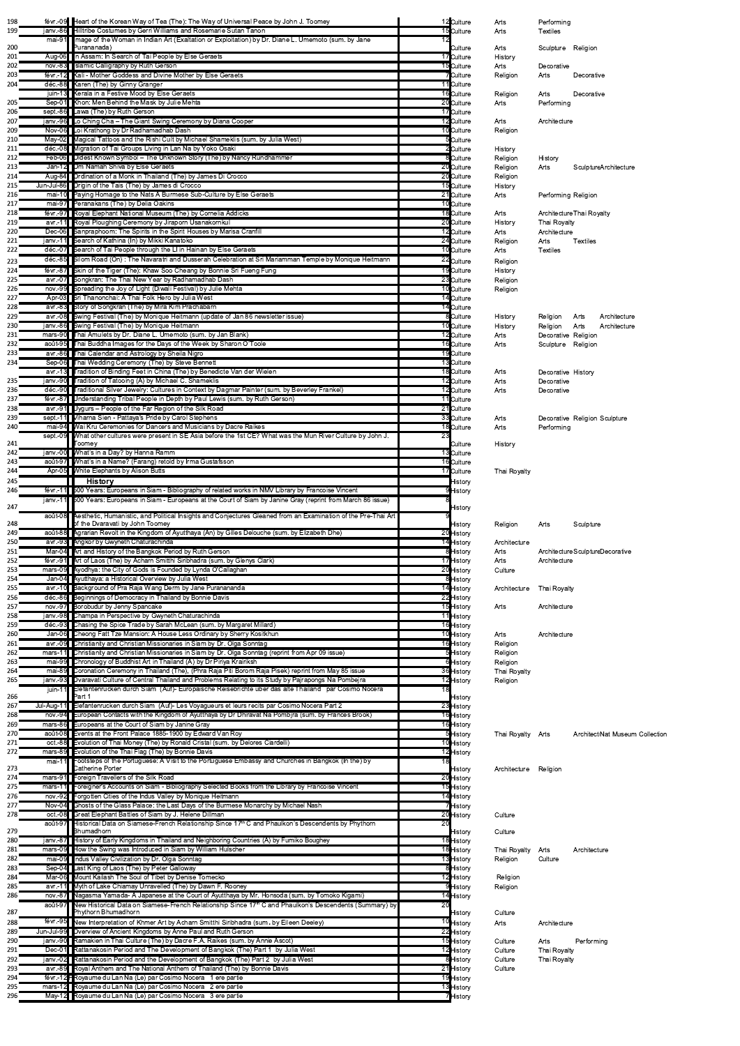| 198        |                           | févr.-09 Heart of the Korean Way of Tea (The): The Way of Universal Peace by John J. Toomey                                                                                                                              |    | 12 Culture               | Arts                      | Performing           |                                   |
|------------|---------------------------|--------------------------------------------------------------------------------------------------------------------------------------------------------------------------------------------------------------------------|----|--------------------------|---------------------------|----------------------|-----------------------------------|
| 199        | $mai-91$                  | janv.-86 Hilltribe Costumes by Gerri Williams and Rosemarie Sutan Tanon<br>Image of the Woman in Indian Art (Exaltation or Exploitation) by Dr. Diane L. Umemoto (sum. by Jane                                           |    | 15 Culture               | Arts                      | <b>Textiles</b>      |                                   |
| 200        |                           | Purananada)                                                                                                                                                                                                              |    | Culture                  | Arts                      | Sculpture Religion   |                                   |
| 201        |                           | Aug-06 In Assam: In Search of Tai People by Else Geraets                                                                                                                                                                 |    | 17 Culture               | History                   |                      |                                   |
| 202        |                           | nov.-83 Islamic Calligraphy by Ruth Gerson                                                                                                                                                                               |    | 15 Culture               | Arts                      | Decorative           |                                   |
| 203<br>204 |                           | févr.-12 Kali - Mother Goddess and Divine Mother by Else Geraets<br>déc.-88 Karen (The) by Ginny Granger                                                                                                                 |    | 7 Culture<br>11 Culture  | Religion                  | Arts                 | Decorative                        |
|            |                           | juin-13 Kerala in a Festive Mood by Else Geraets                                                                                                                                                                         |    | 16 Culture               | Religion                  | Arts                 | Decorative                        |
| 205        |                           | Sep-01 Khon: Men Behind the Mask by Julie Mehta                                                                                                                                                                          |    | 20 Culture               | Arts                      | Performing           |                                   |
| 206        |                           | sept.-86 Lawa (The) by Ruth Gerson                                                                                                                                                                                       |    | 17 Culture               |                           |                      |                                   |
| 207<br>209 |                           | janv.-96 Lo Ching Cha - The Giant Swing Ceremony by Diana Cooper<br>Nov-06 Loi Krathong by Dr Radhamadhab Dash                                                                                                           |    | 12 Culture<br>10 Culture | Arts<br>Religion          | Architecture         |                                   |
| 210        |                           | May-02 Magical Tattoos and the Rishi Cult by Michael Shameklis (sum. by Julia West)                                                                                                                                      |    | 5Culture                 |                           |                      |                                   |
| 211        |                           | déc.-08 Migration of Tai Groups Living in Lan Na by Yoko Osaki                                                                                                                                                           |    | 2 <b>C</b> ulture        | History                   |                      |                                   |
| 212        |                           | Feb-06 Oldest Known Symbol - The Unknown Story (The) by Nancy Rundhammer<br>Jan-12 Om Namah Shiva by Else Geraets                                                                                                        |    | 8Culture                 | Religion                  | History              |                                   |
| 213<br>214 |                           | Aug-84 Ordination of a Monk in Thailand (The) by James Di Crocco                                                                                                                                                         |    | 20 Culture<br>20 Culture | Religion<br>Religion      | Arts                 | Sculpture Architecture            |
| 215        |                           | Jun-Jul-86 Origin of the Tais (The) by James di Crocco                                                                                                                                                                   |    | 15 Culture               | History                   |                      |                                   |
| 216        |                           | mai-10 Paying Homage to the Nats A Burmese Sub-Culture by Else Geraets                                                                                                                                                   |    | 21 Culture               | Arts                      | Performing Religion  |                                   |
| 217        | mai-97 $\blacksquare$     | Peranakans (The) by Delia Oakins<br>févr.-97 Royal Elephant National Museum (The) by Cornelia Addicks                                                                                                                    |    | 10 Culture<br>18 Culture |                           |                      |                                   |
| 218<br>219 |                           | avr.-11 Royal Ploughing Ceremony by Jiraporn Usanakornkul                                                                                                                                                                |    | 20 Culture               | Arts<br>History           | Thai Royalty         | Architecture Thai Royalty         |
| 220        |                           | Dec-06 Sanpraphoom: The Spirits in the Spirit Houses by Marisa Cranfill                                                                                                                                                  |    | 12 Culture               | Arts                      | Architecture         |                                   |
| 221        | janv. 11                  | Search of Kathina (In) by Mikki Kanatoko                                                                                                                                                                                 |    | 24 Culture               | Religion                  | Arts                 | <b>Textiles</b>                   |
| 222        | $d$ éc.-85                | déc.-07 Search of Tai People through the LI in Hainan by Else Geraets<br>Silom Road (On): The Navaratri and Dusserah Celebration at Sri Mariamman Temple by Monique Heitmann                                             |    | 10 Culture               | Arts                      | <b>Textiles</b>      |                                   |
| 223<br>224 |                           | févr.-87 Skin of the Tiger (The): Khaw Soo Cheang by Bonnie Sri Fueng Fung                                                                                                                                               |    | 22 Culture<br>19 Culture | Religion                  |                      |                                   |
| 225        |                           | avr.-07 Songkran: The Thai New Year by Radhamadhab Dash                                                                                                                                                                  |    | 23 Culture               | History<br>Religion       |                      |                                   |
| 226        |                           | nov.-99 Spreading the Joy of Light (Diwali Festival) by Julie Mehta                                                                                                                                                      |    | 10 Culture               | Religion                  |                      |                                   |
| 227        |                           | Apr-03 Sri Thanonchai: A Thai Folk Hero by Julia West                                                                                                                                                                    |    | 14 Culture               |                           |                      |                                   |
| 228<br>229 |                           | avr.-83 Story of Songkran (The) by Mira Kim Prachabarn<br>avr.-08 Swing Festival (The) by Monique Heitmann (update of Jan 86 newsletter issue)                                                                           |    | 14 Culture<br>8 Culture  |                           |                      | Architecture                      |
| 230        |                           | janv.-86 Swing Festival (The) by Monique Heitmann                                                                                                                                                                        |    | 10 Culture               | History<br>History        | Religion<br>Religion | Arts<br>Arts<br>Architecture      |
| 231        |                           | mars-90 Thai Amulets by Dr. Diane L. Umemoto (sum. by Jan Blank)                                                                                                                                                         |    | 12 Culture               | Arts                      | Decorative Religion  |                                   |
| 232        |                           | août-95 Thai Buddha Images for the Days of the Week by Sharon O'Toole                                                                                                                                                    |    | 16 Culture               | Arts                      | Sculpture Religion   |                                   |
| 233<br>234 |                           | avr.-86 Thai Calendar and Astrology by Sheila Nigro<br>Sep-06 Thai Wedding Ceremony (The) by Steve Bennett                                                                                                               |    | 19 Culture<br>13 Culture |                           |                      |                                   |
|            |                           | avr.-13 Tradition of Binding Feet in China (The) by Benedicte Van der Wielen                                                                                                                                             |    | 18 Culture               | Arts                      | Decorative History   |                                   |
| 235        |                           | janv.-90 Tradition of Tatooing (A) by Michael C. Shameklis                                                                                                                                                               |    | 12 Culture               | Arts                      | Decorative           |                                   |
| 236        |                           | déc.-90 Traditional Silver Jewelry: Cultures in Context by Dagmar Painter (sum. by Beverley Frankel)                                                                                                                     |    | 12 Culture               | Arts                      | Decorative           |                                   |
| 237<br>238 |                           | févr.-87 Understanding Tribal People in Depth by Paul Lewis (sum. by Ruth Gerson)<br>avr.-91 Uygurs - People of the Far Region of the Silk Road                                                                          |    | 11 Culture<br>21 Culture |                           |                      |                                   |
| 239        |                           | sept.-11 Viharna Sien - Pattaya's Pride by Carol Stephens                                                                                                                                                                |    | 33 Culture               | Arts                      |                      | Decorative Religion Sculpture     |
| 240        |                           | mai-94 Wai Kru Ceremonies for Dancers and Musicians by Dacre Raikes                                                                                                                                                      |    | 18 Culture               | Arts                      | Performing           |                                   |
| 241        | sept.-09                  | What other cultures were present in SE Asia before the 1st CE? What was the Mun River Culture by John J.<br>Toomey                                                                                                       | 23 | Culture                  | History                   |                      |                                   |
| 242        |                           | janv.-00 What's in a Day? by Hanna Ramm                                                                                                                                                                                  |    | 13 Culture               |                           |                      |                                   |
| 243        |                           | août-97 Mhat's in a Name? (Farang) retold by Irma Gustafsson                                                                                                                                                             |    | 16 Culture               |                           |                      |                                   |
| 244<br>245 |                           | Apr-05 White Elephants by Alison Butts<br><b>History</b>                                                                                                                                                                 |    | 17 Culture<br>History    | Thai Royalty              |                      |                                   |
| 246        |                           | févr.-11 500 Years: Europeans in Siam - Bibliography of related works in NMV Library by Francoise Vincent                                                                                                                |    | History                  |                           |                      |                                   |
|            | ianv.-11                  | 500 Years: Europeans in Siam - Europeans at the Court of Siam by Janine Gray (reprint from March 86 issue)                                                                                                               |    | History                  |                           |                      |                                   |
|            |                           |                                                                                                                                                                                                                          |    |                          |                           |                      |                                   |
| 247        |                           | août-08 Aesthetic, Humanistic, and Political Insights and Conjectures Gleaned from an Examination of the Pre-Thai Art                                                                                                    |    |                          |                           |                      |                                   |
| 248        |                           | of the Dvaravati by John Toomey                                                                                                                                                                                          |    | History                  | Religion                  | Arts                 | Sculpture                         |
| 249        |                           | août-88 Agrarian Revolt in the Kingdom of Ayutthaya (An) by Gilles Delouche (sum. by Elizabeth Dhe)                                                                                                                      |    | 20 History               |                           |                      |                                   |
| 250<br>251 |                           | avr.-93 Angkor by Gwyneth Chaturachinda<br>Mar-04 Art and History of the Bangkok Period by Ruth Gerson                                                                                                                   |    | 14 History<br>8 History  | Architecture<br>Arts      |                      | Architecture Sculpture Decorative |
| 252        |                           | févr.-91 Art of Laos (The) by Acharn Smitthi Siribhadra (sum. by Glenys Clark)                                                                                                                                           |    | 17 History               | Arts                      | Architecture         |                                   |
| 253        |                           | mars-09 Ayodhya: the City of Gods is Founded by Lynda O'Callaghan                                                                                                                                                        |    | 20 History               | Culture                   |                      |                                   |
| 254<br>255 |                           | Jan-04 Ayutthaya: a Historical Overview by Julia West<br>avr.-10 Background of Pra Raja Wang Derm by Jane Puranananda                                                                                                    |    | 8 History<br>14 History  | Architecture Thai Royalty |                      |                                   |
| 256        |                           | déc.-86 Beginnings of Democracy in Thailand by Bonnie Davis                                                                                                                                                              |    | 22 History               |                           |                      |                                   |
| 257        |                           | nov.-97 Borobudur by Jenny Spancake                                                                                                                                                                                      |    | 15 History               | Arts                      | Architecture         |                                   |
| 258<br>259 |                           | janv.-98 Champa in Perspective by Gwyneth Chaturachinda                                                                                                                                                                  |    | 11 History               |                           |                      |                                   |
| 260        |                           | déc.-93 Chasing the Spice Trade by Sarah McLean (sum. by Margaret Millard)<br>Jan-06 Cheong Fatt Tze Mansion: A House Less Ordinary by Sherry Kositkhun                                                                  |    | 16 History<br>10 History | Arts                      | Architecture         |                                   |
| 261        |                           | avr.-09 Christianity and Christian Missionaries in Siam by Dr. Olga Sonntag                                                                                                                                              |    | 16 History               | Religion                  |                      |                                   |
| 262        | mars-11                   | Christianity and Christian Missionaries in Siam by Dr. Olga Sonntag (reprint from Apr 09 issue)                                                                                                                          |    | 5History                 | Religion                  |                      |                                   |
| 263        | mai-99                    | Chronology of Buddhist Art in Thailand (A) by Dr Piriya Krairiksh                                                                                                                                                        |    | 6 History                | Religion                  |                      |                                   |
| 264<br>265 |                           | mai-89 Coronation Ceremony in Thailand (The), (Phra Raja Piti Borom Raja Pisek) reprint from May 85 issue<br>janv.-93 Dvaravati Culture of Central Thailand and Problems Relating to its Study by Pajrapongs Na Pombejra |    | 36 History<br>12 History | Thai Royalty<br>Religion  |                      |                                   |
|            | iuin-11                   | Elefantenrucken durch Siam (Auf)- Europaische Reisebrichte uber das alte Thailand par Cosimo Nocera                                                                                                                      |    |                          |                           |                      |                                   |
| 266<br>267 | Jul-Aug-11                | Part 1<br>Elefantenrucken durch Siam (Auf)- Les Voyagueurs et leurs recits par Cosimo Nocera Part 2                                                                                                                      |    | History<br>23 History    |                           |                      |                                   |
| 268        | $nov.-94$                 | European Contacts with the Kingdom of Ayutthaya by Dr Dhiravat Na Pombjra (sum. by Frances Brook)                                                                                                                        |    | 16 History               |                           |                      |                                   |
| 269        | $mars-86$                 | Europeans at the Court of Siam by Janine Gray                                                                                                                                                                            |    | 16 History               |                           |                      |                                   |
| 270        |                           | août-08 Events at the Front Palace 1885-1900 by Edward Van Roy                                                                                                                                                           |    | 5 History                | Thai Royalty Arts         |                      | Architect Nat Museum Collection   |
| 271<br>272 | $oct.-88$<br>$mars-89$    | Evolution of Thai Money (The) by Ronald Cristal (sum. by Delores Ciardelli)<br>Evolution of the Thai Flag (The) by Bonnie Davis                                                                                          |    | 10 History<br>12 History |                           |                      |                                   |
|            | mai-11                    | Footsteps of the Portuguese: A Visit to the Portuguese Embassy and Churches in Bangkok (In the) by                                                                                                                       | 18 |                          |                           |                      |                                   |
| 273        |                           | Catherine Porter                                                                                                                                                                                                         |    | History                  | Architecture Religion     |                      |                                   |
| 274<br>275 |                           | mars-91 Foreign Travellers of the Silk Road<br>mars-11 Foreigner's Accounts on Siam - Bibliography Selected Books from the Library by Francoise Vincent                                                                  |    | 20 History<br>15 History |                           |                      |                                   |
| 276        |                           | nov.-92 Forgotten Cities of the Indus Valley by Monique Heitmann                                                                                                                                                         |    | 14 History               |                           |                      |                                   |
| 277        |                           | Nov-04 Ghosts of the Glass Palace: the Last Days of the Burmese Monarchy by Michael Nash                                                                                                                                 |    | 7 History                |                           |                      |                                   |
| 278        | $oct.-08$<br>août-97      | Great Elephant Battles of Siam by J. Helene Dillman<br>Historical Data on Siamese-French Relationship Since 17 <sup>th</sup> C and Phaulkon's Descendents by Phythorn                                                    | 20 | 20 History               | Culture                   |                      |                                   |
| 279        |                           | Bhumadhorn                                                                                                                                                                                                               |    | History                  | Culture                   |                      |                                   |
| 280<br>281 |                           | janv.-87 History of Early Kingdoms in Thailand and Neighboring Countries (A) by Fumiko Boughey<br>mars-09 How the Swing was Introduced in Siam by William Hulscher                                                       |    | 18 History               |                           |                      | Architecture                      |
| 282        |                           | mai-09 Indus Valley Civilization by Dr. Olga Sonntag                                                                                                                                                                     |    | 18 History<br>13 History | Thai Royalty<br>Religion  | Arts<br>Culture      |                                   |
| 283        | $Sep-04$                  | Last King of Laos (The) by Peter Galloway                                                                                                                                                                                |    | 8 History                |                           |                      |                                   |
| 284        |                           | Mar-06 Mount Kailash The Soul of Tibet by Denise Tomecko                                                                                                                                                                 |    | 12 History               | Religion                  |                      |                                   |
| 285<br>286 | avr.-11<br>$nov.-87$      | Myth of Lake Chiamay Unravelled (The) by Dawn F. Rooney<br>Nagasma Yamada- A Japanese at the Court of Ayutthaya by Mr. Honsoda (sum. by Tomoko Kigami)                                                                   |    | 9 History<br>14 History  | Religion                  |                      |                                   |
|            | août-97                   | New Historical Data on Siamese-French Relationship Since 17 <sup>th</sup> C and Phaulkon's Descendents (Summary) by                                                                                                      | 20 |                          |                           |                      |                                   |
| 287        |                           | Phythorn Bhumadhorn                                                                                                                                                                                                      |    | History                  | Culture                   |                      |                                   |
| 288        | févr.- $95$<br>Jun-Jul-99 | New Interpretation of Khmer Art by Acharn Smitthi Siribhadra (sum. by Eileen Deeley)                                                                                                                                     |    | 10 History               | Arts                      | Architecture         |                                   |
| 289<br>290 | janv.-90                  | Overview of Ancient Kingdoms by Anne Paul and Ruth Gerson<br>Ramakien in Thai Culture (The) by Dacre F.A. Raikes (sum. by Annie Ascot)                                                                                   |    | 22 History<br>15 History | Culture                   | Arts                 | Performing                        |
| 291        | $Dec-01$                  | Rattanakosin Period and The Development of Bangkok (The) Part 1 by Julia West                                                                                                                                            |    | 12 History               | Culture                   | Thai Royalty         |                                   |
| 292        | janv.-02                  | Rattanakosin Period and the Development of Bangkok (The) Part 2 by Julia West                                                                                                                                            |    | 8 History                | Culture                   | Thai Royalty         |                                   |
| 293<br>294 | avr.-89                   | Royal Anthem and The National Anthem of Thailand (The) by Bonnie Davis<br>févr.-12 FRoyaume du Lan Na (Le) par Cosimo Nocera 1 ere partie                                                                                |    | 21 History<br>19 History | Culture                   |                      |                                   |
| 295<br>296 |                           | mars-12 Royaume du Lan Na (Le) par Cosimo Nocera 2 ere partie<br>May-12 Royaume du Lan Na (Le) par Cosimo Nocera 3 ere partie                                                                                            |    | 13 History<br>7 History  |                           |                      |                                   |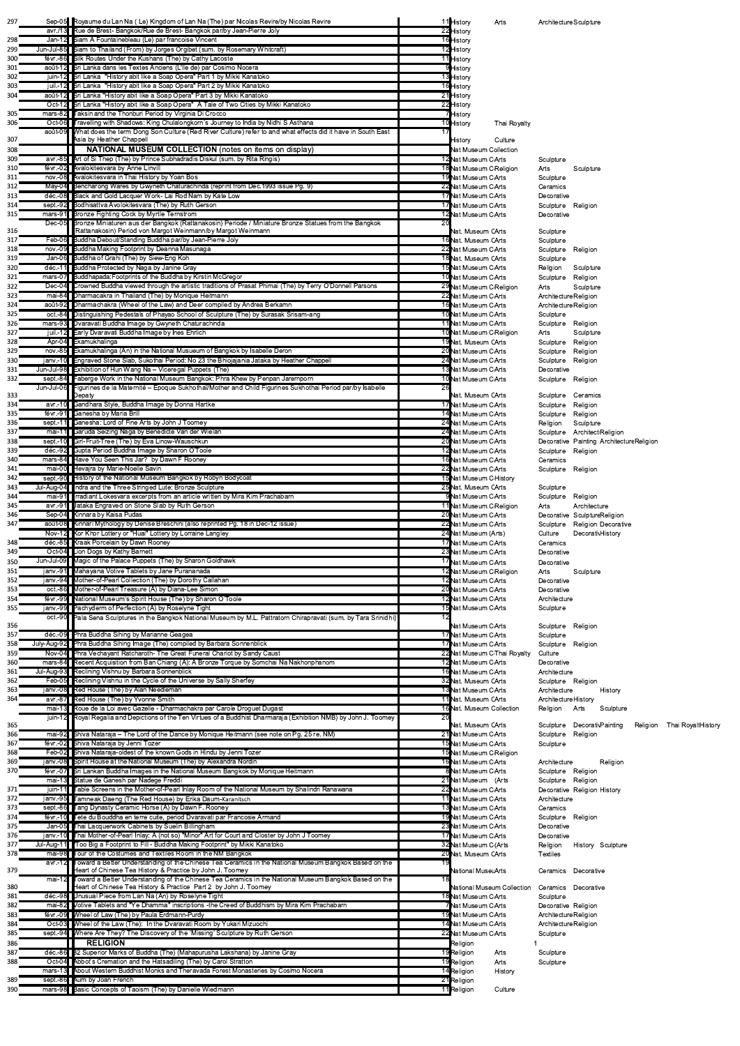| 297        |                       | Sep-05 Royaume du Lan Na (Le) Kingdom of Lan Na (The) par Nicolas Revire/by Nicolas Revire                                                                                                              | 11 History<br>Arts                                  | Architecture Sculpture                                         |
|------------|-----------------------|---------------------------------------------------------------------------------------------------------------------------------------------------------------------------------------------------------|-----------------------------------------------------|----------------------------------------------------------------|
| 298        |                       | avr./13 Rue de Brest- Bangkok/Rue de Brest- Bangkok par/by Jean-Pierre Joly<br>Jan-12 Siam A Fountainebleau (Le) par francoise Vincent                                                                  | 22 History<br>16 History                            |                                                                |
| 299        |                       | Jun-Jul-85 Siam to Thailand (From) by Jorges Orgibet (sum. by Rosemary Whitcraft)                                                                                                                       | 12 History                                          |                                                                |
| 300        |                       | févr.-86 Silk Routes Under the Kushans (The) by Cathy Lacoste                                                                                                                                           | 11 History                                          |                                                                |
| 301        |                       | août-12 Sri Lanka dans les Textes Anciens (L'Ile de) par Cosimo Nocera                                                                                                                                  | 9History                                            |                                                                |
| 302        |                       | juin-12 Sri Lanka "History abit like a Soap Opera" Part 1 by Mikki Kanatoko                                                                                                                             | 13 History                                          |                                                                |
| 303<br>304 |                       | juil.-12 Sri Lanka "History abit like a Soap Opera" Part 2 by Mikki Kanatoko<br>août-12 Sri Lanka "History abit like a Soap Opera" Part 3 by Mikki Kanatoko                                             | 16 History<br>21 History                            |                                                                |
|            |                       | Oct-12 Sri Lanka "History abit like a Soap Opera" A Tale of Two Cities by Mikki Kanatoko                                                                                                                | 22 History                                          |                                                                |
| 305        |                       | mars-82 Taksin and the Thonburi Period by Virginia Di Crocco                                                                                                                                            | 7History                                            |                                                                |
| 306        | août-09               | Oct-06 Travelling with Shadows: King Chulalongkorn's Journey to India by Nidhi S Asthana<br>What does the term Dong Son Culture (Red River Culture) refer to and what effects did it have in South East | 10 History<br>Thai Royalty                          |                                                                |
| 307        |                       | Asia by Heather Chappell                                                                                                                                                                                | Culture<br>History                                  |                                                                |
| 308        |                       | <b>NATIONAL MUSEUM COLLECTION</b> (notes on items on display)                                                                                                                                           | <b>Nat Museum Collection</b>                        |                                                                |
| 309        |                       | avr.-85 Art of Si Thep (The) by Prince Subhadradis Diskul (sum. by Rita Ringis)<br>févr.-02 Avalokitesvara by Anne Linvill                                                                              | 12 Nat Museum CArts                                 | Sculpture                                                      |
| 310<br>311 |                       | nov.-08 Avalokitesvara in Thai History by Yoan Bos                                                                                                                                                      | 18 Nat Museum C Religion<br>19 Nat Museum CArts     | Arts<br>Sculpture<br>Sculpture                                 |
| 312        |                       | May-04 Bencharong Wares by Gwyneth Chaturachinda (reprint from Dec. 1993 issue Pg. 9)                                                                                                                   | 22 Nat Museum CArts                                 | Ceramics                                                       |
| 313        |                       | déc.-08 Black and Gold Lacquer Work- Lai Rod Nam by Kate Low                                                                                                                                            | 17Nat Museum CArts                                  | Decorative                                                     |
| 314<br>315 | mars-91               | sept.-92 Bodhisattva Avolokitesvara (The) by Ruth Gerson<br>Bronze Fighting Cock by Myrtle Ternstrom                                                                                                    | 17 Nat Museum CArts<br>12 Nat Museum CArts          | Sculpture Religion<br>Decorative                               |
|            | $Dec-05$              | Bronze Miniaturen aus der Bangkok (Rattanakosin) Periode / Miniature Bronze Statues from the Bangkok                                                                                                    |                                                     |                                                                |
| 316        |                       | (Rattanakosin) Period von Margot Weinmann/by Margot Weinmann<br>Feb-06 Buddha Debout/Standing Buddha par/by Jean-Pierre Joly                                                                            | Nat. Museum CArts                                   | Sculpture                                                      |
| 317<br>318 |                       | nov.-09 Buddha Making Footprint by Deanna Masunaga                                                                                                                                                      | 16 Nat. Museum CArts<br>22 Nat Museum CArts         | Sculpture<br>Sculpture<br>Religion                             |
| 319        |                       | Jan-06 Buddha of Grahi (The) by Siew-Eng Koh                                                                                                                                                            | 18 Nat. Museum CArts                                | Sculpture                                                      |
| 320        |                       | déc.-11 Buddha Protected by Naga by Janine Gray                                                                                                                                                         | 15 Nat Museum CArts                                 | Religion<br>Sculpture                                          |
| 321<br>322 |                       | mars-07 Buddhapada: Footprints of the Buddha by Kirstin McGregor<br>Dec-04 Crowned Buddha viewed through the artistic traditions of Prasat Phimai (The) by Terry O'Donnell Parsons                      | 10 Nat Museum CArts<br>29 Nat Museum CReligion      | Sculpture Religion<br>Arts<br>Sculpture                        |
| 323        | mai-84                | Dharmacakra in Thailand (The) by Monique Heitmann                                                                                                                                                       | 22 Nat Museum CArts                                 | Architecture Religion                                          |
| 324        |                       | août-92 Dharmachakra (Wheel of the Law) and Deer compiled by Andrea Berkamn                                                                                                                             | 16 Nat Museum CArts                                 | Architecture Religion                                          |
| 325        | $oct.-84$             | <b>Distinguishing Pedestals of Phayao School of Sculpture (The) by Surasak Srisam-ang</b>                                                                                                               | 10 Nat Museum CArts                                 | Sculpture                                                      |
| 326<br>327 | mars-93               | Dvaravati Buddha Image by Gwyneth Chaturachinda<br>juil.-12 Early Dvaravati Buddha Image by Ines Ehrlich                                                                                                | 11 Nat Museum CArts<br>10 Nat Museum CReligion      | Sculpture<br>Religion<br>Arts<br>Sculpture                     |
| 328        |                       | Apr-04 Ekamukhalinga                                                                                                                                                                                    | 19 Nat. Museum CArts                                | Sculpture Religion                                             |
| 329        |                       | nov.-85 Ekamukhalinga (An) in the National Musueum of Bangkok by Isabelle Deron                                                                                                                         | 20 Nat Museum CArts                                 | Sculpture Religion                                             |
| 330        |                       | janv.-10 Engraved Stone Slab, Sukothai Period: No 23 the Bhiojajania Jataka by Heather Chappell                                                                                                         | 24 Nat Museum CArts                                 | Sculpture Religion                                             |
| 331<br>332 |                       | Jun-Jul-98 Exhibition of Hun Wang Na - Viceregal Puppets (The)<br>sept.-84 Faberge Work in the National Museum Bangkok: Phra Khew by Penpan Jarernporn                                                  | 13 Nat Museum CArts<br>10 Nat Museum CArts          | Decorative<br>Sculpture Religion                               |
|            |                       | Jun-Jul-06 Figurines de la Maternité – Epoque Sukhothaï/Mother and Child Figurines Sukhothai Period par/by Isabelle                                                                                     |                                                     |                                                                |
| 333        |                       | Depaty<br>avr.-10 Gandhara Style, Buddha Image by Donna Hartke                                                                                                                                          | Nat. Museum CArts                                   | Sculpture Ceramics                                             |
| 334<br>335 |                       | févr.-91 Ganesha by Maria Brill                                                                                                                                                                         | 17 Nat Museum CArts<br>14 Nat Museum CArts          | Sculpture Religion<br>Sculpture Religion                       |
| 336        |                       | sept.-11 Ganesha: Lord of Fine Arts by John J Toomey                                                                                                                                                    | 24 Nat Museum CArts                                 | Religion<br>Sculpture                                          |
| 337        |                       | mai-11 Garuda Seizing Naga by Benedicte Van der Wielan                                                                                                                                                  | 24 Nat Museum CArts                                 | Sculpture Architect Religion                                   |
| 338<br>339 |                       | sept.-10 Girl-Fruit-Tree (The) by Eva Linow-Wauschkun<br>déc.-92 Gupta Period Buddha Image by Sharon O'Toole                                                                                            | 20 Nat Museum CArts<br>12 Nat Museum CArts          | Decorative Painting ArchitectureReligion<br>Sculpture Religion |
| 340        |                       | mars-84 Have You Seen This Jar? by Dawn F Rooney                                                                                                                                                        | 16 Nat Museum CArts                                 | Ceramics                                                       |
| 341        |                       | mai-00 Hevajra by Marie-Noelle Savin                                                                                                                                                                    | 22 Nat Museum CArts                                 | Sculpture Religion                                             |
| 342<br>343 |                       | sept.-90 History of the National Museum Bangkok by Robyn Bodycoat<br>Jul-Aug-04 Indra and the Three Stringed Lute: Bronze Sculpture                                                                     | 15 Nat Museum C History                             |                                                                |
| 344        |                       | mai-91 Irradiant Lokesvara excerpts from an article written by Mira Kim Prachabarn                                                                                                                      | 25 Nat. Museum CArts<br>9Nat Museum CArts           | Sculpture<br>Sculpture<br>Religion                             |
| 345        |                       | avr.-91 Jataka Engraved on Stone Slab by Ruth Gerson                                                                                                                                                    | 11 Nat Museum CReligion                             | Architecture<br>Arts                                           |
| 346        |                       | Sep-04 Kinnara by Kaisa Pudas                                                                                                                                                                           | 20 Nat Museum CArts                                 | Decorative SculptureReligion                                   |
| 347        |                       | août-08 Kinnari Mythology by Denise Breschini (also reprinted Pg. 18 in Dec-12 issue)<br>Nov-12 Kor Khor Lottery or "Huai" Lottery by Lorraine Langley                                                  | 22 Nat Museum CArts<br>24 Nat Museum (Arts)         | Sculpture Religion Decorative<br>DecorativHistory<br>Culture   |
| 348        |                       | déc.-85 Kraak Porcelain by Dawn Rooney                                                                                                                                                                  | 17Nat Museum CArts                                  | Ceramics                                                       |
| 349        |                       | Oct-04 Lion Dogs by Kathy Barnett                                                                                                                                                                       | 23 Nat Museum CArts                                 | Decorative                                                     |
| 350        |                       | Jun-Jul-09 Magic of the Palace Puppets (The) by Sharon Goldhawk                                                                                                                                         | 17Nat Museum CArts                                  | Decorative                                                     |
| 351<br>352 |                       | janv.-91 Mahayana Votive Tablets by Jane Purananada<br>janv.-94 Mother-of-Pearl Collection (The) by Dorothy Callahan                                                                                    | 12 Nat Museum CReligion<br>12 Nat Museum CArts      | Arts<br>Sculpture<br>Decorative                                |
| 353        |                       | oct.-86 Mother-of-Pearl Treasure (A) by Diana-Lee Simon                                                                                                                                                 | 20 Nat Museum CArts                                 | Decorative                                                     |
| 354        |                       | févr.-99 National Museum's Spirit House (The) by Sharon O'Toole                                                                                                                                         | 12 Nat Museum CArts                                 | Architecture                                                   |
| 355        | janv.-99<br>$oct.-90$ | Pachyderm of Perfection (A) by Roselyne Tight<br>Pala Sena Sculptures in the Bangkok National Museum by M.L. Pattratorn Chirapravati (sum. by Tara Srinidhi)                                            | 15 Nat Museum CArts                                 | Sculpture                                                      |
| 356        |                       |                                                                                                                                                                                                         | Nat Museum CArts                                    | Sculpture Religion                                             |
| 357        |                       | déc.-09 Phra Buddha Sihing by Marianne Geagea                                                                                                                                                           | 17 Nat Museum CArts                                 | Sculpture                                                      |
| 358<br>359 |                       | July-Aug-92 Phra Buddha Sihing Image (The) compiled by Barbara Sonnenblick<br>Nov-04 Phra Vechayant Ratcharoth- The Great Funeral Chariot by Sandy Caust                                                | 17 Nat Museum CArts<br>22 Nat Museum C Thai Royalty | Sculpture Religion<br>Culture                                  |
| 360        |                       | mars-84 Recent Acquisition from Ban Chiang (A): A Bronze Torque by Somchai Na Nakhonphanom                                                                                                              | 12 Nat Museum CArts                                 | Decorative                                                     |
| 361        |                       | Jul-Aug-93 Reclining Vishnu by Barbara Sonnenblick                                                                                                                                                      | 16 Nat Museum CArts                                 | Architecture                                                   |
| 362<br>363 |                       | Feb-05 Reclining Vishnu in the Cycle of the Universe by Sally Sherfey<br>janv.-08 Red House (The) by Alan Needleman                                                                                     | 32 Nat. Museum CArts                                | Sculpture Religion                                             |
| 364        |                       | avr.-87 Red House (The) by Yvonne Smith                                                                                                                                                                 | 13 Nat Museum CArts<br>11 Nat. Museum CArts         | Architecture<br>History<br>Architecture History                |
|            |                       | mai-13 Roue de la Loi avec Gazelle - Dharmachakra par Carole Droguet Dugast                                                                                                                             | 16 Nat. Museum Collection                           | Sculpture<br>Religion Arts                                     |
| 365        |                       | juin-12 Royal Regalia and Depictions of the Ten Virtues of a Buddhist Dharmaraja (Exhibition NMB) by John J. Toomey                                                                                     | Nat. Museum CArts                                   | Sculpture DecorativPainting<br>Religion Thai RoyaltHistory     |
| 366        |                       | mai-92 Shiva Nataraja - The Lord of the Dance by Monique Heitmann (see note on Pg. 25 re. NM)                                                                                                           | 21 Nat Museum CArts                                 | Sculpture<br>Religion                                          |
| 367        |                       | févr.-02 Shiva Nataraja by Jenni Tozer                                                                                                                                                                  | 15 Nat Museum CArts                                 | Sculpture                                                      |
| 368        |                       | Feb-02 Shiva Nataraja-oldest of the known Gods in Hindu by Jenni Tozer                                                                                                                                  | 15 Nat Museum CReligion                             |                                                                |
| 369<br>370 |                       | janv.-08 Spirit House at the National Museum (The) by Alexandra Nordin<br>févr.-07 Sri Lankan Buddha Images in the National Museum Bangkok by Monique Heitmann                                          | 16 Nat Museum CArts<br>8Nat Museum CArts            | Architecture<br>Religion<br>Sculpture Religion                 |
|            |                       | mai-13 Statue de Ganesh par Nadege Freddi                                                                                                                                                               | 21 Nat Museum (Arts                                 | Sculpture Religion                                             |
| 371        |                       | juin-11 Table Screens in the Mother-of-Pearl Inlay Room of the National Museum by Shalindri Ranawana                                                                                                    | 22 Nat Museum CArts                                 | Decorative Religion History                                    |
| 372<br>373 |                       | janv.-95 Tamneak Daeng (The Red House) by Erika Daum-Karanitsch<br>sept.-86 Tang Dynasty Ceramic Horse (A) by Dawn F. Rooney                                                                            | 11 Nat Museum CArts<br>13 Nat Museum CArts          | Architecture<br>Ceramics                                       |
| 374        |                       | févr.-10 Tete du Bouddha en terre cuite, period Dvaravati par Francosie Armand                                                                                                                          | 19 Nat Museum CArts                                 | Sculpture Religion                                             |
| 375        |                       | Jan-05 Thai Lacquerwork Cabinets by Suelin Billingham                                                                                                                                                   | 23 Nat Museum CArts                                 | Decorative                                                     |
| 376<br>377 |                       | jany.-10 Thai Mother-of-Pearl Inlay: A (not so) "Minor" Art for Court and Closter by John J Toomey<br>Jul-Aug-11   Too Big a Footprint to Fill - Buddha Making Footprint" by Mikki Kanatoko             | 17 Nat Museum CArts<br>32 Nat Museum C(Arts         | Decorative                                                     |
| 378        |                       | mai-98 Tour of the Costumes and Textiles Room in the NM Bangkok                                                                                                                                         | 20 Nat. Museum CArts                                | Religion<br>History Sculpture<br><b>Textiles</b>               |
|            | avr.-12               | Toward a Better Understanding of the Chinese Tea Ceramics in the National Museum Bangkok Based on the                                                                                                   |                                                     |                                                                |
| 379        | mai-12                | Heart of Chinese Tea History & Practice by John J. Toomey<br>Toward a Better Understanding of the Chinese Tea Ceramics in the National Museum Bangkok Based on the                                      | National MuseuArts                                  | Ceramics Decorative                                            |
| 380        |                       | Heart of Chinese Tea History & Practice Part 2 by John J. Toomey                                                                                                                                        | National Museum Collection                          | Ceramics Decorative                                            |
| 381        |                       | déc.-98 Unusual Piece from Lan Na (An) by Roselyne Tight                                                                                                                                                | 18 Nat Museum CArts                                 | Sculpture                                                      |
| 382<br>383 |                       | mai-82 Votive Tablets and "Ye Dhamma" inscriptions -the Creed of Buddhism by Mira Kim Prachabarn<br>févr.-09 Wheel of Law (The) by Paula Erdmann-Purdy                                                  | 7Nat Museum CArts<br>19 Nat Museum CArts            | Decorative Religion<br>Architecture Religion                   |
| 384        |                       | Oct-03 Wheel of the Law (The): In the Dvaravati Room by Yukari Mizuochi                                                                                                                                 | 14 Nat Museum CArts                                 | Architecture Religion                                          |
| 385        |                       | sept.-94 Mhere Are They? The Discovery of the 'Missing' Sculpture by Ruth Gerson                                                                                                                        | 22 Nat Museum CArts                                 | Sculpture                                                      |
| 386        |                       | <b>RELIGION</b>                                                                                                                                                                                         | Religion                                            |                                                                |
| 387<br>388 | $Oct-04$              | déc.-86 32 Superior Marks of Buddha (The) (Mahapurusha Lakshana) by Janine Gray<br>Abbot's Cremation and the Hatsadiling (The) by Carol Stratton                                                        | 19 Religion<br>Arts<br>19 Religion<br>Arts          | Sculpture<br>Sculpture                                         |
|            |                       | mars-13 About Western Buddhist Monks and Theravada Forest Monasteries by Cosimo Nocera                                                                                                                  | 14 Religion<br>History                              |                                                                |
| 389        |                       | sept.-86 Aum by Joan French                                                                                                                                                                             | 21 Religion                                         |                                                                |
| 390        |                       | mars-98 Basic Concepts of Taoism (The) by Danielle Wiedmann                                                                                                                                             | 11 Religion<br>Culture                              |                                                                |